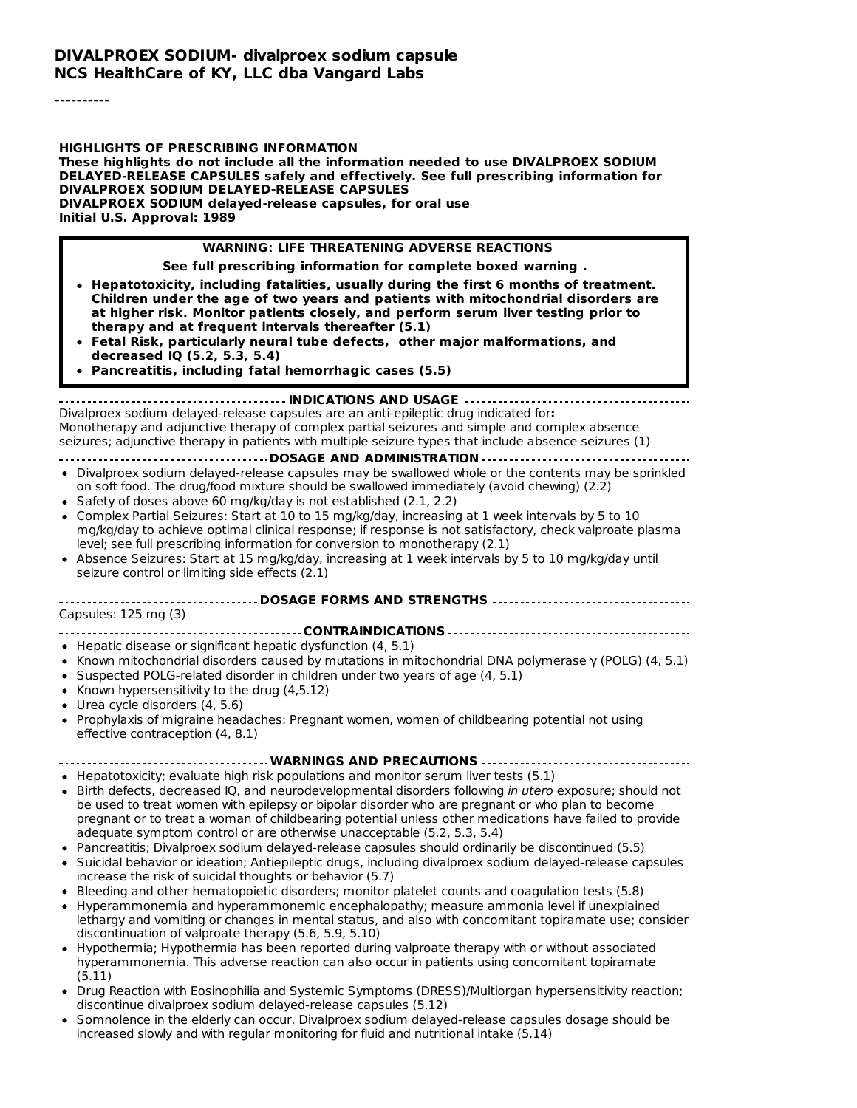#### **DIVALPROEX SODIUM- divalproex sodium capsule NCS HealthCare of KY, LLC dba Vangard Labs**

----------

**HIGHLIGHTS OF PRESCRIBING INFORMATION These highlights do not include all the information needed to use DIVALPROEX SODIUM DELAYED-RELEASE CAPSULES safely and effectively. See full prescribing information for DIVALPROEX SODIUM DELAYED-RELEASE CAPSULES DIVALPROEX SODIUM delayed-release capsules, for oral use Initial U.S. Approval: 1989**

#### **WARNING: LIFE THREATENING ADVERSE REACTIONS**

**See full prescribing information for complete boxed warning .**

- **Hepatotoxicity, including fatalities, usually during the first 6 months of treatment. Children under the age of two years and patients with mitochondrial disorders are at higher risk. Monitor patients closely, and perform serum liver testing prior to therapy and at frequent intervals thereafter (5.1)**
- **Fetal Risk, particularly neural tube defects, other major malformations, and decreased IQ (5.2, 5.3, 5.4)**
- **Pancreatitis, including fatal hemorrhagic cases (5.5)**

**INDICATIONS AND USAGE**

Divalproex sodium delayed-release capsules are an anti-epileptic drug indicated for**:** Monotherapy and adjunctive therapy of complex partial seizures and simple and complex absence seizures; adjunctive therapy in patients with multiple seizure types that include absence seizures (1)

- **DOSAGE AND ADMINISTRATION**
- Divalproex sodium delayed-release capsules may be swallowed whole or the contents may be sprinkled on soft food. The drug/food mixture should be swallowed immediately (avoid chewing) (2.2)
- Safety of doses above 60 mg/kg/day is not established (2.1, 2.2)
- Complex Partial Seizures: Start at 10 to 15 mg/kg/day, increasing at 1 week intervals by 5 to 10 mg/kg/day to achieve optimal clinical response; if response is not satisfactory, check valproate plasma level; see full prescribing information for conversion to monotherapy (2.1)
- Absence Seizures: Start at 15 mg/kg/day, increasing at 1 week intervals by 5 to 10 mg/kg/day until seizure control or limiting side effects (2.1)

**DOSAGE FORMS AND STRENGTHS**

Capsules: 125 mg (3)

**CONTRAINDICATIONS**

- Hepatic disease or significant hepatic dysfunction (4, 5.1)
- Known mitochondrial disorders caused by mutations in mitochondrial DNA polymerase γ (POLG) (4, 5.1)
- Suspected POLG-related disorder in children under two years of age  $(4, 5.1)$
- Known hypersensitivity to the drug  $(4,5.12)$
- Urea cycle disorders (4, 5.6)
- Prophylaxis of migraine headaches: Pregnant women, women of childbearing potential not using effective contraception (4, 8.1)

#### **WARNINGS AND PRECAUTIONS**

 $\bullet$  Hepatotoxicity; evaluate high risk populations and monitor serum liver tests (5.1)

- Birth defects, decreased IO, and neurodevelopmental disorders following in utero exposure; should not be used to treat women with epilepsy or bipolar disorder who are pregnant or who plan to become pregnant or to treat a woman of childbearing potential unless other medications have failed to provide adequate symptom control or are otherwise unacceptable (5.2, 5.3, 5.4)
- Pancreatitis; Divalproex sodium delayed-release capsules should ordinarily be discontinued (5.5)
- Suicidal behavior or ideation; Antiepileptic drugs, including divalproex sodium delayed-release capsules increase the risk of suicidal thoughts or behavior (5.7)
- Bleeding and other hematopoietic disorders; monitor platelet counts and coagulation tests (5.8)
- Hyperammonemia and hyperammonemic encephalopathy; measure ammonia level if unexplained lethargy and vomiting or changes in mental status, and also with concomitant topiramate use; consider discontinuation of valproate therapy (5.6, 5.9, 5.10)
- Hypothermia; Hypothermia has been reported during valproate therapy with or without associated hyperammonemia. This adverse reaction can also occur in patients using concomitant topiramate (5.11)
- Drug Reaction with Eosinophilia and Systemic Symptoms (DRESS)/Multiorgan hypersensitivity reaction; discontinue divalproex sodium delayed-release capsules (5.12)
- Somnolence in the elderly can occur. Divalproex sodium delayed-release capsules dosage should be increased slowly and with regular monitoring for fluid and nutritional intake (5.14)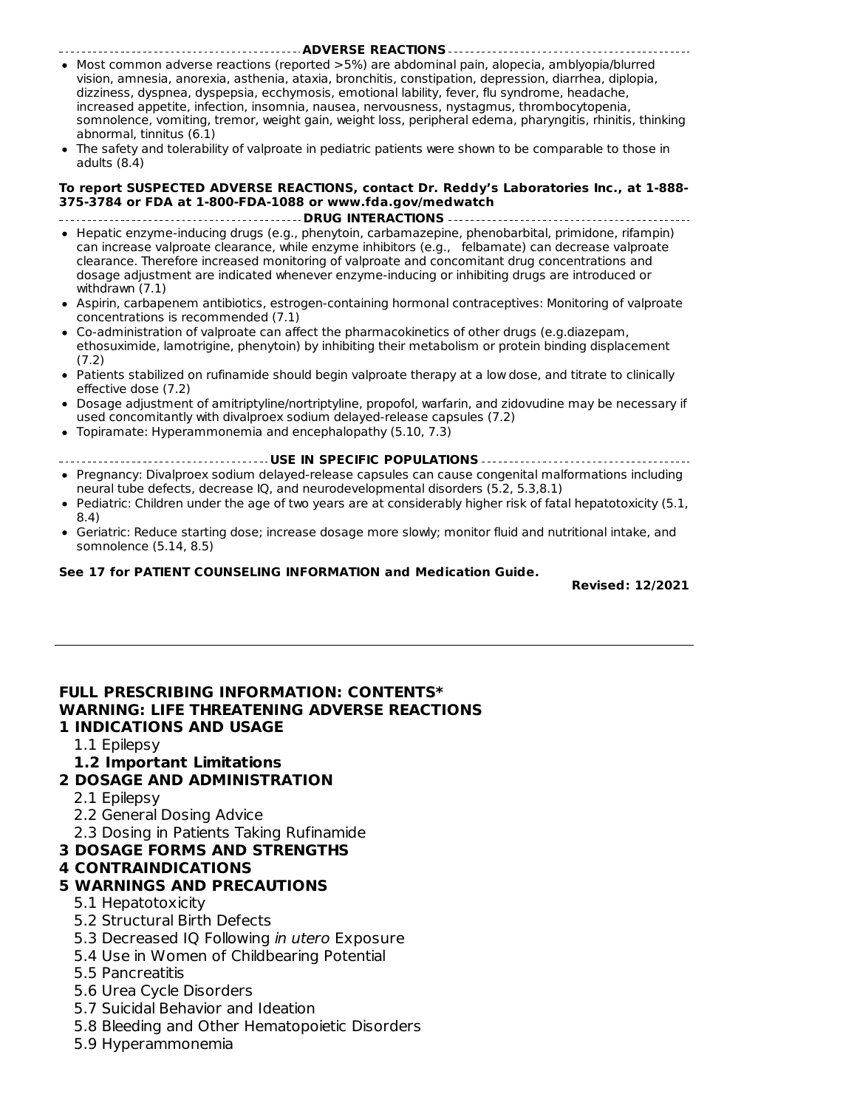- **ADVERSE REACTIONS** • Most common adverse reactions (reported >5%) are abdominal pain, alopecia, amblyopia/blurred vision, amnesia, anorexia, asthenia, ataxia, bronchitis, constipation, depression, diarrhea, diplopia, dizziness, dyspnea, dyspepsia, ecchymosis, emotional lability, fever, flu syndrome, headache, increased appetite, infection, insomnia, nausea, nervousness, nystagmus, thrombocytopenia, somnolence, vomiting, tremor, weight gain, weight loss, peripheral edema, pharyngitis, rhinitis, thinking abnormal, tinnitus (6.1)
- The safety and tolerability of valproate in pediatric patients were shown to be comparable to those in adults (8.4)

#### **To report SUSPECTED ADVERSE REACTIONS, contact Dr. Reddy's Laboratories Inc., at 1-888- 375-3784 or FDA at 1-800-FDA-1088 or www.fda.gov/medwatch**

**DRUG INTERACTIONS**

- Hepatic enzyme-inducing drugs (e.g., phenytoin, carbamazepine, phenobarbital, primidone, rifampin) can increase valproate clearance, while enzyme inhibitors (e.g., felbamate) can decrease valproate clearance. Therefore increased monitoring of valproate and concomitant drug concentrations and dosage adjustment are indicated whenever enzyme-inducing or inhibiting drugs are introduced or withdrawn (7.1)
- Aspirin, carbapenem antibiotics, estrogen-containing hormonal contraceptives: Monitoring of valproate concentrations is recommended (7.1)
- Co-administration of valproate can affect the pharmacokinetics of other drugs (e.g.diazepam, ethosuximide, lamotrigine, phenytoin) by inhibiting their metabolism or protein binding displacement (7.2)
- Patients stabilized on rufinamide should begin valproate therapy at a low dose, and titrate to clinically effective dose (7.2)
- Dosage adjustment of amitriptyline/nortriptyline, propofol, warfarin, and zidovudine may be necessary if used concomitantly with divalproex sodium delayed-release capsules (7.2)
- Topiramate: Hyperammonemia and encephalopathy (5.10, 7.3)

#### **USE IN SPECIFIC POPULATIONS**

- Pregnancy: Divalproex sodium delayed-release capsules can cause congenital malformations including neural tube defects, decrease IQ, and neurodevelopmental disorders (5.2, 5.3,8.1)
- Pediatric: Children under the age of two years are at considerably higher risk of fatal hepatotoxicity (5.1, 8.4)
- Geriatric: Reduce starting dose; increase dosage more slowly; monitor fluid and nutritional intake, and somnolence (5.14, 8.5)

#### **See 17 for PATIENT COUNSELING INFORMATION and Medication Guide.**

**Revised: 12/2021**

#### **FULL PRESCRIBING INFORMATION: CONTENTS\* WARNING: LIFE THREATENING ADVERSE REACTIONS 1 INDICATIONS AND USAGE**

- 1.1 Epilepsy
- **1.2 Important Limitations**
- **2 DOSAGE AND ADMINISTRATION**
	- 2.1 Epilepsy
	- 2.2 General Dosing Advice
	- 2.3 Dosing in Patients Taking Rufinamide
- **3 DOSAGE FORMS AND STRENGTHS**

#### **4 CONTRAINDICATIONS**

#### **5 WARNINGS AND PRECAUTIONS**

- 5.1 Hepatotoxicity
- 5.2 Structural Birth Defects
- 5.3 Decreased IQ Following in utero Exposure
- 5.4 Use in Women of Childbearing Potential
- 5.5 Pancreatitis
- 5.6 Urea Cycle Disorders
- 5.7 Suicidal Behavior and Ideation
- 5.8 Bleeding and Other Hematopoietic Disorders
- 5.9 Hyperammonemia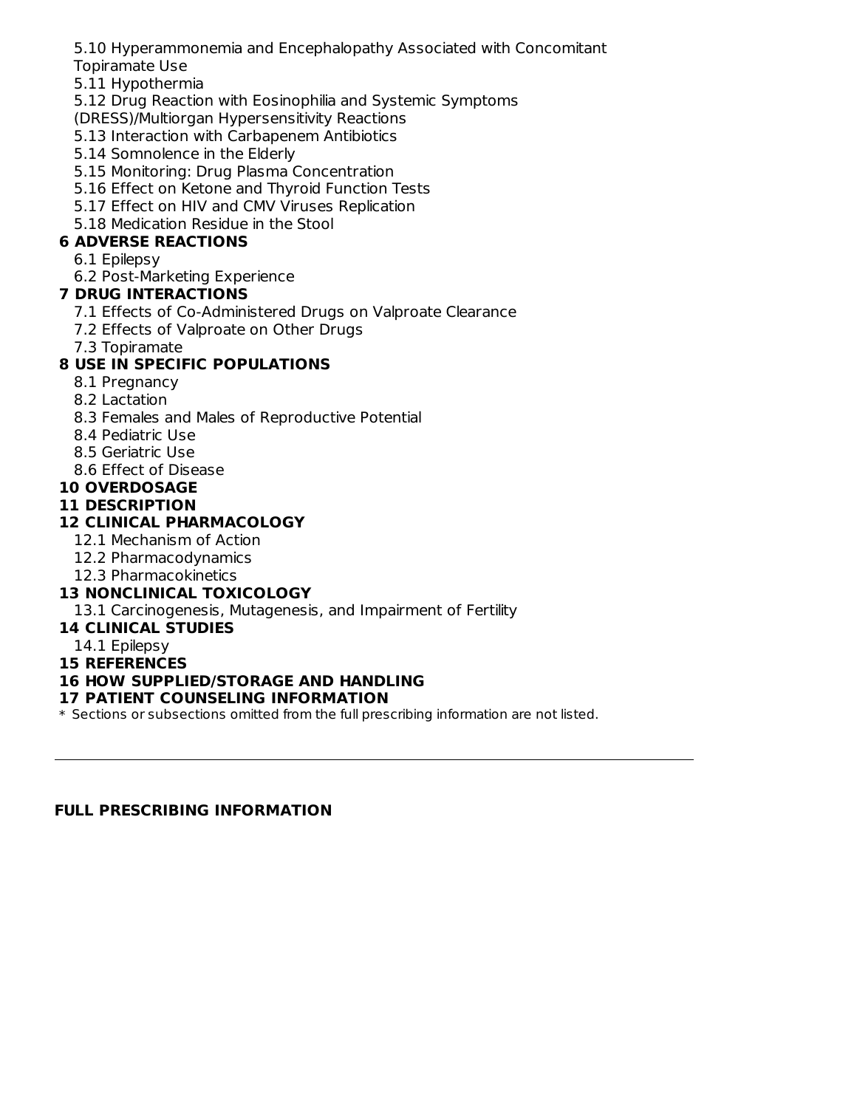5.10 Hyperammonemia and Encephalopathy Associated with Concomitant

#### Topiramate Use

- 5.11 Hypothermia
- 5.12 Drug Reaction with Eosinophilia and Systemic Symptoms

(DRESS)/Multiorgan Hypersensitivity Reactions

- 5.13 Interaction with Carbapenem Antibiotics
- 5.14 Somnolence in the Elderly
- 5.15 Monitoring: Drug Plasma Concentration
- 5.16 Effect on Ketone and Thyroid Function Tests
- 5.17 Effect on HIV and CMV Viruses Replication
- 5.18 Medication Residue in the Stool

## **6 ADVERSE REACTIONS**

- 6.1 Epilepsy
- 6.2 Post-Marketing Experience

## **7 DRUG INTERACTIONS**

- 7.1 Effects of Co-Administered Drugs on Valproate Clearance
- 7.2 Effects of Valproate on Other Drugs
- 7.3 Topiramate

## **8 USE IN SPECIFIC POPULATIONS**

- 8.1 Pregnancy
- 8.2 Lactation
- 8.3 Females and Males of Reproductive Potential
- 8.4 Pediatric Use
- 8.5 Geriatric Use
- 8.6 Effect of Disease
- **10 OVERDOSAGE**

### **11 DESCRIPTION**

## **12 CLINICAL PHARMACOLOGY**

- 12.1 Mechanism of Action
- 12.2 Pharmacodynamics
- 12.3 Pharmacokinetics

## **13 NONCLINICAL TOXICOLOGY**

13.1 Carcinogenesis, Mutagenesis, and Impairment of Fertility

#### **14 CLINICAL STUDIES**

- 14.1 Epilepsy
- **15 REFERENCES**

#### **16 HOW SUPPLIED/STORAGE AND HANDLING**

#### **17 PATIENT COUNSELING INFORMATION**

\* Sections or subsections omitted from the full prescribing information are not listed.

#### **FULL PRESCRIBING INFORMATION**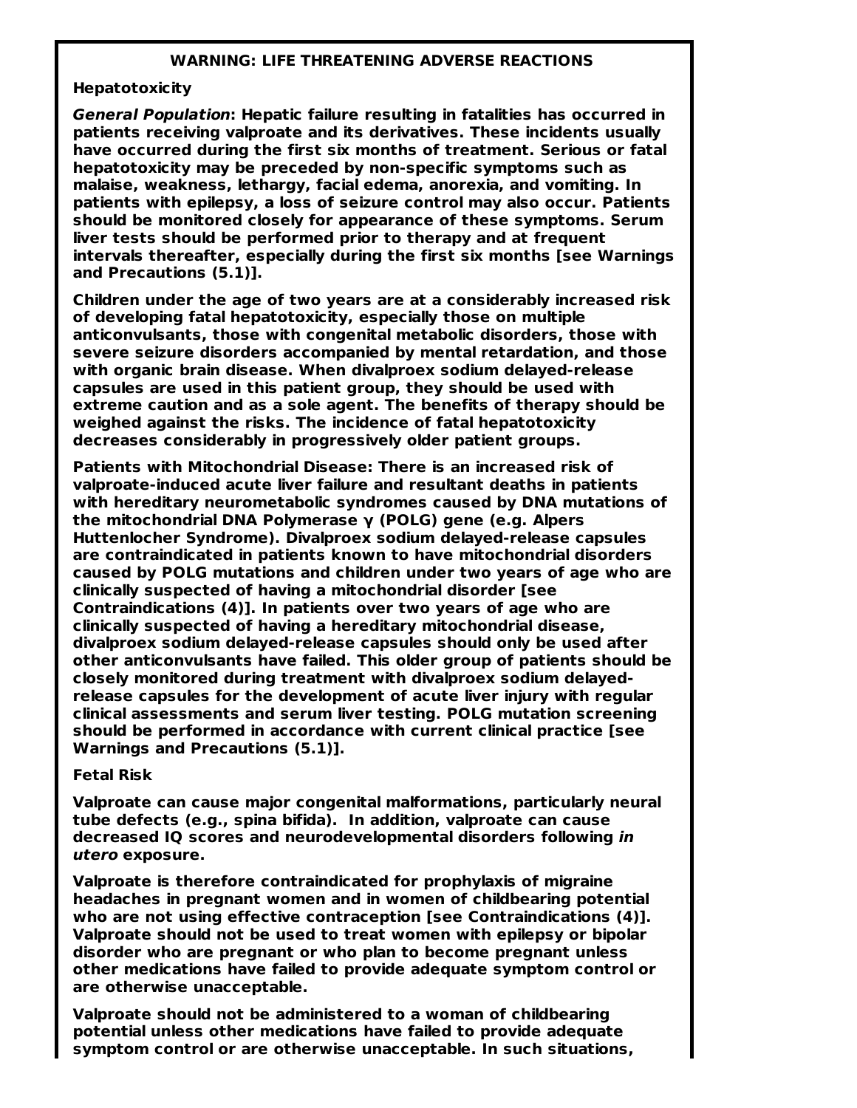#### **WARNING: LIFE THREATENING ADVERSE REACTIONS**

#### **Hepatotoxicity**

**General Population: Hepatic failure resulting in fatalities has occurred in patients receiving valproate and its derivatives. These incidents usually have occurred during the first six months of treatment. Serious or fatal hepatotoxicity may be preceded by non-specific symptoms such as malaise, weakness, lethargy, facial edema, anorexia, and vomiting. In patients with epilepsy, a loss of seizure control may also occur. Patients should be monitored closely for appearance of these symptoms. Serum liver tests should be performed prior to therapy and at frequent intervals thereafter, especially during the first six months [see Warnings and Precautions (5.1)].**

**Children under the age of two years are at a considerably increased risk of developing fatal hepatotoxicity, especially those on multiple anticonvulsants, those with congenital metabolic disorders, those with severe seizure disorders accompanied by mental retardation, and those with organic brain disease. When divalproex sodium delayed-release capsules are used in this patient group, they should be used with extreme caution and as a sole agent. The benefits of therapy should be weighed against the risks. The incidence of fatal hepatotoxicity decreases considerably in progressively older patient groups.**

**Patients with Mitochondrial Disease: There is an increased risk of valproate-induced acute liver failure and resultant deaths in patients with hereditary neurometabolic syndromes caused by DNA mutations of the mitochondrial DNA Polymerase γ (POLG) gene (e.g. Alpers Huttenlocher Syndrome). Divalproex sodium delayed-release capsules are contraindicated in patients known to have mitochondrial disorders caused by POLG mutations and children under two years of age who are clinically suspected of having a mitochondrial disorder [see Contraindications (4)]. In patients over two years of age who are clinically suspected of having a hereditary mitochondrial disease, divalproex sodium delayed-release capsules should only be used after other anticonvulsants have failed. This older group of patients should be closely monitored during treatment with divalproex sodium delayedrelease capsules for the development of acute liver injury with regular clinical assessments and serum liver testing. POLG mutation screening should be performed in accordance with current clinical practice [see Warnings and Precautions (5.1)].**

#### **Fetal Risk**

**Valproate can cause major congenital malformations, particularly neural tube defects (e.g., spina bifida). In addition, valproate can cause decreased IQ scores and neurodevelopmental disorders following in utero exposure.**

**Valproate is therefore contraindicated for prophylaxis of migraine headaches in pregnant women and in women of childbearing potential who are not using effective contraception [see Contraindications (4)]. Valproate should not be used to treat women with epilepsy or bipolar disorder who are pregnant or who plan to become pregnant unless other medications have failed to provide adequate symptom control or are otherwise unacceptable.**

**Valproate should not be administered to a woman of childbearing potential unless other medications have failed to provide adequate symptom control or are otherwise unacceptable. In such situations,**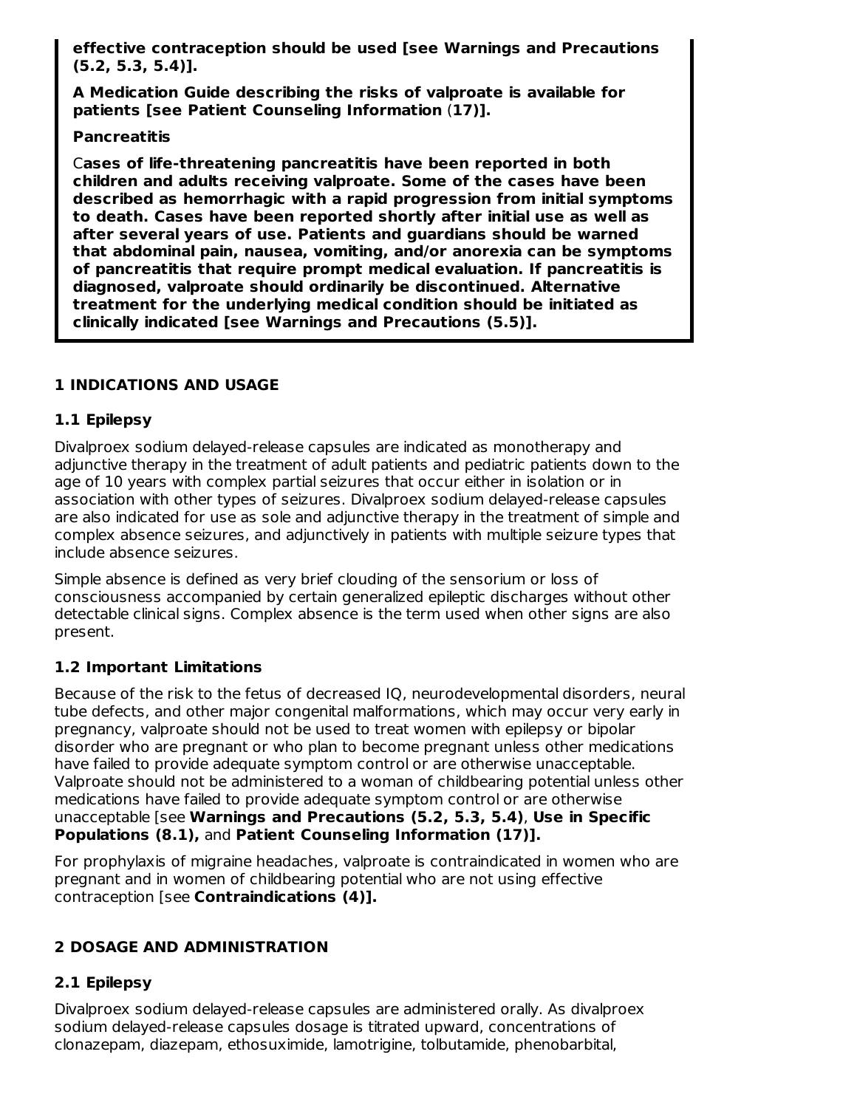**effective contraception should be used [see Warnings and Precautions (5.2, 5.3, 5.4)].**

**A Medication Guide describing the risks of valproate is available for patients [see Patient Counseling Information** (**17)].**

#### **Pancreatitis**

C**ases of life-threatening pancreatitis have been reported in both children and adults receiving valproate. Some of the cases have been described as hemorrhagic with a rapid progression from initial symptoms to death. Cases have been reported shortly after initial use as well as after several years of use. Patients and guardians should be warned that abdominal pain, nausea, vomiting, and/or anorexia can be symptoms of pancreatitis that require prompt medical evaluation. If pancreatitis is diagnosed, valproate should ordinarily be discontinued. Alternative treatment for the underlying medical condition should be initiated as clinically indicated [see Warnings and Precautions (5.5)].**

## **1 INDICATIONS AND USAGE**

## **1.1 Epilepsy**

Divalproex sodium delayed-release capsules are indicated as monotherapy and adjunctive therapy in the treatment of adult patients and pediatric patients down to the age of 10 years with complex partial seizures that occur either in isolation or in association with other types of seizures. Divalproex sodium delayed-release capsules are also indicated for use as sole and adjunctive therapy in the treatment of simple and complex absence seizures, and adjunctively in patients with multiple seizure types that include absence seizures.

Simple absence is defined as very brief clouding of the sensorium or loss of consciousness accompanied by certain generalized epileptic discharges without other detectable clinical signs. Complex absence is the term used when other signs are also present.

#### **1.2 Important Limitations**

Because of the risk to the fetus of decreased IQ, neurodevelopmental disorders, neural tube defects, and other major congenital malformations, which may occur very early in pregnancy, valproate should not be used to treat women with epilepsy or bipolar disorder who are pregnant or who plan to become pregnant unless other medications have failed to provide adequate symptom control or are otherwise unacceptable. Valproate should not be administered to a woman of childbearing potential unless other medications have failed to provide adequate symptom control or are otherwise unacceptable [see **Warnings and Precautions (5.2, 5.3, 5.4)**, **Use in Specific Populations (8.1),** and **Patient Counseling Information (17)].**

For prophylaxis of migraine headaches, valproate is contraindicated in women who are pregnant and in women of childbearing potential who are not using effective contraception [see **Contraindications (4)].**

## **2 DOSAGE AND ADMINISTRATION**

## **2.1 Epilepsy**

Divalproex sodium delayed-release capsules are administered orally. As divalproex sodium delayed-release capsules dosage is titrated upward, concentrations of clonazepam, diazepam, ethosuximide, lamotrigine, tolbutamide, phenobarbital,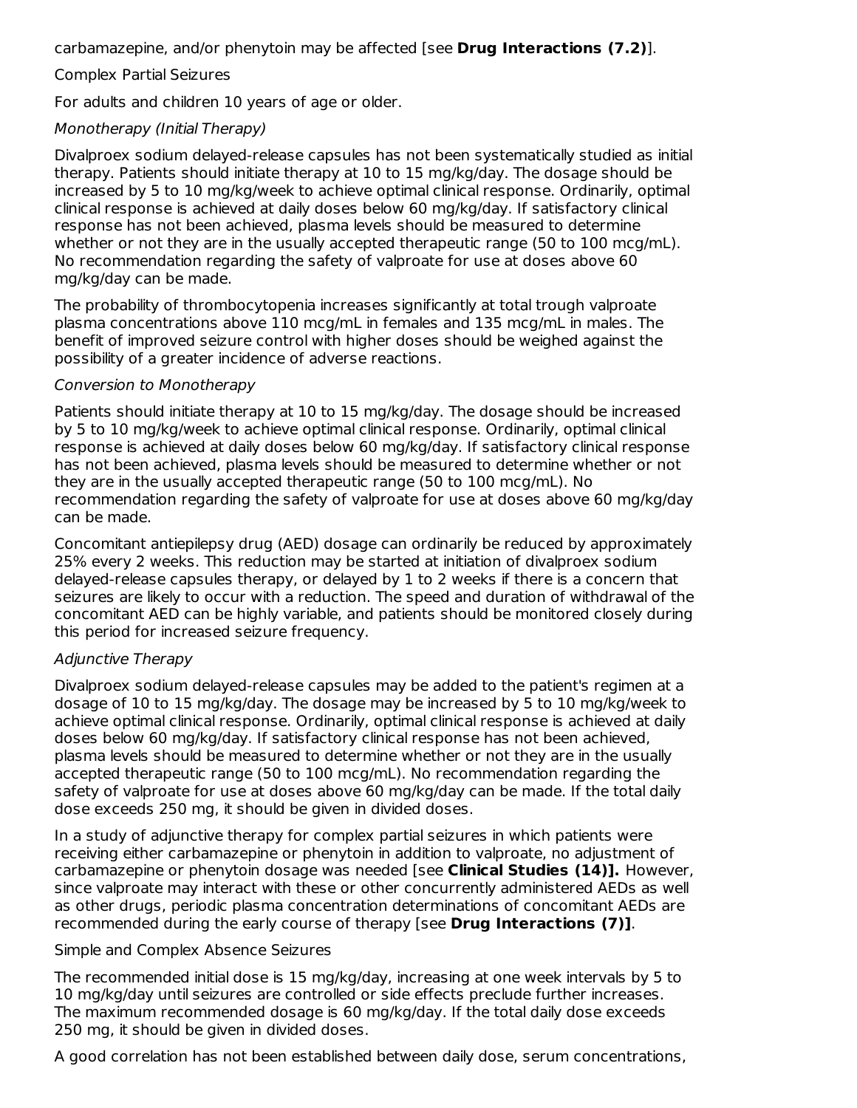carbamazepine, and/or phenytoin may be affected [see **Drug Interactions (7.2)**].

Complex Partial Seizures

For adults and children 10 years of age or older.

#### Monotherapy (Initial Therapy)

Divalproex sodium delayed-release capsules has not been systematically studied as initial therapy. Patients should initiate therapy at 10 to 15 mg/kg/day. The dosage should be increased by 5 to 10 mg/kg/week to achieve optimal clinical response. Ordinarily, optimal clinical response is achieved at daily doses below 60 mg/kg/day. If satisfactory clinical response has not been achieved, plasma levels should be measured to determine whether or not they are in the usually accepted therapeutic range (50 to 100 mcg/mL). No recommendation regarding the safety of valproate for use at doses above 60 mg/kg/day can be made.

The probability of thrombocytopenia increases significantly at total trough valproate plasma concentrations above 110 mcg/mL in females and 135 mcg/mL in males. The benefit of improved seizure control with higher doses should be weighed against the possibility of a greater incidence of adverse reactions.

#### Conversion to Monotherapy

Patients should initiate therapy at 10 to 15 mg/kg/day. The dosage should be increased by 5 to 10 mg/kg/week to achieve optimal clinical response. Ordinarily, optimal clinical response is achieved at daily doses below 60 mg/kg/day. If satisfactory clinical response has not been achieved, plasma levels should be measured to determine whether or not they are in the usually accepted therapeutic range (50 to 100 mcg/mL). No recommendation regarding the safety of valproate for use at doses above 60 mg/kg/day can be made.

Concomitant antiepilepsy drug (AED) dosage can ordinarily be reduced by approximately 25% every 2 weeks. This reduction may be started at initiation of divalproex sodium delayed-release capsules therapy, or delayed by 1 to 2 weeks if there is a concern that seizures are likely to occur with a reduction. The speed and duration of withdrawal of the concomitant AED can be highly variable, and patients should be monitored closely during this period for increased seizure frequency.

#### Adjunctive Therapy

Divalproex sodium delayed-release capsules may be added to the patient's regimen at a dosage of 10 to 15 mg/kg/day. The dosage may be increased by 5 to 10 mg/kg/week to achieve optimal clinical response. Ordinarily, optimal clinical response is achieved at daily doses below 60 mg/kg/day. If satisfactory clinical response has not been achieved, plasma levels should be measured to determine whether or not they are in the usually accepted therapeutic range (50 to 100 mcg/mL). No recommendation regarding the safety of valproate for use at doses above 60 mg/kg/day can be made. If the total daily dose exceeds 250 mg, it should be given in divided doses.

In a study of adjunctive therapy for complex partial seizures in which patients were receiving either carbamazepine or phenytoin in addition to valproate, no adjustment of carbamazepine or phenytoin dosage was needed [see **Clinical Studies (14)].** However, since valproate may interact with these or other concurrently administered AEDs as well as other drugs, periodic plasma concentration determinations of concomitant AEDs are recommended during the early course of therapy [see **Drug Interactions (7)]**.

#### Simple and Complex Absence Seizures

The recommended initial dose is 15 mg/kg/day, increasing at one week intervals by 5 to 10 mg/kg/day until seizures are controlled or side effects preclude further increases. The maximum recommended dosage is 60 mg/kg/day. If the total daily dose exceeds 250 mg, it should be given in divided doses.

A good correlation has not been established between daily dose, serum concentrations,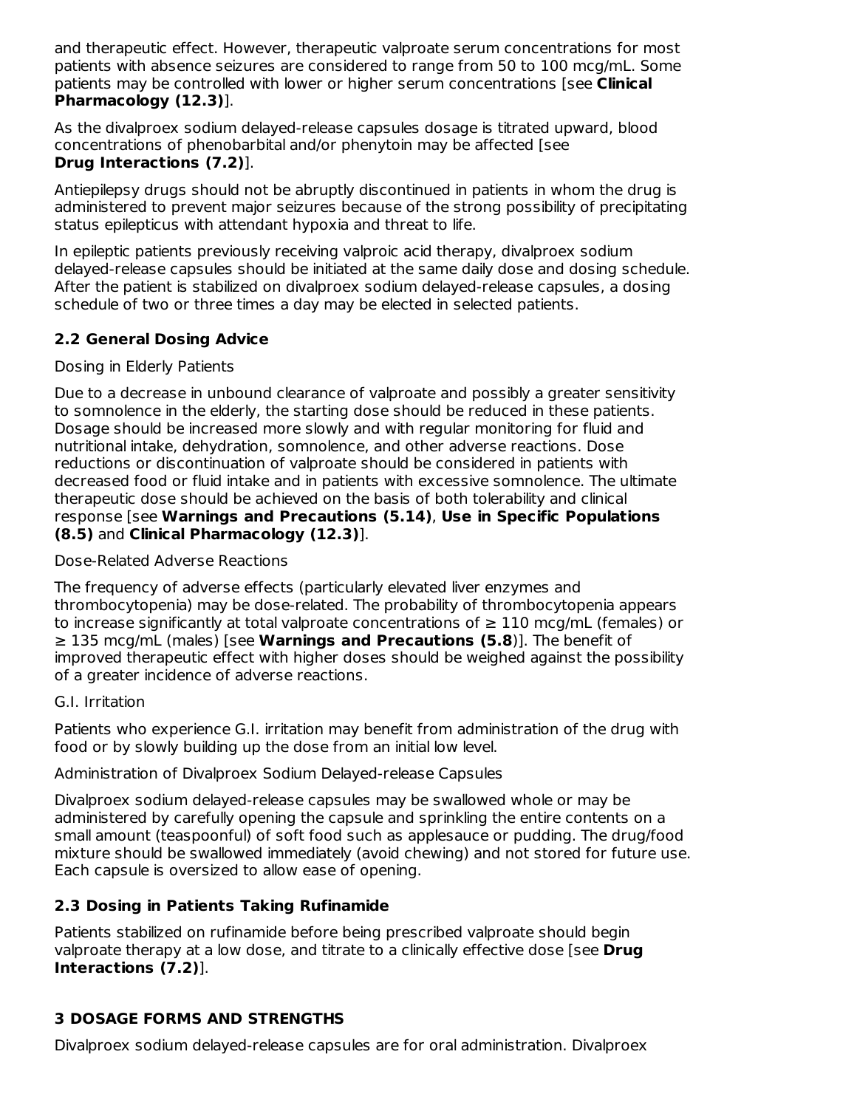and therapeutic effect. However, therapeutic valproate serum concentrations for most patients with absence seizures are considered to range from 50 to 100 mcg/mL. Some patients may be controlled with lower or higher serum concentrations [see **Clinical Pharmacology (12.3)**].

As the divalproex sodium delayed-release capsules dosage is titrated upward, blood concentrations of phenobarbital and/or phenytoin may be affected [see **Drug Interactions (7.2)**].

Antiepilepsy drugs should not be abruptly discontinued in patients in whom the drug is administered to prevent major seizures because of the strong possibility of precipitating status epilepticus with attendant hypoxia and threat to life.

In epileptic patients previously receiving valproic acid therapy, divalproex sodium delayed-release capsules should be initiated at the same daily dose and dosing schedule. After the patient is stabilized on divalproex sodium delayed-release capsules, a dosing schedule of two or three times a day may be elected in selected patients.

## **2.2 General Dosing Advice**

## Dosing in Elderly Patients

Due to a decrease in unbound clearance of valproate and possibly a greater sensitivity to somnolence in the elderly, the starting dose should be reduced in these patients. Dosage should be increased more slowly and with regular monitoring for fluid and nutritional intake, dehydration, somnolence, and other adverse reactions. Dose reductions or discontinuation of valproate should be considered in patients with decreased food or fluid intake and in patients with excessive somnolence. The ultimate therapeutic dose should be achieved on the basis of both tolerability and clinical response [see **Warnings and Precautions (5.14)**, **Use in Specific Populations (8.5)** and **Clinical Pharmacology (12.3)**].

### Dose-Related Adverse Reactions

The frequency of adverse effects (particularly elevated liver enzymes and thrombocytopenia) may be dose-related. The probability of thrombocytopenia appears to increase significantly at total valproate concentrations of  $\geq 110$  mcg/mL (females) or ≥ 135 mcg/mL (males) [see **Warnings and Precautions (5.8**)]. The benefit of improved therapeutic effect with higher doses should be weighed against the possibility of a greater incidence of adverse reactions.

#### G.I. Irritation

Patients who experience G.I. irritation may benefit from administration of the drug with food or by slowly building up the dose from an initial low level.

Administration of Divalproex Sodium Delayed-release Capsules

Divalproex sodium delayed-release capsules may be swallowed whole or may be administered by carefully opening the capsule and sprinkling the entire contents on a small amount (teaspoonful) of soft food such as applesauce or pudding. The drug/food mixture should be swallowed immediately (avoid chewing) and not stored for future use. Each capsule is oversized to allow ease of opening.

## **2.3 Dosing in Patients Taking Rufinamide**

Patients stabilized on rufinamide before being prescribed valproate should begin valproate therapy at a low dose, and titrate to a clinically effective dose [see **Drug Interactions (7.2)**].

# **3 DOSAGE FORMS AND STRENGTHS**

Divalproex sodium delayed-release capsules are for oral administration. Divalproex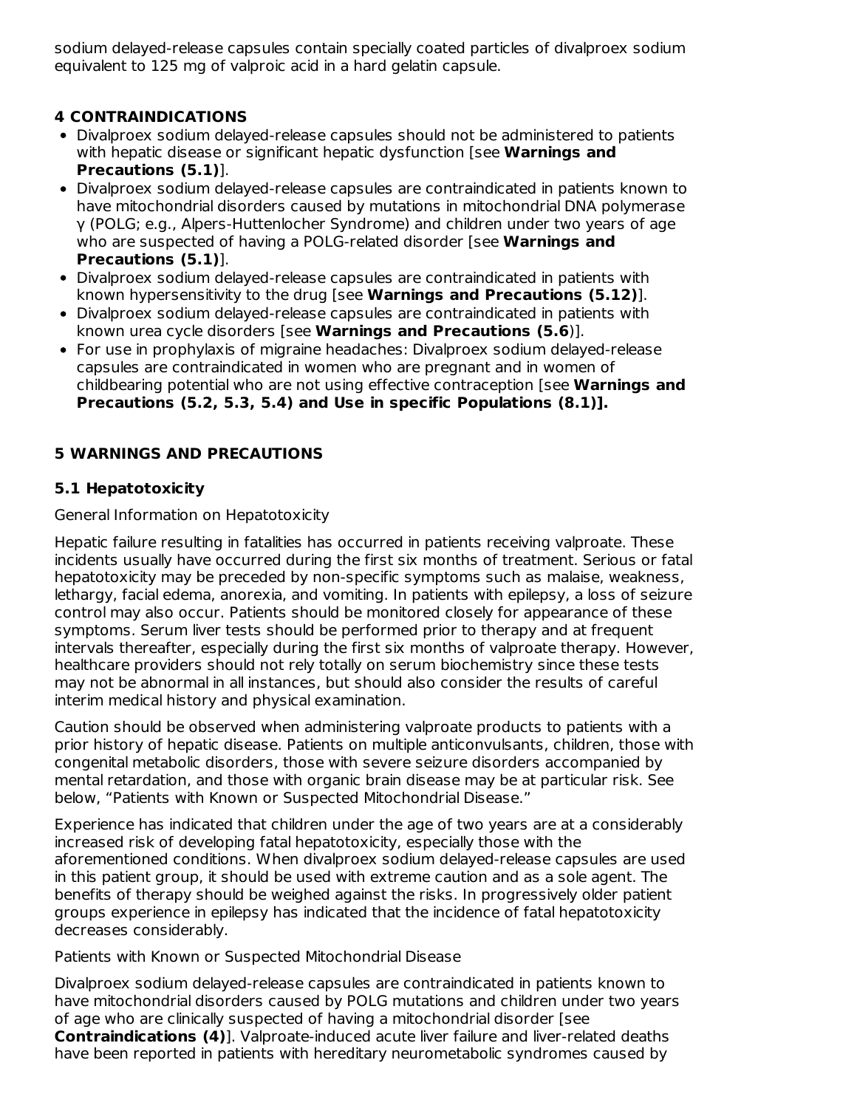sodium delayed-release capsules contain specially coated particles of divalproex sodium equivalent to 125 mg of valproic acid in a hard gelatin capsule.

# **4 CONTRAINDICATIONS**

- Divalproex sodium delayed-release capsules should not be administered to patients with hepatic disease or significant hepatic dysfunction [see **Warnings and Precautions (5.1)**].
- Divalproex sodium delayed-release capsules are contraindicated in patients known to have mitochondrial disorders caused by mutations in mitochondrial DNA polymerase γ (POLG; e.g., Alpers-Huttenlocher Syndrome) and children under two years of age who are suspected of having a POLG-related disorder [see **Warnings and Precautions (5.1)**].
- Divalproex sodium delayed-release capsules are contraindicated in patients with known hypersensitivity to the drug [see **Warnings and Precautions (5.12)**].
- Divalproex sodium delayed-release capsules are contraindicated in patients with known urea cycle disorders [see **Warnings and Precautions (5.6**)].
- For use in prophylaxis of migraine headaches: Divalproex sodium delayed-release capsules are contraindicated in women who are pregnant and in women of childbearing potential who are not using effective contraception [see **Warnings and Precautions (5.2, 5.3, 5.4) and Use in specific Populations (8.1)].**

# **5 WARNINGS AND PRECAUTIONS**

## **5.1 Hepatotoxicity**

General Information on Hepatotoxicity

Hepatic failure resulting in fatalities has occurred in patients receiving valproate. These incidents usually have occurred during the first six months of treatment. Serious or fatal hepatotoxicity may be preceded by non-specific symptoms such as malaise, weakness, lethargy, facial edema, anorexia, and vomiting. In patients with epilepsy, a loss of seizure control may also occur. Patients should be monitored closely for appearance of these symptoms. Serum liver tests should be performed prior to therapy and at frequent intervals thereafter, especially during the first six months of valproate therapy. However, healthcare providers should not rely totally on serum biochemistry since these tests may not be abnormal in all instances, but should also consider the results of careful interim medical history and physical examination.

Caution should be observed when administering valproate products to patients with a prior history of hepatic disease. Patients on multiple anticonvulsants, children, those with congenital metabolic disorders, those with severe seizure disorders accompanied by mental retardation, and those with organic brain disease may be at particular risk. See below, "Patients with Known or Suspected Mitochondrial Disease."

Experience has indicated that children under the age of two years are at a considerably increased risk of developing fatal hepatotoxicity, especially those with the aforementioned conditions. When divalproex sodium delayed-release capsules are used in this patient group, it should be used with extreme caution and as a sole agent. The benefits of therapy should be weighed against the risks. In progressively older patient groups experience in epilepsy has indicated that the incidence of fatal hepatotoxicity decreases considerably.

Patients with Known or Suspected Mitochondrial Disease

Divalproex sodium delayed-release capsules are contraindicated in patients known to have mitochondrial disorders caused by POLG mutations and children under two years of age who are clinically suspected of having a mitochondrial disorder [see **Contraindications (4)**]. Valproate-induced acute liver failure and liver-related deaths have been reported in patients with hereditary neurometabolic syndromes caused by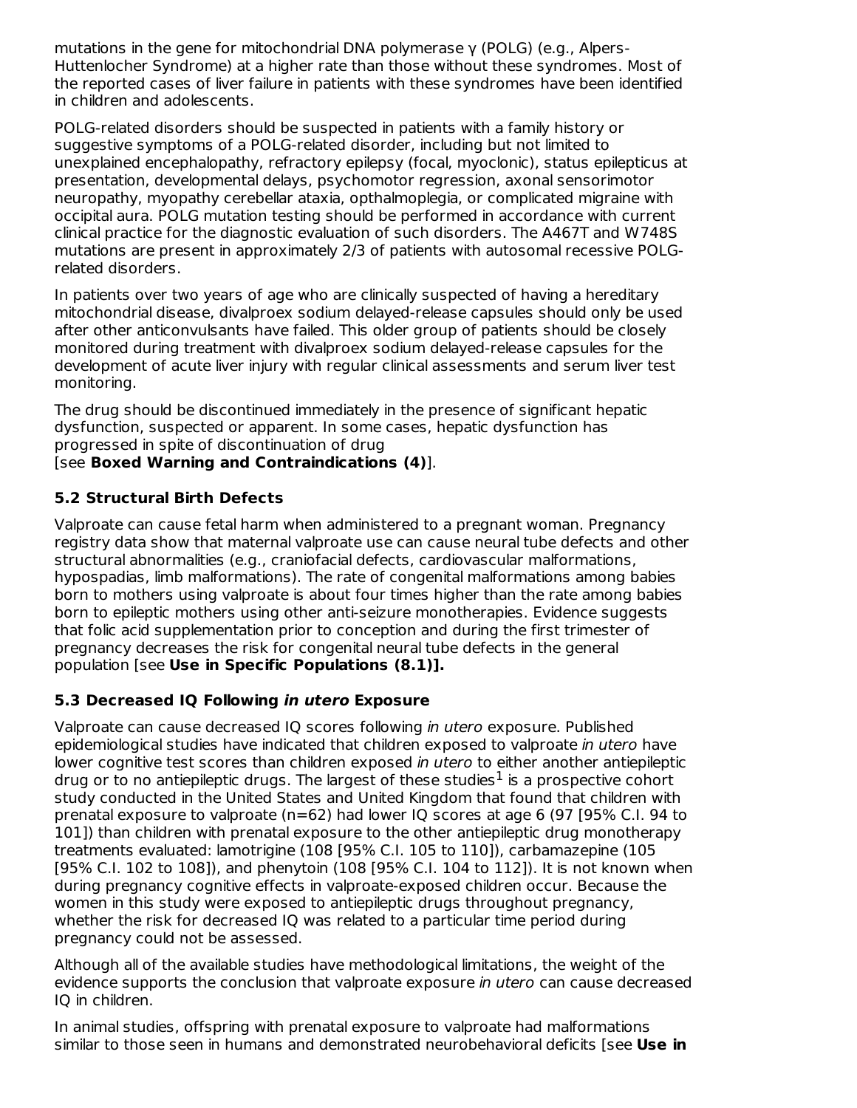mutations in the gene for mitochondrial DNA polymerase γ (POLG) (e.g., Alpers-Huttenlocher Syndrome) at a higher rate than those without these syndromes. Most of the reported cases of liver failure in patients with these syndromes have been identified in children and adolescents.

POLG-related disorders should be suspected in patients with a family history or suggestive symptoms of a POLG-related disorder, including but not limited to unexplained encephalopathy, refractory epilepsy (focal, myoclonic), status epilepticus at presentation, developmental delays, psychomotor regression, axonal sensorimotor neuropathy, myopathy cerebellar ataxia, opthalmoplegia, or complicated migraine with occipital aura. POLG mutation testing should be performed in accordance with current clinical practice for the diagnostic evaluation of such disorders. The A467T and W748S mutations are present in approximately 2/3 of patients with autosomal recessive POLGrelated disorders.

In patients over two vears of age who are clinically suspected of having a hereditary mitochondrial disease, divalproex sodium delayed-release capsules should only be used after other anticonvulsants have failed. This older group of patients should be closely monitored during treatment with divalproex sodium delayed-release capsules for the development of acute liver injury with regular clinical assessments and serum liver test monitoring.

The drug should be discontinued immediately in the presence of significant hepatic dysfunction, suspected or apparent. In some cases, hepatic dysfunction has progressed in spite of discontinuation of drug [see **Boxed Warning and Contraindications (4)**].

# **5.2 Structural Birth Defects**

Valproate can cause fetal harm when administered to a pregnant woman. Pregnancy registry data show that maternal valproate use can cause neural tube defects and other structural abnormalities (e.g., craniofacial defects, cardiovascular malformations, hypospadias, limb malformations). The rate of congenital malformations among babies born to mothers using valproate is about four times higher than the rate among babies born to epileptic mothers using other anti-seizure monotherapies. Evidence suggests that folic acid supplementation prior to conception and during the first trimester of pregnancy decreases the risk for congenital neural tube defects in the general population [see **Use in Specific Populations (8.1)].**

## **5.3 Decreased IQ Following in utero Exposure**

Valproate can cause decreased IQ scores following in utero exposure. Published epidemiological studies have indicated that children exposed to valproate in utero have lower cognitive test scores than children exposed in utero to either another antiepileptic drug or to no antiepileptic drugs. The largest of these studies $<sup>1</sup>$  is a prospective cohort</sup> study conducted in the United States and United Kingdom that found that children with prenatal exposure to valproate (n=62) had lower IQ scores at age 6 (97 [95% C.I. 94 to 101]) than children with prenatal exposure to the other antiepileptic drug monotherapy treatments evaluated: lamotrigine (108 [95% C.I. 105 to 110]), carbamazepine (105 [95% C.I. 102 to 108]), and phenytoin (108 [95% C.I. 104 to 112]). It is not known when during pregnancy cognitive effects in valproate-exposed children occur. Because the women in this study were exposed to antiepileptic drugs throughout pregnancy, whether the risk for decreased IQ was related to a particular time period during pregnancy could not be assessed.

Although all of the available studies have methodological limitations, the weight of the evidence supports the conclusion that valproate exposure in utero can cause decreased IQ in children.

In animal studies, offspring with prenatal exposure to valproate had malformations similar to those seen in humans and demonstrated neurobehavioral deficits [see **Use in**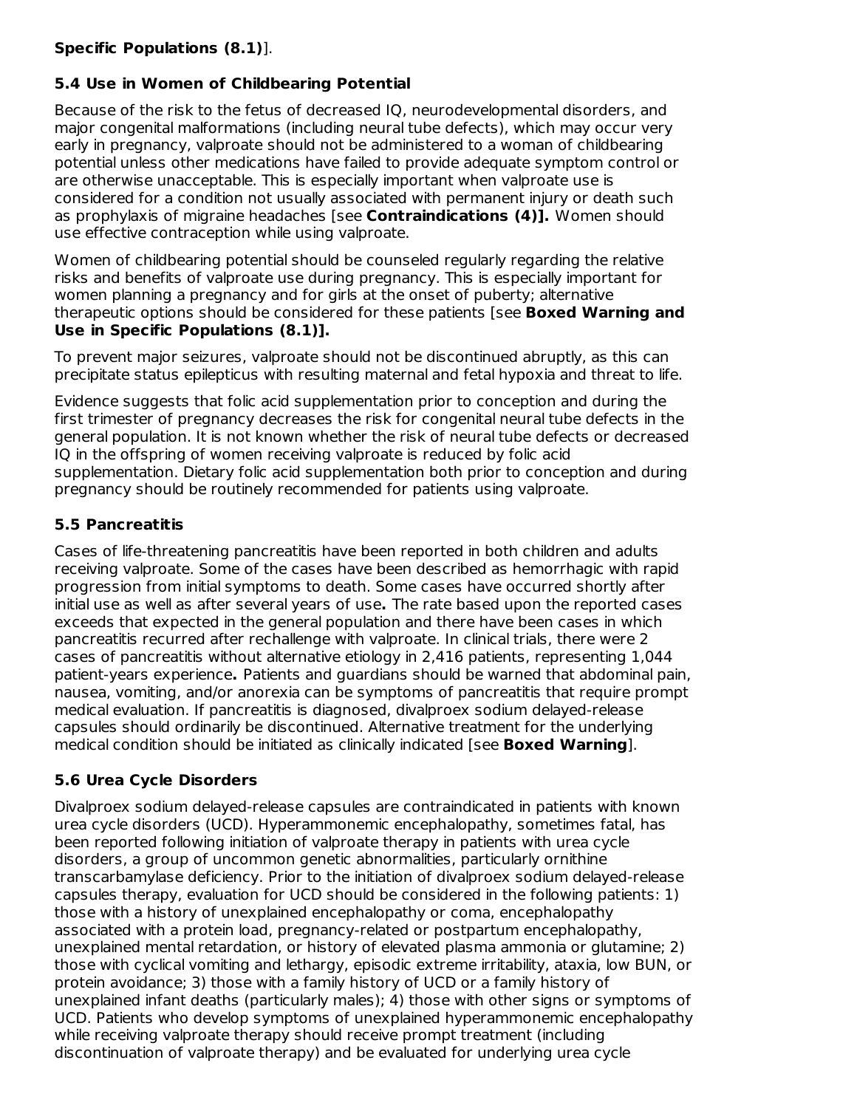## **Specific Populations (8.1)**].

# **5.4 Use in Women of Childbearing Potential**

Because of the risk to the fetus of decreased IQ, neurodevelopmental disorders, and major congenital malformations (including neural tube defects), which may occur very early in pregnancy, valproate should not be administered to a woman of childbearing potential unless other medications have failed to provide adequate symptom control or are otherwise unacceptable. This is especially important when valproate use is considered for a condition not usually associated with permanent injury or death such as prophylaxis of migraine headaches [see **Contraindications (4)].** Women should use effective contraception while using valproate.

Women of childbearing potential should be counseled regularly regarding the relative risks and benefits of valproate use during pregnancy. This is especially important for women planning a pregnancy and for girls at the onset of puberty; alternative therapeutic options should be considered for these patients [see **Boxed Warning and Use in Specific Populations (8.1)].**

To prevent major seizures, valproate should not be discontinued abruptly, as this can precipitate status epilepticus with resulting maternal and fetal hypoxia and threat to life.

Evidence suggests that folic acid supplementation prior to conception and during the first trimester of pregnancy decreases the risk for congenital neural tube defects in the general population. It is not known whether the risk of neural tube defects or decreased IQ in the offspring of women receiving valproate is reduced by folic acid supplementation. Dietary folic acid supplementation both prior to conception and during pregnancy should be routinely recommended for patients using valproate.

## **5.5 Pancreatitis**

Cases of life-threatening pancreatitis have been reported in both children and adults receiving valproate. Some of the cases have been described as hemorrhagic with rapid progression from initial symptoms to death. Some cases have occurred shortly after initial use as well as after several years of use**.** The rate based upon the reported cases exceeds that expected in the general population and there have been cases in which pancreatitis recurred after rechallenge with valproate. In clinical trials, there were 2 cases of pancreatitis without alternative etiology in 2,416 patients, representing 1,044 patient-years experience**.** Patients and guardians should be warned that abdominal pain, nausea, vomiting, and/or anorexia can be symptoms of pancreatitis that require prompt medical evaluation. If pancreatitis is diagnosed, divalproex sodium delayed-release capsules should ordinarily be discontinued. Alternative treatment for the underlying medical condition should be initiated as clinically indicated [see **Boxed Warning**].

## **5.6 Urea Cycle Disorders**

Divalproex sodium delayed-release capsules are contraindicated in patients with known urea cycle disorders (UCD). Hyperammonemic encephalopathy, sometimes fatal, has been reported following initiation of valproate therapy in patients with urea cycle disorders, a group of uncommon genetic abnormalities, particularly ornithine transcarbamylase deficiency. Prior to the initiation of divalproex sodium delayed-release capsules therapy, evaluation for UCD should be considered in the following patients: 1) those with a history of unexplained encephalopathy or coma, encephalopathy associated with a protein load, pregnancy-related or postpartum encephalopathy, unexplained mental retardation, or history of elevated plasma ammonia or glutamine; 2) those with cyclical vomiting and lethargy, episodic extreme irritability, ataxia, low BUN, or protein avoidance; 3) those with a family history of UCD or a family history of unexplained infant deaths (particularly males); 4) those with other signs or symptoms of UCD. Patients who develop symptoms of unexplained hyperammonemic encephalopathy while receiving valproate therapy should receive prompt treatment (including discontinuation of valproate therapy) and be evaluated for underlying urea cycle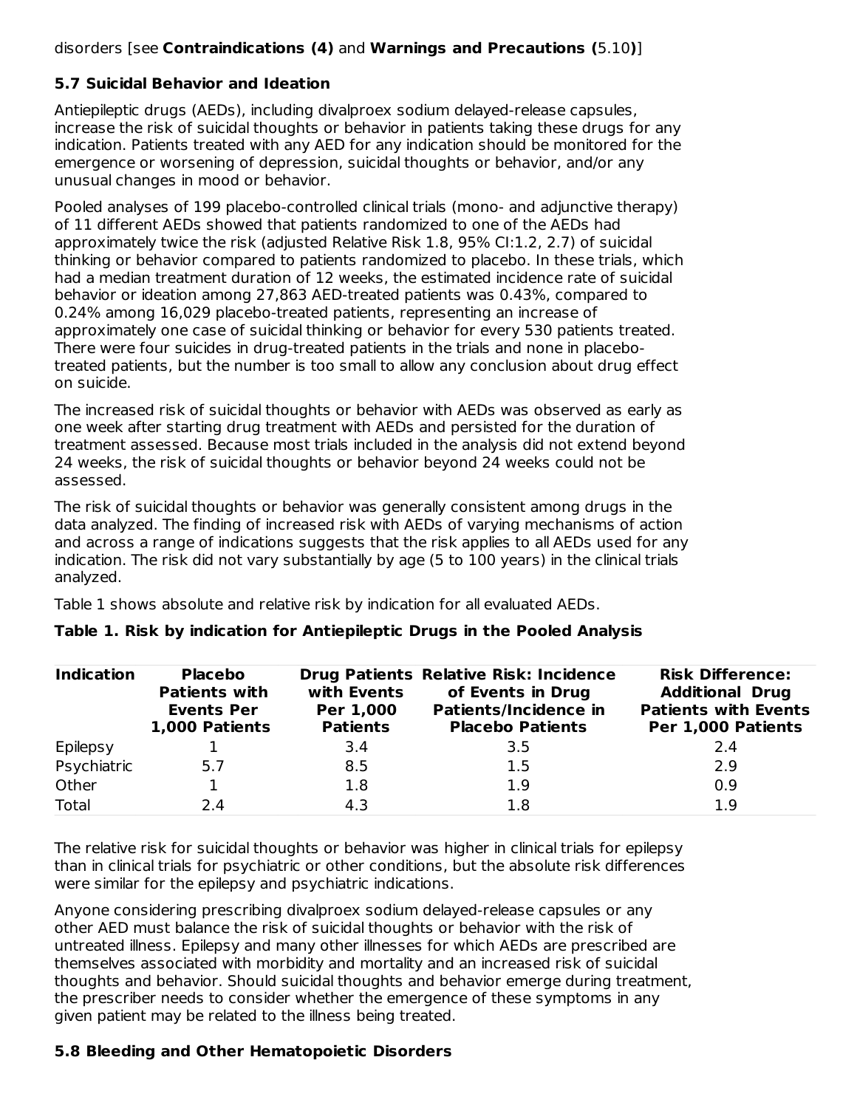### disorders [see **Contraindications (4)** and **Warnings and Precautions (**5.10**)**]

#### **5.7 Suicidal Behavior and Ideation**

Antiepileptic drugs (AEDs), including divalproex sodium delayed-release capsules, increase the risk of suicidal thoughts or behavior in patients taking these drugs for any indication. Patients treated with any AED for any indication should be monitored for the emergence or worsening of depression, suicidal thoughts or behavior, and/or any unusual changes in mood or behavior.

Pooled analyses of 199 placebo-controlled clinical trials (mono- and adjunctive therapy) of 11 different AEDs showed that patients randomized to one of the AEDs had approximately twice the risk (adjusted Relative Risk 1.8, 95% CI:1.2, 2.7) of suicidal thinking or behavior compared to patients randomized to placebo. In these trials, which had a median treatment duration of 12 weeks, the estimated incidence rate of suicidal behavior or ideation among 27,863 AED-treated patients was 0.43%, compared to 0.24% among 16,029 placebo-treated patients, representing an increase of approximately one case of suicidal thinking or behavior for every 530 patients treated. There were four suicides in drug-treated patients in the trials and none in placebotreated patients, but the number is too small to allow any conclusion about drug effect on suicide.

The increased risk of suicidal thoughts or behavior with AEDs was observed as early as one week after starting drug treatment with AEDs and persisted for the duration of treatment assessed. Because most trials included in the analysis did not extend beyond 24 weeks, the risk of suicidal thoughts or behavior beyond 24 weeks could not be assessed.

The risk of suicidal thoughts or behavior was generally consistent among drugs in the data analyzed. The finding of increased risk with AEDs of varying mechanisms of action and across a range of indications suggests that the risk applies to all AEDs used for any indication. The risk did not vary substantially by age (5 to 100 years) in the clinical trials analyzed.

Table 1 shows absolute and relative risk by indication for all evaluated AEDs.

| <b>Indication</b> | <b>Placebo</b><br><b>Patients with</b><br><b>Events Per</b><br>1,000 Patients | with Events<br>Per 1,000<br><b>Patients</b> | <b>Drug Patients Relative Risk: Incidence</b><br>of Events in Drug<br>Patients/Incidence in<br><b>Placebo Patients</b> | <b>Risk Difference:</b><br><b>Additional Drug</b><br><b>Patients with Events</b><br>Per 1,000 Patients |
|-------------------|-------------------------------------------------------------------------------|---------------------------------------------|------------------------------------------------------------------------------------------------------------------------|--------------------------------------------------------------------------------------------------------|
| Epilepsy          |                                                                               | 3.4                                         | 3.5                                                                                                                    | 2.4                                                                                                    |
| Psychiatric       | 5.7                                                                           | 8.5                                         | 1.5                                                                                                                    | 2.9                                                                                                    |
| Other             |                                                                               | 1.8                                         | 1.9                                                                                                                    | 0.9                                                                                                    |
| Total             | 2.4                                                                           | 4.3                                         | 1.8                                                                                                                    | 1.9                                                                                                    |

#### **Table 1. Risk by indication for Antiepileptic Drugs in the Pooled Analysis**

The relative risk for suicidal thoughts or behavior was higher in clinical trials for epilepsy than in clinical trials for psychiatric or other conditions, but the absolute risk differences were similar for the epilepsy and psychiatric indications.

Anyone considering prescribing divalproex sodium delayed-release capsules or any other AED must balance the risk of suicidal thoughts or behavior with the risk of untreated illness. Epilepsy and many other illnesses for which AEDs are prescribed are themselves associated with morbidity and mortality and an increased risk of suicidal thoughts and behavior. Should suicidal thoughts and behavior emerge during treatment, the prescriber needs to consider whether the emergence of these symptoms in any given patient may be related to the illness being treated.

#### **5.8 Bleeding and Other Hematopoietic Disorders**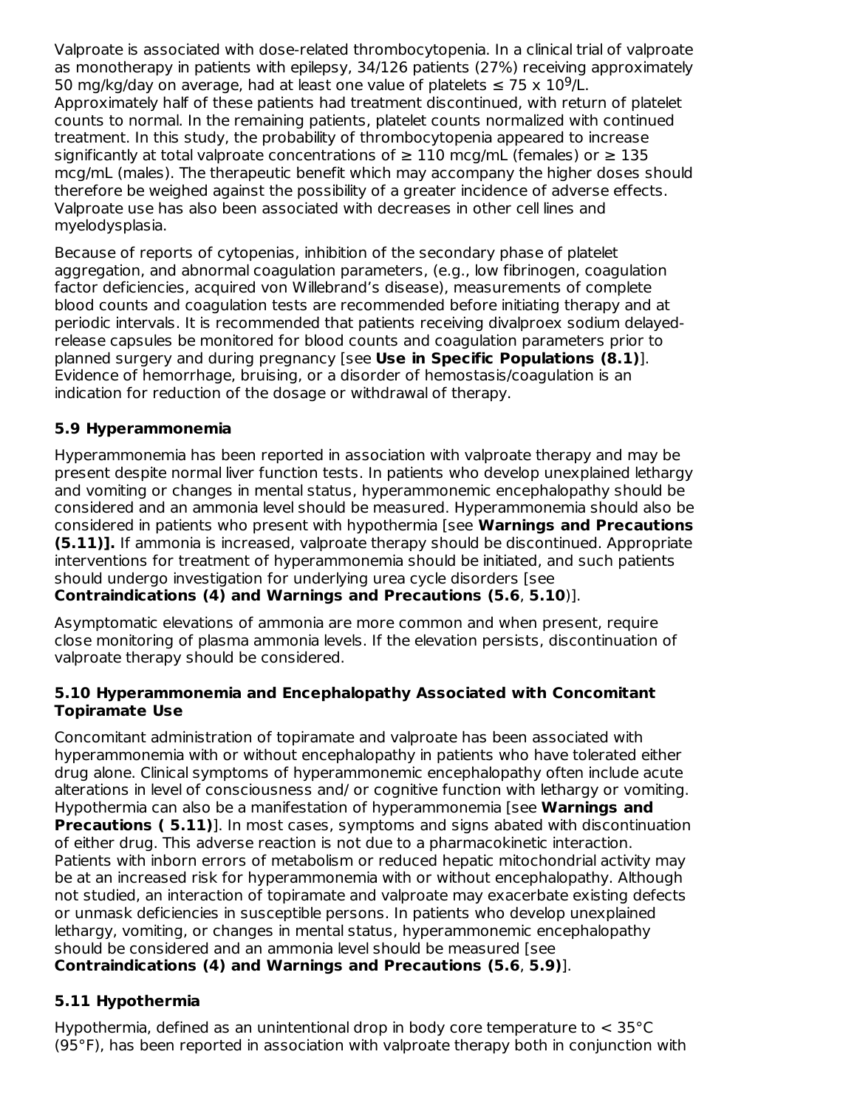Valproate is associated with dose-related thrombocytopenia. In a clinical trial of valproate as monotherapy in patients with epilepsy, 34/126 patients (27%) receiving approximately 50 mg/kg/day on average, had at least one value of platelets  $\leq 75 \times 10^9$ /L. Approximately half of these patients had treatment discontinued, with return of platelet counts to normal. In the remaining patients, platelet counts normalized with continued treatment. In this study, the probability of thrombocytopenia appeared to increase significantly at total valproate concentrations of  $\geq 110$  mcg/mL (females) or  $\geq 135$ mcg/mL (males). The therapeutic benefit which may accompany the higher doses should therefore be weighed against the possibility of a greater incidence of adverse effects. Valproate use has also been associated with decreases in other cell lines and myelodysplasia.

Because of reports of cytopenias, inhibition of the secondary phase of platelet aggregation, and abnormal coagulation parameters, (e.g., low fibrinogen, coagulation factor deficiencies, acquired von Willebrand's disease), measurements of complete blood counts and coagulation tests are recommended before initiating therapy and at periodic intervals. It is recommended that patients receiving divalproex sodium delayedrelease capsules be monitored for blood counts and coagulation parameters prior to planned surgery and during pregnancy [see **Use in Specific Populations (8.1)**]. Evidence of hemorrhage, bruising, or a disorder of hemostasis/coagulation is an indication for reduction of the dosage or withdrawal of therapy.

## **5.9 Hyperammonemia**

Hyperammonemia has been reported in association with valproate therapy and may be present despite normal liver function tests. In patients who develop unexplained lethargy and vomiting or changes in mental status, hyperammonemic encephalopathy should be considered and an ammonia level should be measured. Hyperammonemia should also be considered in patients who present with hypothermia [see **Warnings and Precautions (5.11)].** If ammonia is increased, valproate therapy should be discontinued. Appropriate interventions for treatment of hyperammonemia should be initiated, and such patients should undergo investigation for underlying urea cycle disorders [see

#### **Contraindications (4) and Warnings and Precautions (5.6**, **5.10**)].

Asymptomatic elevations of ammonia are more common and when present, require close monitoring of plasma ammonia levels. If the elevation persists, discontinuation of valproate therapy should be considered.

#### **5.10 Hyperammonemia and Encephalopathy Associated with Concomitant Topiramate Use**

Concomitant administration of topiramate and valproate has been associated with hyperammonemia with or without encephalopathy in patients who have tolerated either drug alone. Clinical symptoms of hyperammonemic encephalopathy often include acute alterations in level of consciousness and/ or cognitive function with lethargy or vomiting. Hypothermia can also be a manifestation of hyperammonemia [see **Warnings and Precautions ( 5.11)**]. In most cases, symptoms and signs abated with discontinuation of either drug. This adverse reaction is not due to a pharmacokinetic interaction. Patients with inborn errors of metabolism or reduced hepatic mitochondrial activity may be at an increased risk for hyperammonemia with or without encephalopathy. Although not studied, an interaction of topiramate and valproate may exacerbate existing defects or unmask deficiencies in susceptible persons. In patients who develop unexplained lethargy, vomiting, or changes in mental status, hyperammonemic encephalopathy should be considered and an ammonia level should be measured [see

## **Contraindications (4) and Warnings and Precautions (5.6**, **5.9)**].

# **5.11 Hypothermia**

Hypothermia, defined as an unintentional drop in body core temperature to < 35°C (95°F), has been reported in association with valproate therapy both in conjunction with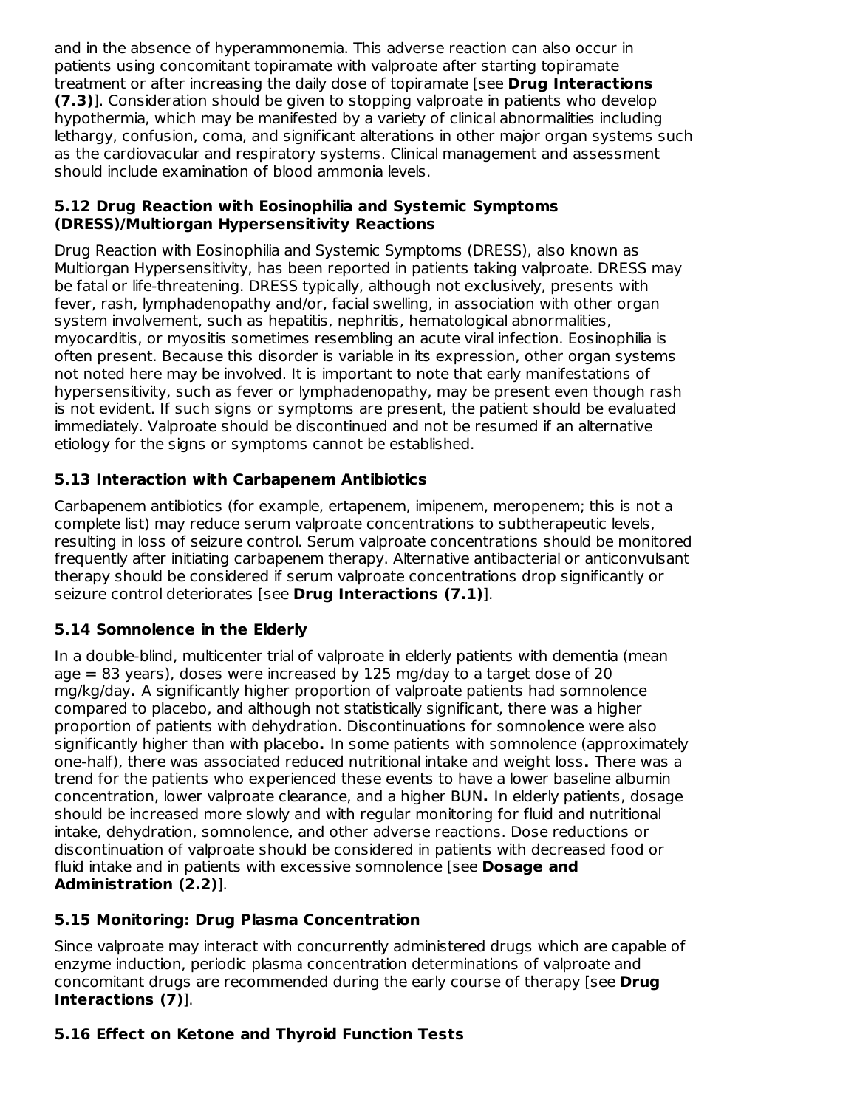and in the absence of hyperammonemia. This adverse reaction can also occur in patients using concomitant topiramate with valproate after starting topiramate treatment or after increasing the daily dose of topiramate [see **Drug Interactions (7.3)**]. Consideration should be given to stopping valproate in patients who develop hypothermia, which may be manifested by a variety of clinical abnormalities including lethargy, confusion, coma, and significant alterations in other major organ systems such as the cardiovacular and respiratory systems. Clinical management and assessment should include examination of blood ammonia levels.

#### **5.12 Drug Reaction with Eosinophilia and Systemic Symptoms (DRESS)/Multiorgan Hypersensitivity Reactions**

Drug Reaction with Eosinophilia and Systemic Symptoms (DRESS), also known as Multiorgan Hypersensitivity, has been reported in patients taking valproate. DRESS may be fatal or life-threatening. DRESS typically, although not exclusively, presents with fever, rash, lymphadenopathy and/or, facial swelling, in association with other organ system involvement, such as hepatitis, nephritis, hematological abnormalities, myocarditis, or myositis sometimes resembling an acute viral infection. Eosinophilia is often present. Because this disorder is variable in its expression, other organ systems not noted here may be involved. It is important to note that early manifestations of hypersensitivity, such as fever or lymphadenopathy, may be present even though rash is not evident. If such signs or symptoms are present, the patient should be evaluated immediately. Valproate should be discontinued and not be resumed if an alternative etiology for the signs or symptoms cannot be established.

# **5.13 Interaction with Carbapenem Antibiotics**

Carbapenem antibiotics (for example, ertapenem, imipenem, meropenem; this is not a complete list) may reduce serum valproate concentrations to subtherapeutic levels, resulting in loss of seizure control. Serum valproate concentrations should be monitored frequently after initiating carbapenem therapy. Alternative antibacterial or anticonvulsant therapy should be considered if serum valproate concentrations drop significantly or seizure control deteriorates [see **Drug Interactions (7.1)**].

## **5.14 Somnolence in the Elderly**

In a double-blind, multicenter trial of valproate in elderly patients with dementia (mean age  $= 83$  years), doses were increased by 125 mg/day to a target dose of 20 mg/kg/day**.** A significantly higher proportion of valproate patients had somnolence compared to placebo, and although not statistically significant, there was a higher proportion of patients with dehydration. Discontinuations for somnolence were also significantly higher than with placebo**.** In some patients with somnolence (approximately one-half), there was associated reduced nutritional intake and weight loss**.** There was a trend for the patients who experienced these events to have a lower baseline albumin concentration, lower valproate clearance, and a higher BUN**.** In elderly patients, dosage should be increased more slowly and with regular monitoring for fluid and nutritional intake, dehydration, somnolence, and other adverse reactions. Dose reductions or discontinuation of valproate should be considered in patients with decreased food or fluid intake and in patients with excessive somnolence [see **Dosage and Administration (2.2)**].

## **5.15 Monitoring: Drug Plasma Concentration**

Since valproate may interact with concurrently administered drugs which are capable of enzyme induction, periodic plasma concentration determinations of valproate and concomitant drugs are recommended during the early course of therapy [see **Drug Interactions (7)**].

# **5.16 Effect on Ketone and Thyroid Function Tests**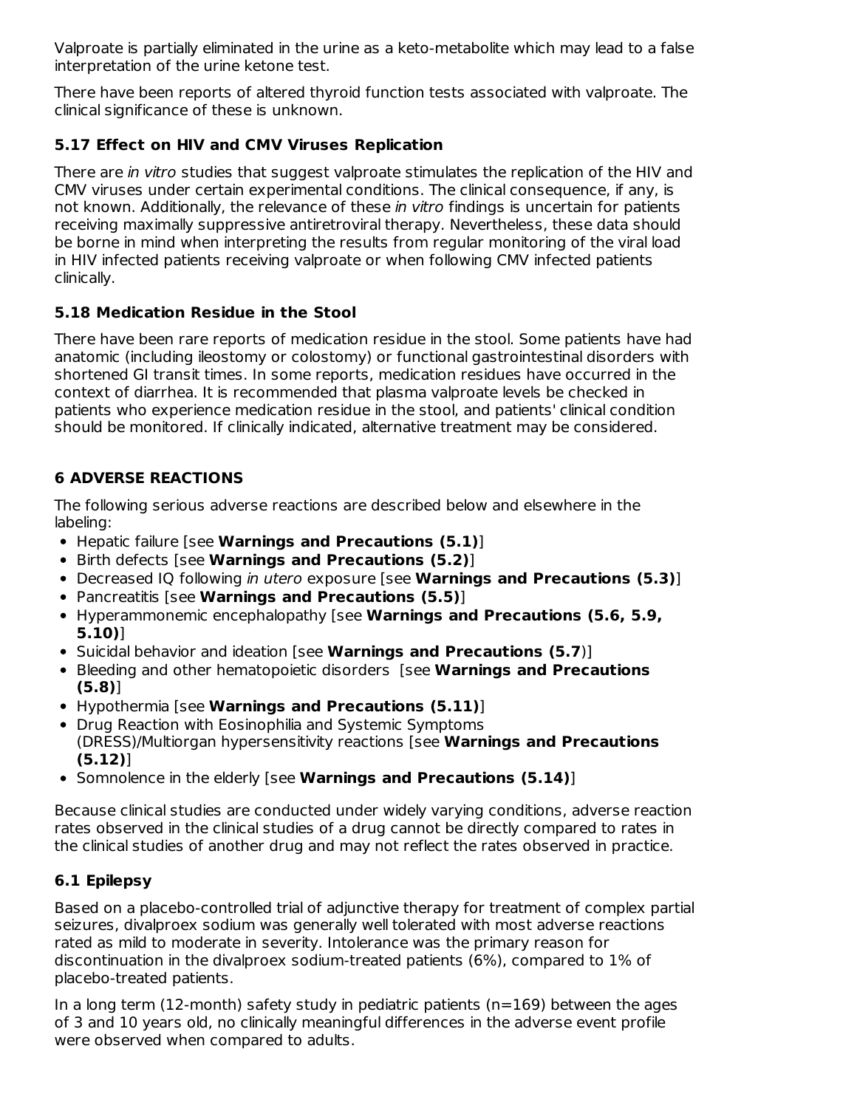Valproate is partially eliminated in the urine as a keto-metabolite which may lead to a false interpretation of the urine ketone test.

There have been reports of altered thyroid function tests associated with valproate. The clinical significance of these is unknown.

# **5.17 Effect on HIV and CMV Viruses Replication**

There are in vitro studies that suggest valproate stimulates the replication of the HIV and CMV viruses under certain experimental conditions. The clinical consequence, if any, is not known. Additionally, the relevance of these in vitro findings is uncertain for patients receiving maximally suppressive antiretroviral therapy. Nevertheless, these data should be borne in mind when interpreting the results from regular monitoring of the viral load in HIV infected patients receiving valproate or when following CMV infected patients clinically.

# **5.18 Medication Residue in the Stool**

There have been rare reports of medication residue in the stool. Some patients have had anatomic (including ileostomy or colostomy) or functional gastrointestinal disorders with shortened GI transit times. In some reports, medication residues have occurred in the context of diarrhea. It is recommended that plasma valproate levels be checked in patients who experience medication residue in the stool, and patients' clinical condition should be monitored. If clinically indicated, alternative treatment may be considered.

# **6 ADVERSE REACTIONS**

The following serious adverse reactions are described below and elsewhere in the labeling:

- Hepatic failure [see **Warnings and Precautions (5.1)**]
- Birth defects [see **Warnings and Precautions (5.2)**]
- Decreased IQ following in utero exposure [see **Warnings and Precautions (5.3)**]
- Pancreatitis [see **Warnings and Precautions (5.5)**]
- Hyperammonemic encephalopathy [see **Warnings and Precautions (5.6, 5.9, 5.10)**]
- Suicidal behavior and ideation [see **Warnings and Precautions (5.7**)]
- Bleeding and other hematopoietic disorders [see **Warnings and Precautions (5.8)**]
- Hypothermia [see **Warnings and Precautions (5.11)**]
- Drug Reaction with Eosinophilia and Systemic Symptoms (DRESS)/Multiorgan hypersensitivity reactions [see **Warnings and Precautions (5.12)**]
- Somnolence in the elderly [see **Warnings and Precautions (5.14)**]

Because clinical studies are conducted under widely varying conditions, adverse reaction rates observed in the clinical studies of a drug cannot be directly compared to rates in the clinical studies of another drug and may not reflect the rates observed in practice.

# **6.1 Epilepsy**

Based on a placebo-controlled trial of adjunctive therapy for treatment of complex partial seizures, divalproex sodium was generally well tolerated with most adverse reactions rated as mild to moderate in severity. Intolerance was the primary reason for discontinuation in the divalproex sodium-treated patients (6%), compared to 1% of placebo-treated patients.

In a long term (12-month) safety study in pediatric patients ( $n=169$ ) between the ages of 3 and 10 years old, no clinically meaningful differences in the adverse event profile were observed when compared to adults.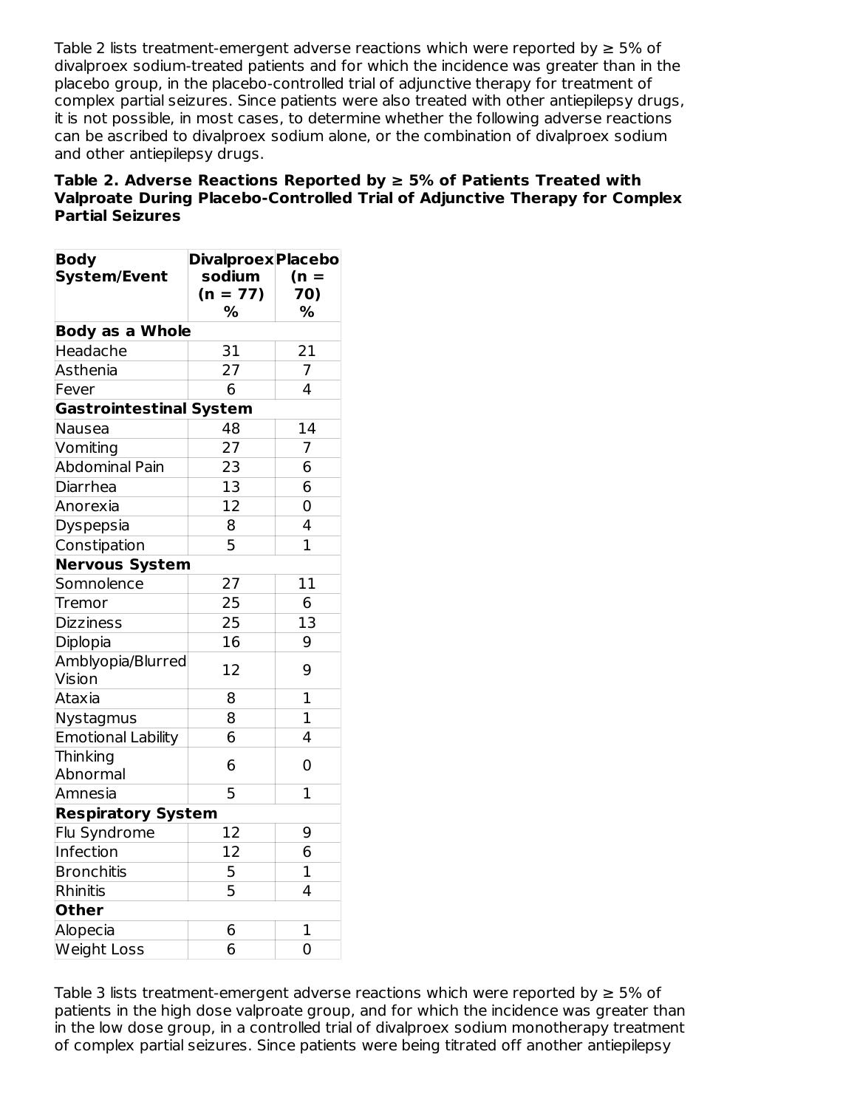Table 2 lists treatment-emergent adverse reactions which were reported by  $\geq 5\%$  of divalproex sodium-treated patients and for which the incidence was greater than in the placebo group, in the placebo-controlled trial of adjunctive therapy for treatment of complex partial seizures. Since patients were also treated with other antiepilepsy drugs, it is not possible, in most cases, to determine whether the following adverse reactions can be ascribed to divalproex sodium alone, or the combination of divalproex sodium and other antiepilepsy drugs.

### **Table 2. Adverse Reactions Reported by ≥ 5% of Patients Treated with Valproate During Placebo-Controlled Trial of Adjunctive Therapy for Complex Partial Seizures**

| <b>Body</b><br><b>System/Event</b> | <b>Divalproex Placebo</b><br>sodium | $(n =$         |  |  |
|------------------------------------|-------------------------------------|----------------|--|--|
|                                    | $(n = 77)$                          | 70)            |  |  |
|                                    | %                                   | %              |  |  |
| <b>Body as a Whole</b>             |                                     |                |  |  |
| Headache                           | 31                                  | 21             |  |  |
| Asthenia                           | 27                                  | 7              |  |  |
| Fever                              | 6                                   | $\overline{4}$ |  |  |
| <b>Gastrointestinal System</b>     |                                     |                |  |  |
| Nausea                             | 48                                  | 14             |  |  |
| Vomiting                           | 27                                  | 7              |  |  |
| <b>Abdominal Pain</b>              | 23                                  | 6              |  |  |
| Diarrhea                           | 13                                  | 6              |  |  |
| Anorexia                           | 12                                  | 0              |  |  |
| Dyspepsia                          | 8                                   | 4              |  |  |
| Constipation                       | 5                                   | 1              |  |  |
| <b>Nervous System</b>              |                                     |                |  |  |
| Somnolence                         | 27                                  | 11             |  |  |
| Tremor                             | 25                                  | 6              |  |  |
| <b>Dizziness</b>                   | 25                                  | 13             |  |  |
| Diplopia                           | 16                                  | 9              |  |  |
| Amblyopia/Blurred                  | 12                                  | 9              |  |  |
| Vision                             |                                     |                |  |  |
| Ataxia                             | 8                                   | $\mathbf{1}$   |  |  |
| Nystagmus                          | 8                                   | $\mathbf 1$    |  |  |
| <b>Emotional Lability</b>          | 6                                   | 4              |  |  |
| Thinking                           | 6                                   | $\overline{0}$ |  |  |
| Abnormal                           |                                     |                |  |  |
| Amnesia                            | 5                                   | $\mathbf{1}$   |  |  |
| <b>Respiratory System</b>          |                                     |                |  |  |
| Flu Syndrome                       | 12                                  | 9              |  |  |
| Infection                          | 12                                  | 6              |  |  |
| <b>Bronchitis</b>                  | 5                                   | $\mathbf 1$    |  |  |
| Rhinitis                           | 5                                   | 4              |  |  |
| <b>Other</b>                       |                                     |                |  |  |
| Alopecia                           | 6                                   | $\overline{1}$ |  |  |
| <b>Weight Loss</b>                 | 6                                   | 0              |  |  |

Table 3 lists treatment-emergent adverse reactions which were reported by  $\geq 5\%$  of patients in the high dose valproate group, and for which the incidence was greater than in the low dose group, in a controlled trial of divalproex sodium monotherapy treatment of complex partial seizures. Since patients were being titrated off another antiepilepsy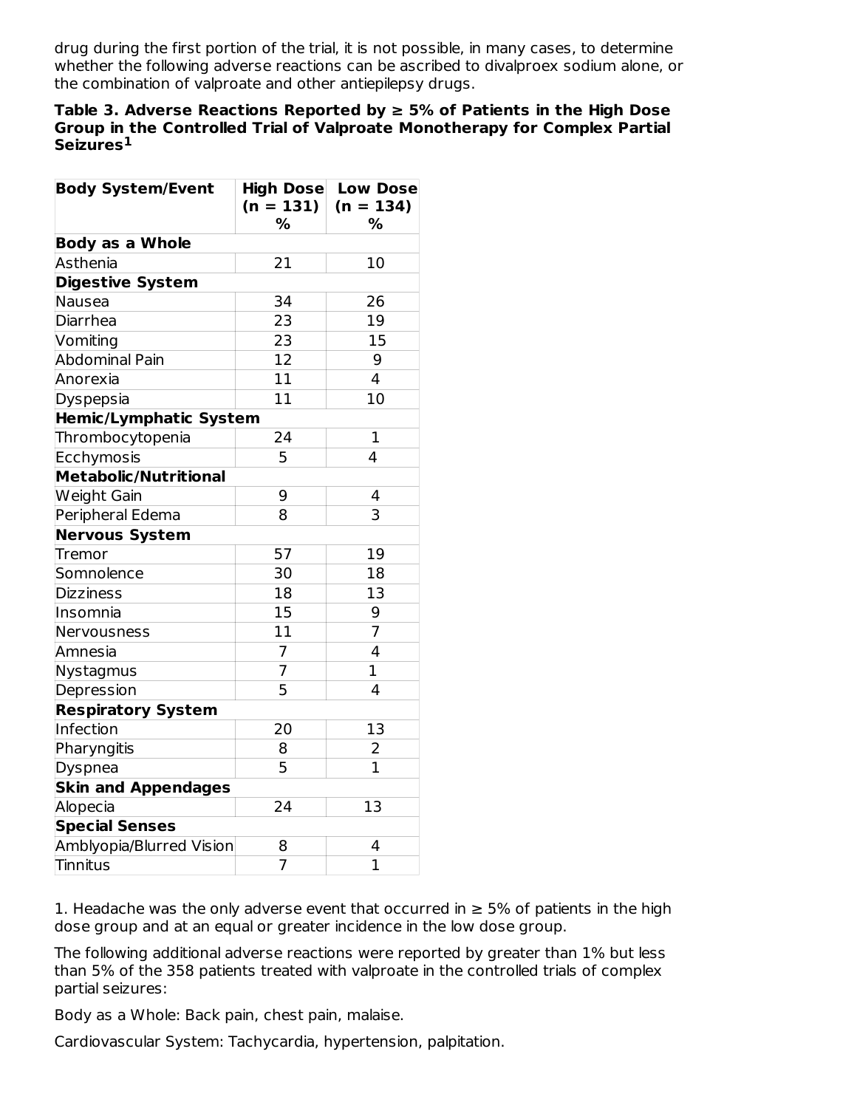drug during the first portion of the trial, it is not possible, in many cases, to determine whether the following adverse reactions can be ascribed to divalproex sodium alone, or the combination of valproate and other antiepilepsy drugs.

#### **Table 3. Adverse Reactions Reported by ≥ 5% of Patients in the High Dose Group in the Controlled Trial of Valproate Monotherapy for Complex Partial Seizures 1**

| <b>Body System/Event</b>      | <b>High Dose</b><br>$(n = 131)$<br>% | <b>Low Dose</b><br>$(n = 134)$<br>% |
|-------------------------------|--------------------------------------|-------------------------------------|
| <b>Body as a Whole</b>        |                                      |                                     |
| Asthenia                      | 21                                   | 10                                  |
| <b>Digestive System</b>       |                                      |                                     |
| Nausea                        | 34                                   | 26                                  |
| Diarrhea                      | 23                                   | 19                                  |
| Vomiting                      | 23                                   | 15                                  |
| Abdominal Pain                | 12                                   | 9                                   |
| Anorexia                      | 11                                   | 4                                   |
| Dyspepsia                     | 11                                   | 10                                  |
| <b>Hemic/Lymphatic System</b> |                                      |                                     |
| Thrombocytopenia              | 24                                   | 1                                   |
| Ecchymosis                    | 5                                    | 4                                   |
| <b>Metabolic/Nutritional</b>  |                                      |                                     |
| Weight Gain                   | 9                                    | 4                                   |
| Peripheral Edema              | 8                                    | $\overline{3}$                      |
| <b>Nervous System</b>         |                                      |                                     |
| Tremor                        | 57                                   | 19                                  |
| Somnolence                    | 30                                   | 18                                  |
| <b>Dizziness</b>              | 18                                   | 13                                  |
| Insomnia                      | 15                                   | 9                                   |
| Nervousness                   | 11                                   | $\overline{7}$                      |
| Amnesia                       | $\overline{7}$                       | $\overline{4}$                      |
| Nystagmus                     | 7                                    | $\mathbf{1}$                        |
| Depression                    | 5                                    | $\overline{4}$                      |
| <b>Respiratory System</b>     |                                      |                                     |
| Infection                     | 20                                   | 13                                  |
| Pharyngitis                   | 8                                    | 2                                   |
| Dyspnea                       | 5                                    | $\overline{1}$                      |
| <b>Skin and Appendages</b>    |                                      |                                     |
| Alopecia                      | 24                                   | 13                                  |
| <b>Special Senses</b>         |                                      |                                     |
| Amblyopia/Blurred Vision      | 8                                    | 4                                   |
| Tinnitus                      | $\overline{7}$                       | $\overline{1}$                      |

1. Headache was the only adverse event that occurred in  $\geq$  5% of patients in the high dose group and at an equal or greater incidence in the low dose group.

The following additional adverse reactions were reported by greater than 1% but less than 5% of the 358 patients treated with valproate in the controlled trials of complex partial seizures:

Body as a Whole: Back pain, chest pain, malaise.

Cardiovascular System: Tachycardia, hypertension, palpitation.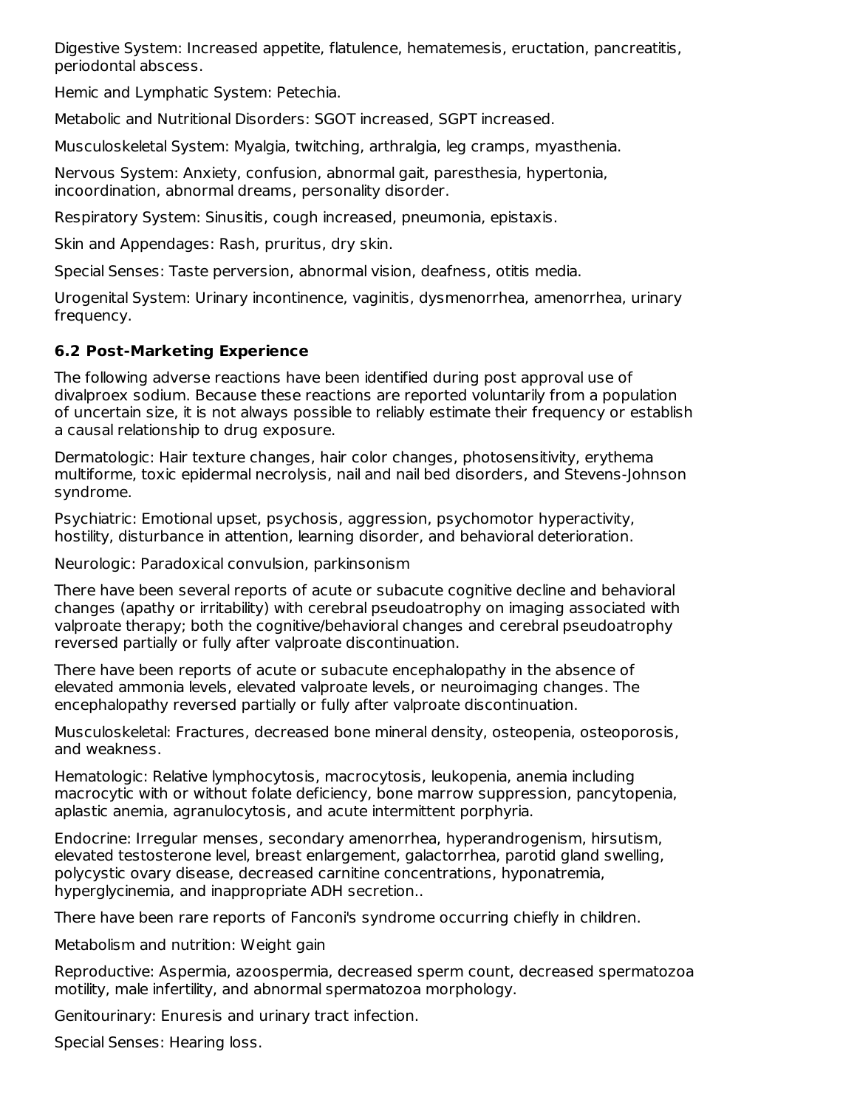Digestive System: Increased appetite, flatulence, hematemesis, eructation, pancreatitis, periodontal abscess.

Hemic and Lymphatic System: Petechia.

Metabolic and Nutritional Disorders: SGOT increased, SGPT increased.

Musculoskeletal System: Myalgia, twitching, arthralgia, leg cramps, myasthenia.

Nervous System: Anxiety, confusion, abnormal gait, paresthesia, hypertonia, incoordination, abnormal dreams, personality disorder.

Respiratory System: Sinusitis, cough increased, pneumonia, epistaxis.

Skin and Appendages: Rash, pruritus, dry skin.

Special Senses: Taste perversion, abnormal vision, deafness, otitis media.

Urogenital System: Urinary incontinence, vaginitis, dysmenorrhea, amenorrhea, urinary frequency.

## **6.2 Post-Marketing Experience**

The following adverse reactions have been identified during post approval use of divalproex sodium. Because these reactions are reported voluntarily from a population of uncertain size, it is not always possible to reliably estimate their frequency or establish a causal relationship to drug exposure.

Dermatologic: Hair texture changes, hair color changes, photosensitivity, erythema multiforme, toxic epidermal necrolysis, nail and nail bed disorders, and Stevens-Johnson syndrome.

Psychiatric: Emotional upset, psychosis, aggression, psychomotor hyperactivity, hostility, disturbance in attention, learning disorder, and behavioral deterioration.

Neurologic: Paradoxical convulsion, parkinsonism

There have been several reports of acute or subacute cognitive decline and behavioral changes (apathy or irritability) with cerebral pseudoatrophy on imaging associated with valproate therapy; both the cognitive/behavioral changes and cerebral pseudoatrophy reversed partially or fully after valproate discontinuation.

There have been reports of acute or subacute encephalopathy in the absence of elevated ammonia levels, elevated valproate levels, or neuroimaging changes. The encephalopathy reversed partially or fully after valproate discontinuation.

Musculoskeletal: Fractures, decreased bone mineral density, osteopenia, osteoporosis, and weakness.

Hematologic: Relative lymphocytosis, macrocytosis, leukopenia, anemia including macrocytic with or without folate deficiency, bone marrow suppression, pancytopenia, aplastic anemia, agranulocytosis, and acute intermittent porphyria.

Endocrine: Irregular menses, secondary amenorrhea, hyperandrogenism, hirsutism, elevated testosterone level, breast enlargement, galactorrhea, parotid gland swelling, polycystic ovary disease, decreased carnitine concentrations, hyponatremia, hyperglycinemia, and inappropriate ADH secretion..

There have been rare reports of Fanconi's syndrome occurring chiefly in children.

Metabolism and nutrition: Weight gain

Reproductive: Aspermia, azoospermia, decreased sperm count, decreased spermatozoa motility, male infertility, and abnormal spermatozoa morphology.

Genitourinary: Enuresis and urinary tract infection.

Special Senses: Hearing loss.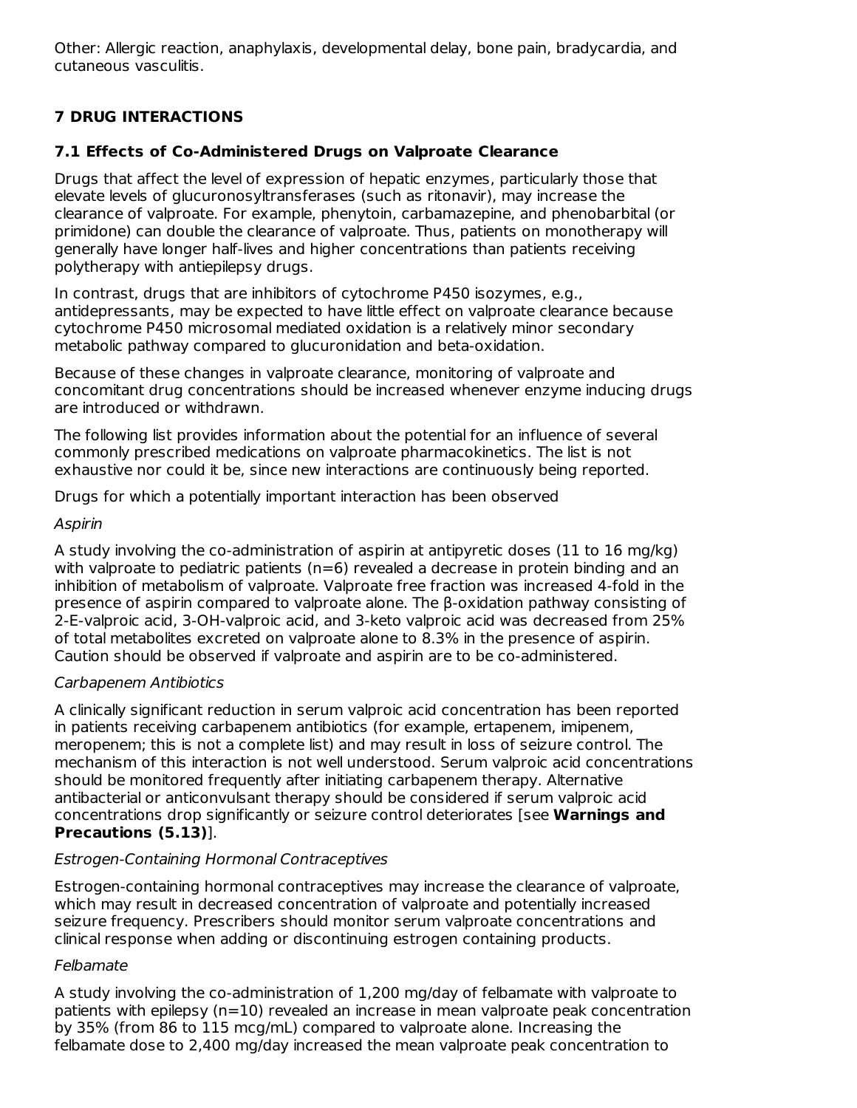Other: Allergic reaction, anaphylaxis, developmental delay, bone pain, bradycardia, and cutaneous vasculitis.

# **7 DRUG INTERACTIONS**

### **7.1 Effects of Co-Administered Drugs on Valproate Clearance**

Drugs that affect the level of expression of hepatic enzymes, particularly those that elevate levels of glucuronosyltransferases (such as ritonavir), may increase the clearance of valproate. For example, phenytoin, carbamazepine, and phenobarbital (or primidone) can double the clearance of valproate. Thus, patients on monotherapy will generally have longer half-lives and higher concentrations than patients receiving polytherapy with antiepilepsy drugs.

In contrast, drugs that are inhibitors of cytochrome P450 isozymes, e.g., antidepressants, may be expected to have little effect on valproate clearance because cytochrome P450 microsomal mediated oxidation is a relatively minor secondary metabolic pathway compared to glucuronidation and beta-oxidation.

Because of these changes in valproate clearance, monitoring of valproate and concomitant drug concentrations should be increased whenever enzyme inducing drugs are introduced or withdrawn.

The following list provides information about the potential for an influence of several commonly prescribed medications on valproate pharmacokinetics. The list is not exhaustive nor could it be, since new interactions are continuously being reported.

Drugs for which a potentially important interaction has been observed

#### Aspirin

A study involving the co-administration of aspirin at antipyretic doses (11 to 16 mg/kg) with valproate to pediatric patients (n=6) revealed a decrease in protein binding and an inhibition of metabolism of valproate. Valproate free fraction was increased 4-fold in the presence of aspirin compared to valproate alone. The β-oxidation pathway consisting of 2-E-valproic acid, 3-OH-valproic acid, and 3-keto valproic acid was decreased from 25% of total metabolites excreted on valproate alone to 8.3% in the presence of aspirin. Caution should be observed if valproate and aspirin are to be co-administered.

#### Carbapenem Antibiotics

A clinically significant reduction in serum valproic acid concentration has been reported in patients receiving carbapenem antibiotics (for example, ertapenem, imipenem, meropenem; this is not a complete list) and may result in loss of seizure control. The mechanism of this interaction is not well understood. Serum valproic acid concentrations should be monitored frequently after initiating carbapenem therapy. Alternative antibacterial or anticonvulsant therapy should be considered if serum valproic acid concentrations drop significantly or seizure control deteriorates [see **Warnings and Precautions (5.13)**].

#### Estrogen-Containing Hormonal Contraceptives

Estrogen-containing hormonal contraceptives may increase the clearance of valproate, which may result in decreased concentration of valproate and potentially increased seizure frequency. Prescribers should monitor serum valproate concentrations and clinical response when adding or discontinuing estrogen containing products.

#### Felbamate

A study involving the co-administration of 1,200 mg/day of felbamate with valproate to patients with epilepsy (n=10) revealed an increase in mean valproate peak concentration by 35% (from 86 to 115 mcg/mL) compared to valproate alone. Increasing the felbamate dose to 2,400 mg/day increased the mean valproate peak concentration to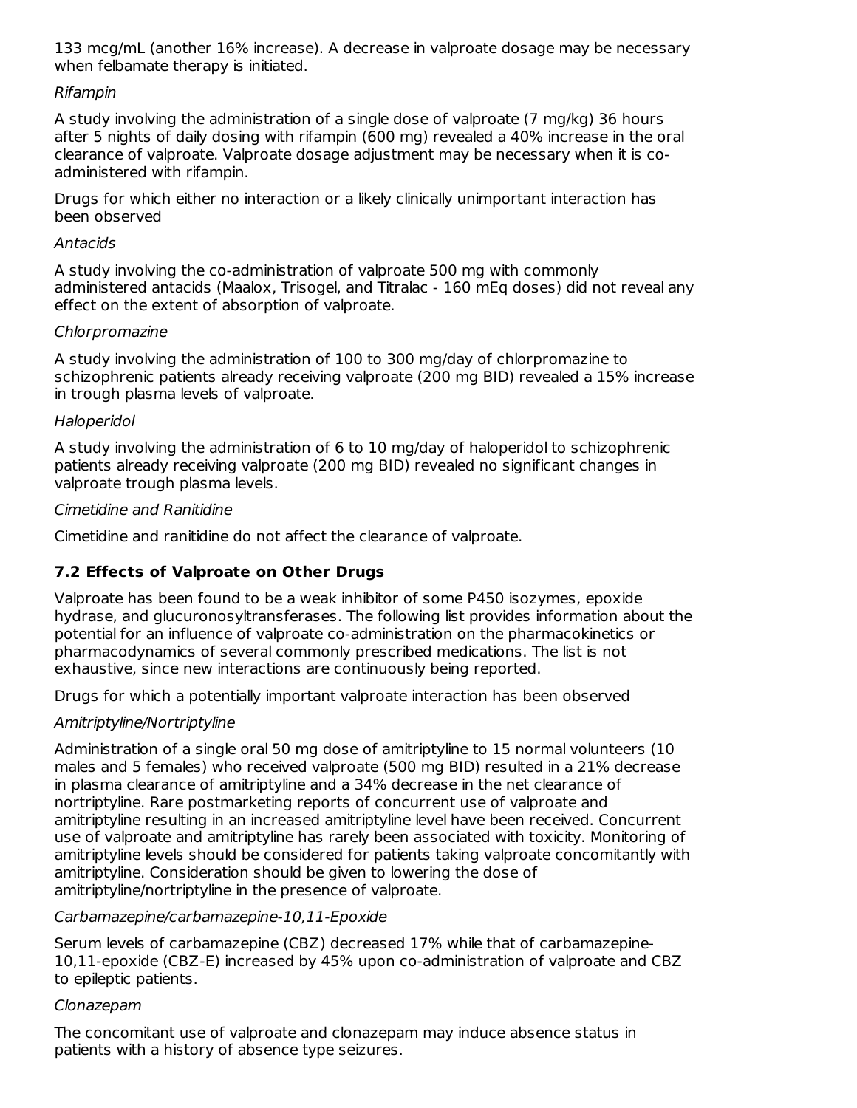133 mcg/mL (another 16% increase). A decrease in valproate dosage may be necessary when felbamate therapy is initiated.

### Rifampin

A study involving the administration of a single dose of valproate (7 mg/kg) 36 hours after 5 nights of daily dosing with rifampin (600 mg) revealed a 40% increase in the oral clearance of valproate. Valproate dosage adjustment may be necessary when it is coadministered with rifampin.

Drugs for which either no interaction or a likely clinically unimportant interaction has been observed

#### Antacids

A study involving the co-administration of valproate 500 mg with commonly administered antacids (Maalox, Trisogel, and Titralac - 160 mEq doses) did not reveal any effect on the extent of absorption of valproate.

#### Chlorpromazine

A study involving the administration of 100 to 300 mg/day of chlorpromazine to schizophrenic patients already receiving valproate (200 mg BID) revealed a 15% increase in trough plasma levels of valproate.

#### Haloperidol

A study involving the administration of 6 to 10 mg/day of haloperidol to schizophrenic patients already receiving valproate (200 mg BID) revealed no significant changes in valproate trough plasma levels.

#### Cimetidine and Ranitidine

Cimetidine and ranitidine do not affect the clearance of valproate.

## **7.2 Effects of Valproate on Other Drugs**

Valproate has been found to be a weak inhibitor of some P450 isozymes, epoxide hydrase, and glucuronosyltransferases. The following list provides information about the potential for an influence of valproate co-administration on the pharmacokinetics or pharmacodynamics of several commonly prescribed medications. The list is not exhaustive, since new interactions are continuously being reported.

Drugs for which a potentially important valproate interaction has been observed

## Amitriptyline/Nortriptyline

Administration of a single oral 50 mg dose of amitriptyline to 15 normal volunteers (10 males and 5 females) who received valproate (500 mg BID) resulted in a 21% decrease in plasma clearance of amitriptyline and a 34% decrease in the net clearance of nortriptyline. Rare postmarketing reports of concurrent use of valproate and amitriptyline resulting in an increased amitriptyline level have been received. Concurrent use of valproate and amitriptyline has rarely been associated with toxicity. Monitoring of amitriptyline levels should be considered for patients taking valproate concomitantly with amitriptyline. Consideration should be given to lowering the dose of amitriptyline/nortriptyline in the presence of valproate.

#### Carbamazepine/carbamazepine-10,11-Epoxide

Serum levels of carbamazepine (CBZ) decreased 17% while that of carbamazepine-10,11-epoxide (CBZ-E) increased by 45% upon co-administration of valproate and CBZ to epileptic patients.

#### Clonazepam

The concomitant use of valproate and clonazepam may induce absence status in patients with a history of absence type seizures.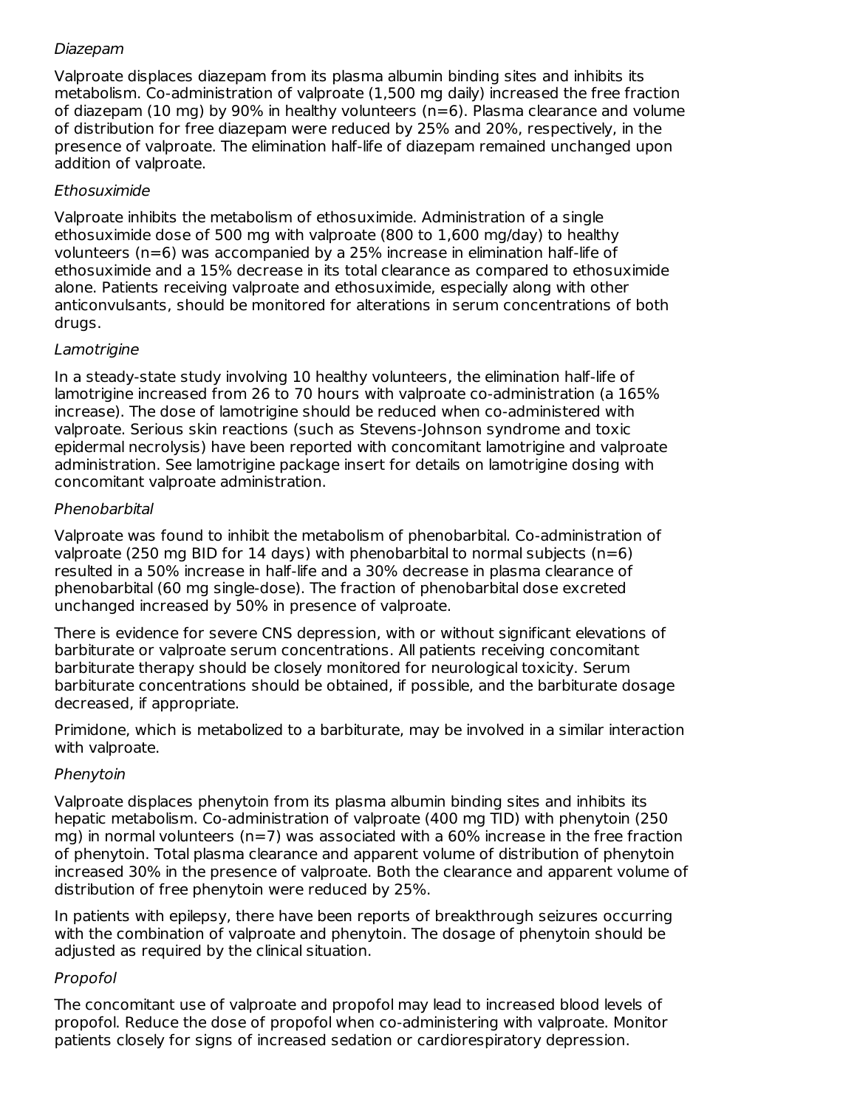### Diazepam

Valproate displaces diazepam from its plasma albumin binding sites and inhibits its metabolism. Co-administration of valproate (1,500 mg daily) increased the free fraction of diazepam (10 mg) by 90% in healthy volunteers ( $n=6$ ). Plasma clearance and volume of distribution for free diazepam were reduced by 25% and 20%, respectively, in the presence of valproate. The elimination half-life of diazepam remained unchanged upon addition of valproate.

## Ethosuximide

Valproate inhibits the metabolism of ethosuximide. Administration of a single ethosuximide dose of 500 mg with valproate (800 to 1,600 mg/day) to healthy volunteers (n=6) was accompanied by a 25% increase in elimination half-life of ethosuximide and a 15% decrease in its total clearance as compared to ethosuximide alone. Patients receiving valproate and ethosuximide, especially along with other anticonvulsants, should be monitored for alterations in serum concentrations of both drugs.

## **Lamotrigine**

In a steady-state study involving 10 healthy volunteers, the elimination half-life of lamotrigine increased from 26 to 70 hours with valproate co-administration (a 165% increase). The dose of lamotrigine should be reduced when co-administered with valproate. Serious skin reactions (such as Stevens-Johnson syndrome and toxic epidermal necrolysis) have been reported with concomitant lamotrigine and valproate administration. See lamotrigine package insert for details on lamotrigine dosing with concomitant valproate administration.

### Phenobarbital

Valproate was found to inhibit the metabolism of phenobarbital. Co-administration of valproate (250 mg BID for 14 days) with phenobarbital to normal subjects ( $n=6$ ) resulted in a 50% increase in half-life and a 30% decrease in plasma clearance of phenobarbital (60 mg single-dose). The fraction of phenobarbital dose excreted unchanged increased by 50% in presence of valproate.

There is evidence for severe CNS depression, with or without significant elevations of barbiturate or valproate serum concentrations. All patients receiving concomitant barbiturate therapy should be closely monitored for neurological toxicity. Serum barbiturate concentrations should be obtained, if possible, and the barbiturate dosage decreased, if appropriate.

Primidone, which is metabolized to a barbiturate, may be involved in a similar interaction with valproate.

## Phenytoin

Valproate displaces phenytoin from its plasma albumin binding sites and inhibits its hepatic metabolism. Co-administration of valproate (400 mg TID) with phenytoin (250 mg) in normal volunteers ( $n=7$ ) was associated with a 60% increase in the free fraction of phenytoin. Total plasma clearance and apparent volume of distribution of phenytoin increased 30% in the presence of valproate. Both the clearance and apparent volume of distribution of free phenytoin were reduced by 25%.

In patients with epilepsy, there have been reports of breakthrough seizures occurring with the combination of valproate and phenytoin. The dosage of phenytoin should be adjusted as required by the clinical situation.

#### Propofol

The concomitant use of valproate and propofol may lead to increased blood levels of propofol. Reduce the dose of propofol when co-administering with valproate. Monitor patients closely for signs of increased sedation or cardiorespiratory depression.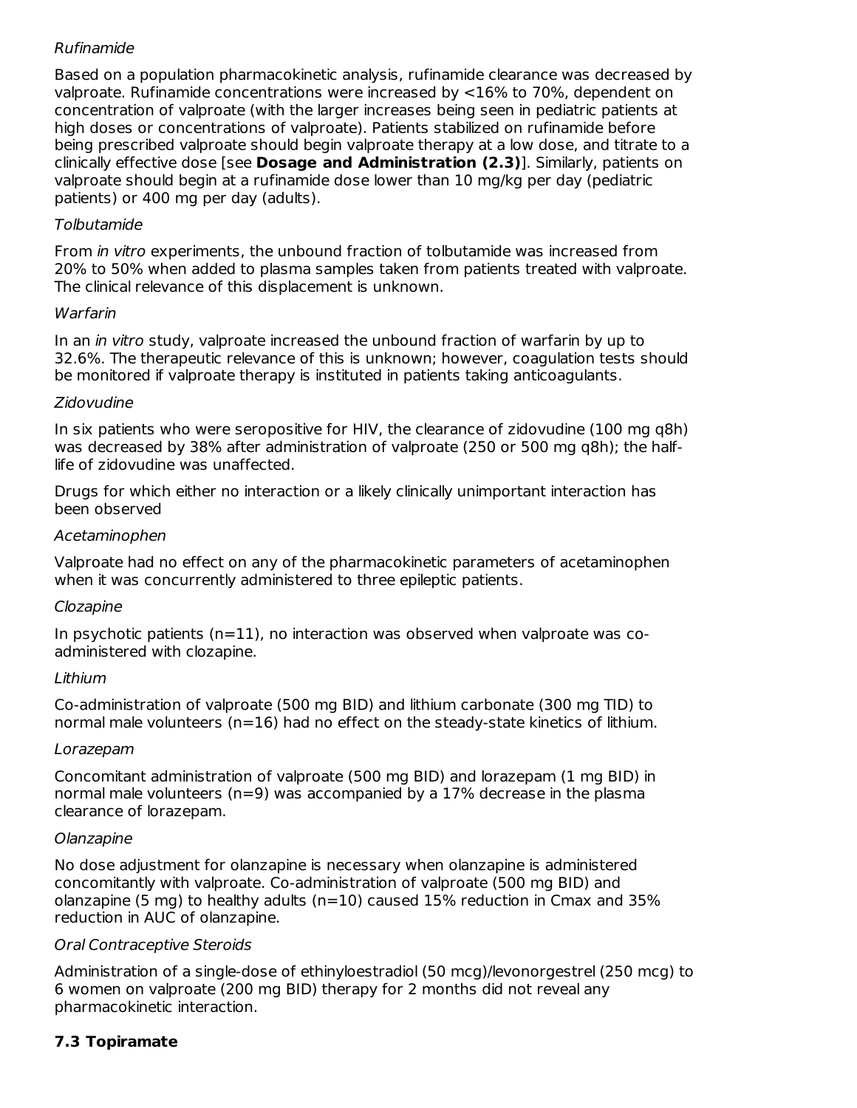# Rufinamide

Based on a population pharmacokinetic analysis, rufinamide clearance was decreased by valproate. Rufinamide concentrations were increased by <16% to 70%, dependent on concentration of valproate (with the larger increases being seen in pediatric patients at high doses or concentrations of valproate). Patients stabilized on rufinamide before being prescribed valproate should begin valproate therapy at a low dose, and titrate to a clinically effective dose [see **Dosage and Administration (2.3)**]. Similarly, patients on valproate should begin at a rufinamide dose lower than 10 mg/kg per day (pediatric patients) or 400 mg per day (adults).

## Tolbutamide

From in vitro experiments, the unbound fraction of tolbutamide was increased from 20% to 50% when added to plasma samples taken from patients treated with valproate. The clinical relevance of this displacement is unknown.

### Warfarin

In an *in vitro* study, valproate increased the unbound fraction of warfarin by up to 32.6%. The therapeutic relevance of this is unknown; however, coagulation tests should be monitored if valproate therapy is instituted in patients taking anticoagulants.

### Zidovudine

In six patients who were seropositive for HIV, the clearance of zidovudine (100 mg q8h) was decreased by 38% after administration of valproate (250 or 500 mg q8h); the halflife of zidovudine was unaffected.

Drugs for which either no interaction or a likely clinically unimportant interaction has been observed

## Acetaminophen

Valproate had no effect on any of the pharmacokinetic parameters of acetaminophen when it was concurrently administered to three epileptic patients.

## Clozapine

In psychotic patients  $(n=11)$ , no interaction was observed when valproate was coadministered with clozapine.

## Lithium

Co-administration of valproate (500 mg BID) and lithium carbonate (300 mg TID) to normal male volunteers ( $n=16$ ) had no effect on the steady-state kinetics of lithium.

#### Lorazepam

Concomitant administration of valproate (500 mg BID) and lorazepam (1 mg BID) in normal male volunteers (n=9) was accompanied by a 17% decrease in the plasma clearance of lorazepam.

#### Olanzapine

No dose adjustment for olanzapine is necessary when olanzapine is administered concomitantly with valproate. Co-administration of valproate (500 mg BID) and olanzapine (5 mg) to healthy adults (n=10) caused  $15%$  reduction in Cmax and  $35%$ reduction in AUC of olanzapine.

## Oral Contraceptive Steroids

Administration of a single-dose of ethinyloestradiol (50 mcg)/levonorgestrel (250 mcg) to 6 women on valproate (200 mg BID) therapy for 2 months did not reveal any pharmacokinetic interaction.

# **7.3 Topiramate**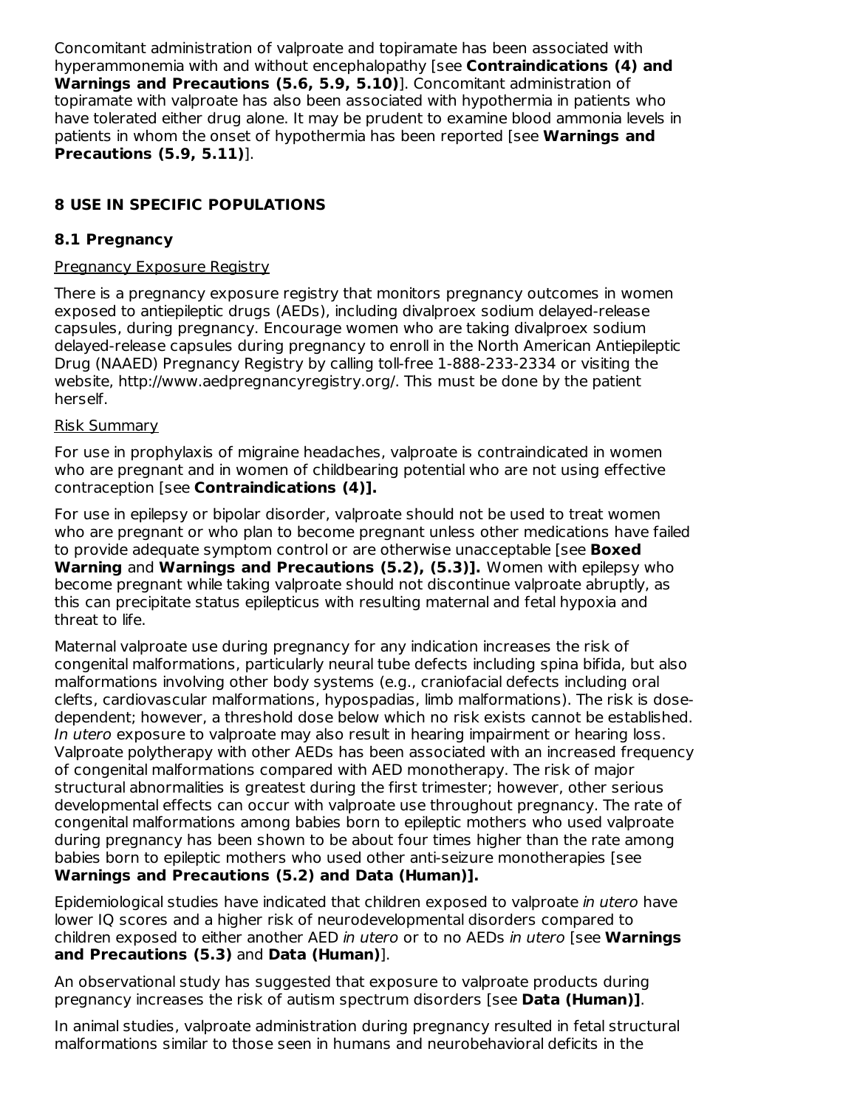Concomitant administration of valproate and topiramate has been associated with hyperammonemia with and without encephalopathy [see **Contraindications (4) and Warnings and Precautions (5.6, 5.9, 5.10)**]. Concomitant administration of topiramate with valproate has also been associated with hypothermia in patients who have tolerated either drug alone. It may be prudent to examine blood ammonia levels in patients in whom the onset of hypothermia has been reported [see **Warnings and Precautions (5.9, 5.11)**].

# **8 USE IN SPECIFIC POPULATIONS**

### **8.1 Pregnancy**

#### Pregnancy Exposure Registry

There is a pregnancy exposure registry that monitors pregnancy outcomes in women exposed to antiepileptic drugs (AEDs), including divalproex sodium delayed-release capsules, during pregnancy. Encourage women who are taking divalproex sodium delayed-release capsules during pregnancy to enroll in the North American Antiepileptic Drug (NAAED) Pregnancy Registry by calling toll-free 1-888-233-2334 or visiting the website, http://www.aedpregnancyregistry.org/. This must be done by the patient herself.

#### Risk Summary

For use in prophylaxis of migraine headaches, valproate is contraindicated in women who are pregnant and in women of childbearing potential who are not using effective contraception [see **Contraindications (4)].**

For use in epilepsy or bipolar disorder, valproate should not be used to treat women who are pregnant or who plan to become pregnant unless other medications have failed to provide adequate symptom control or are otherwise unacceptable [see **Boxed Warning** and **Warnings and Precautions (5.2), (5.3)].** Women with epilepsy who become pregnant while taking valproate should not discontinue valproate abruptly, as this can precipitate status epilepticus with resulting maternal and fetal hypoxia and threat to life.

Maternal valproate use during pregnancy for any indication increases the risk of congenital malformations, particularly neural tube defects including spina bifida, but also malformations involving other body systems (e.g., craniofacial defects including oral clefts, cardiovascular malformations, hypospadias, limb malformations). The risk is dosedependent; however, a threshold dose below which no risk exists cannot be established. In utero exposure to valproate may also result in hearing impairment or hearing loss. Valproate polytherapy with other AEDs has been associated with an increased frequency of congenital malformations compared with AED monotherapy. The risk of major structural abnormalities is greatest during the first trimester; however, other serious developmental effects can occur with valproate use throughout pregnancy. The rate of congenital malformations among babies born to epileptic mothers who used valproate during pregnancy has been shown to be about four times higher than the rate among babies born to epileptic mothers who used other anti-seizure monotherapies [see **Warnings and Precautions (5.2) and Data (Human)].**

Epidemiological studies have indicated that children exposed to valproate in utero have lower IQ scores and a higher risk of neurodevelopmental disorders compared to children exposed to either another AED in utero or to no AEDs in utero [see **Warnings and Precautions (5.3)** and **Data (Human)**].

An observational study has suggested that exposure to valproate products during pregnancy increases the risk of autism spectrum disorders [see **Data (Human)]**.

In animal studies, valproate administration during pregnancy resulted in fetal structural malformations similar to those seen in humans and neurobehavioral deficits in the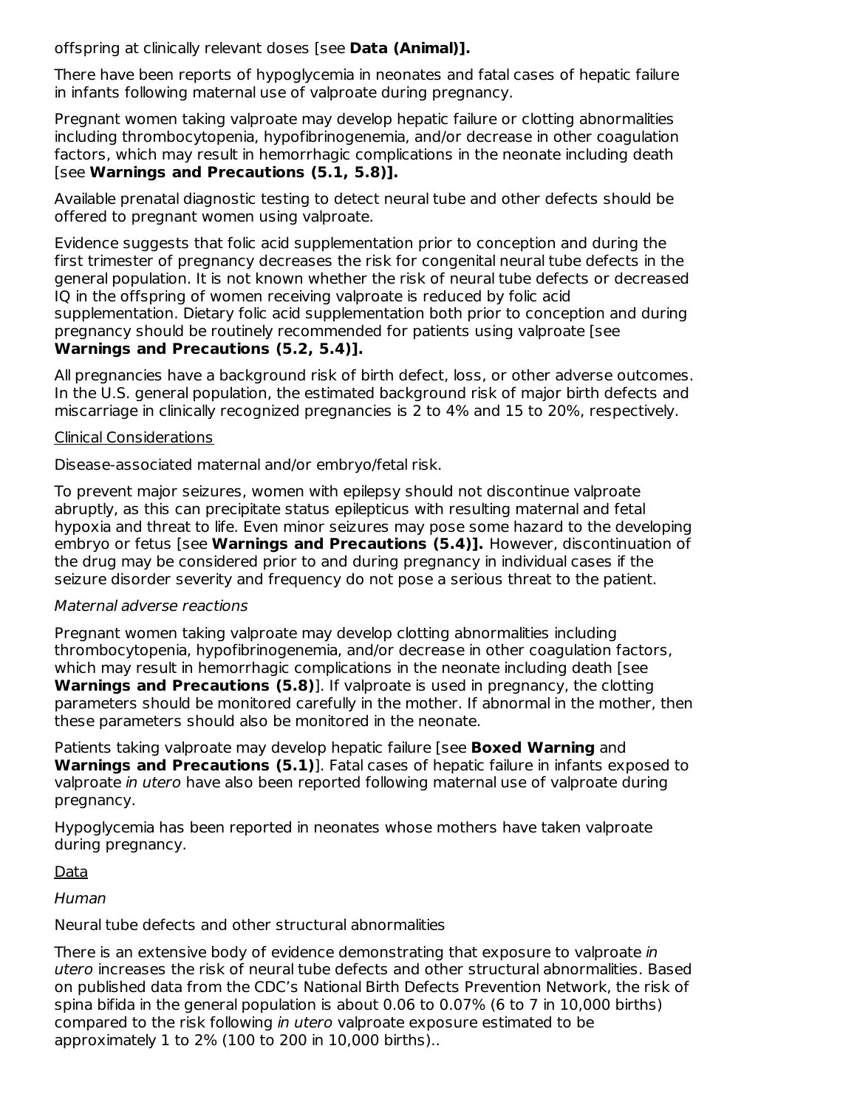offspring at clinically relevant doses [see **Data (Animal)].**

There have been reports of hypoglycemia in neonates and fatal cases of hepatic failure in infants following maternal use of valproate during pregnancy.

Pregnant women taking valproate may develop hepatic failure or clotting abnormalities including thrombocytopenia, hypofibrinogenemia, and/or decrease in other coagulation factors, which may result in hemorrhagic complications in the neonate including death [see **Warnings and Precautions (5.1, 5.8)].**

Available prenatal diagnostic testing to detect neural tube and other defects should be offered to pregnant women using valproate.

Evidence suggests that folic acid supplementation prior to conception and during the first trimester of pregnancy decreases the risk for congenital neural tube defects in the general population. It is not known whether the risk of neural tube defects or decreased IQ in the offspring of women receiving valproate is reduced by folic acid supplementation. Dietary folic acid supplementation both prior to conception and during pregnancy should be routinely recommended for patients using valproate [see **Warnings and Precautions (5.2, 5.4)].**

All pregnancies have a background risk of birth defect, loss, or other adverse outcomes. In the U.S. general population, the estimated background risk of major birth defects and miscarriage in clinically recognized pregnancies is 2 to 4% and 15 to 20%, respectively.

#### Clinical Considerations

Disease-associated maternal and/or embryo/fetal risk.

To prevent major seizures, women with epilepsy should not discontinue valproate abruptly, as this can precipitate status epilepticus with resulting maternal and fetal hypoxia and threat to life. Even minor seizures may pose some hazard to the developing embryo or fetus [see **Warnings and Precautions (5.4)].** However, discontinuation of the drug may be considered prior to and during pregnancy in individual cases if the seizure disorder severity and frequency do not pose a serious threat to the patient.

#### Maternal adverse reactions

Pregnant women taking valproate may develop clotting abnormalities including thrombocytopenia, hypofibrinogenemia, and/or decrease in other coagulation factors, which may result in hemorrhagic complications in the neonate including death [see **Warnings and Precautions (5.8)**]. If valproate is used in pregnancy, the clotting parameters should be monitored carefully in the mother. If abnormal in the mother, then these parameters should also be monitored in the neonate.

Patients taking valproate may develop hepatic failure [see **Boxed Warning** and **Warnings and Precautions (5.1)**]. Fatal cases of hepatic failure in infants exposed to valproate in utero have also been reported following maternal use of valproate during pregnancy.

Hypoglycemia has been reported in neonates whose mothers have taken valproate during pregnancy.

Data

Human

#### Neural tube defects and other structural abnormalities

There is an extensive body of evidence demonstrating that exposure to valproate in utero increases the risk of neural tube defects and other structural abnormalities. Based on published data from the CDC's National Birth Defects Prevention Network, the risk of spina bifida in the general population is about 0.06 to 0.07% (6 to 7 in 10,000 births) compared to the risk following in utero valproate exposure estimated to be approximately 1 to 2% (100 to 200 in 10,000 births)..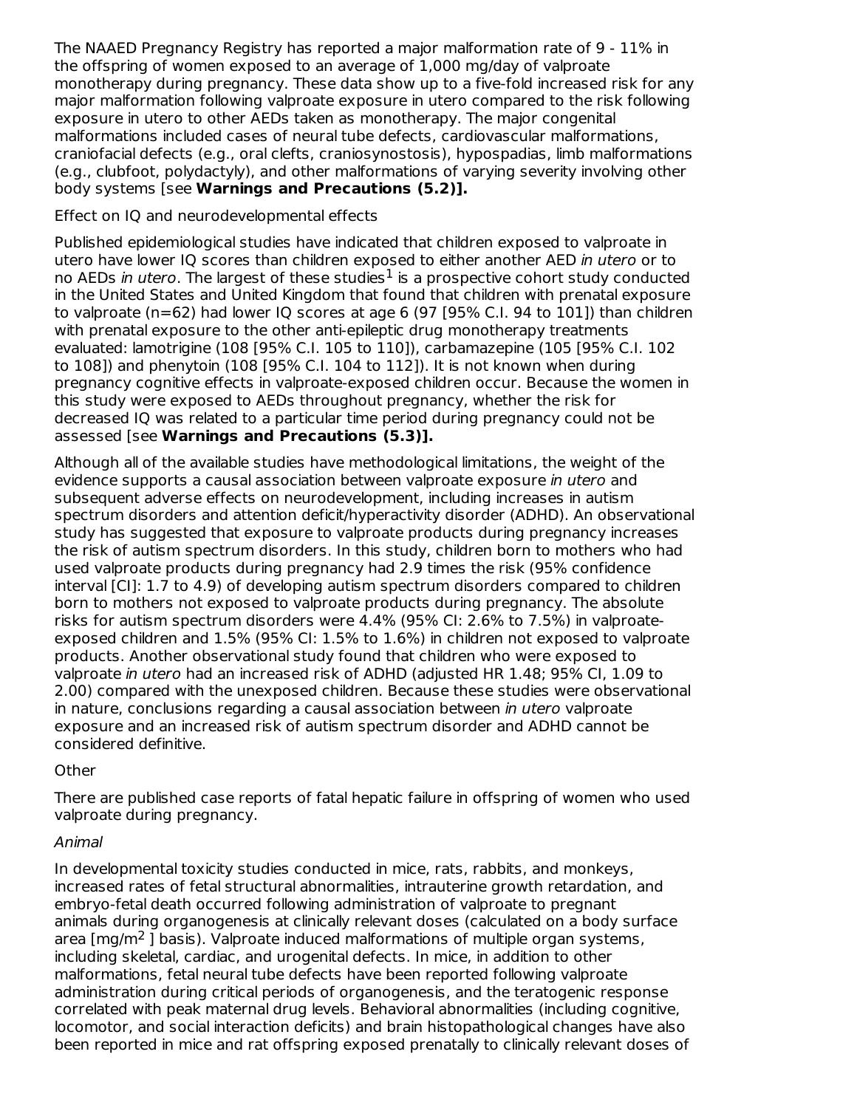The NAAED Pregnancy Registry has reported a major malformation rate of 9 - 11% in the offspring of women exposed to an average of 1,000 mg/day of valproate monotherapy during pregnancy. These data show up to a five-fold increased risk for any major malformation following valproate exposure in utero compared to the risk following exposure in utero to other AEDs taken as monotherapy. The major congenital malformations included cases of neural tube defects, cardiovascular malformations, craniofacial defects (e.g., oral clefts, craniosynostosis), hypospadias, limb malformations (e.g., clubfoot, polydactyly), and other malformations of varying severity involving other body systems [see **Warnings and Precautions (5.2)].**

### Effect on IQ and neurodevelopmental effects

Published epidemiological studies have indicated that children exposed to valproate in utero have lower IQ scores than children exposed to either another AED in utero or to no AEDs *in utero*. The largest of these studies<sup>1</sup> is a prospective cohort study conducted in the United States and United Kingdom that found that children with prenatal exposure to valproate (n=62) had lower IQ scores at age 6 (97 [95% C.I. 94 to 101]) than children with prenatal exposure to the other anti-epileptic drug monotherapy treatments evaluated: lamotrigine (108 [95% C.I. 105 to 110]), carbamazepine (105 [95% C.I. 102 to 108]) and phenytoin (108 [95% C.I. 104 to 112]). It is not known when during pregnancy cognitive effects in valproate-exposed children occur. Because the women in this study were exposed to AEDs throughout pregnancy, whether the risk for decreased IQ was related to a particular time period during pregnancy could not be assessed [see **Warnings and Precautions (5.3)].**

Although all of the available studies have methodological limitations, the weight of the evidence supports a causal association between valproate exposure in utero and subsequent adverse effects on neurodevelopment, including increases in autism spectrum disorders and attention deficit/hyperactivity disorder (ADHD). An observational study has suggested that exposure to valproate products during pregnancy increases the risk of autism spectrum disorders. In this study, children born to mothers who had used valproate products during pregnancy had 2.9 times the risk (95% confidence interval [CI]: 1.7 to 4.9) of developing autism spectrum disorders compared to children born to mothers not exposed to valproate products during pregnancy. The absolute risks for autism spectrum disorders were 4.4% (95% CI: 2.6% to 7.5%) in valproateexposed children and 1.5% (95% CI: 1.5% to 1.6%) in children not exposed to valproate products. Another observational study found that children who were exposed to valproate in utero had an increased risk of ADHD (adjusted HR 1.48; 95% CI, 1.09 to 2.00) compared with the unexposed children. Because these studies were observational in nature, conclusions regarding a causal association between in utero valproate exposure and an increased risk of autism spectrum disorder and ADHD cannot be considered definitive.

## **Other**

There are published case reports of fatal hepatic failure in offspring of women who used valproate during pregnancy.

#### Animal

In developmental toxicity studies conducted in mice, rats, rabbits, and monkeys, increased rates of fetal structural abnormalities, intrauterine growth retardation, and embryo-fetal death occurred following administration of valproate to pregnant animals during organogenesis at clinically relevant doses (calculated on a body surface area  $[mg/m<sup>2</sup>]$  basis). Valproate induced malformations of multiple organ systems, including skeletal, cardiac, and urogenital defects. In mice, in addition to other malformations, fetal neural tube defects have been reported following valproate administration during critical periods of organogenesis, and the teratogenic response correlated with peak maternal drug levels. Behavioral abnormalities (including cognitive, locomotor, and social interaction deficits) and brain histopathological changes have also been reported in mice and rat offspring exposed prenatally to clinically relevant doses of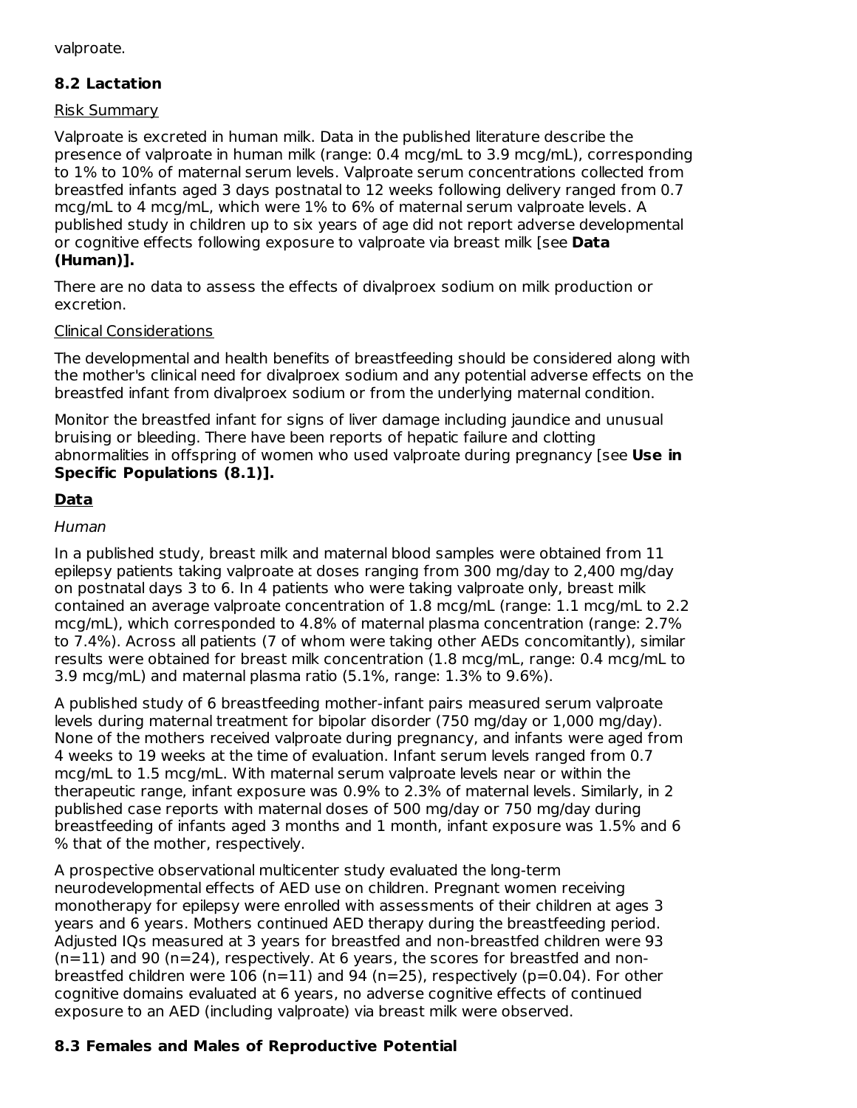valproate.

# **8.2 Lactation**

#### Risk Summary

Valproate is excreted in human milk. Data in the published literature describe the presence of valproate in human milk (range: 0.4 mcg/mL to 3.9 mcg/mL), corresponding to 1% to 10% of maternal serum levels. Valproate serum concentrations collected from breastfed infants aged 3 days postnatal to 12 weeks following delivery ranged from 0.7 mcg/mL to 4 mcg/mL, which were 1% to 6% of maternal serum valproate levels. A published study in children up to six years of age did not report adverse developmental or cognitive effects following exposure to valproate via breast milk [see **Data (Human)].**

There are no data to assess the effects of divalproex sodium on milk production or excretion.

### Clinical Considerations

The developmental and health benefits of breastfeeding should be considered along with the mother's clinical need for divalproex sodium and any potential adverse effects on the breastfed infant from divalproex sodium or from the underlying maternal condition.

Monitor the breastfed infant for signs of liver damage including jaundice and unusual bruising or bleeding. There have been reports of hepatic failure and clotting abnormalities in offspring of women who used valproate during pregnancy [see **Use in Specific Populations (8.1)].**

# **Data**

### Human

In a published study, breast milk and maternal blood samples were obtained from 11 epilepsy patients taking valproate at doses ranging from 300 mg/day to 2,400 mg/day on postnatal days 3 to 6. In 4 patients who were taking valproate only, breast milk contained an average valproate concentration of 1.8 mcg/mL (range: 1.1 mcg/mL to 2.2 mcg/mL), which corresponded to 4.8% of maternal plasma concentration (range: 2.7% to 7.4%). Across all patients (7 of whom were taking other AEDs concomitantly), similar results were obtained for breast milk concentration (1.8 mcg/mL, range: 0.4 mcg/mL to 3.9 mcg/mL) and maternal plasma ratio (5.1%, range: 1.3% to 9.6%).

A published study of 6 breastfeeding mother-infant pairs measured serum valproate levels during maternal treatment for bipolar disorder (750 mg/day or 1,000 mg/day). None of the mothers received valproate during pregnancy, and infants were aged from 4 weeks to 19 weeks at the time of evaluation. Infant serum levels ranged from 0.7 mcg/mL to 1.5 mcg/mL. With maternal serum valproate levels near or within the therapeutic range, infant exposure was 0.9% to 2.3% of maternal levels. Similarly, in 2 published case reports with maternal doses of 500 mg/day or 750 mg/day during breastfeeding of infants aged 3 months and 1 month, infant exposure was 1.5% and 6 % that of the mother, respectively.

A prospective observational multicenter study evaluated the long-term neurodevelopmental effects of AED use on children. Pregnant women receiving monotherapy for epilepsy were enrolled with assessments of their children at ages 3 years and 6 years. Mothers continued AED therapy during the breastfeeding period. Adjusted IQs measured at 3 years for breastfed and non-breastfed children were 93  $(n=11)$  and 90  $(n=24)$ , respectively. At 6 years, the scores for breastfed and nonbreastfed children were  $106$  (n=11) and 94 (n=25), respectively (p=0.04). For other cognitive domains evaluated at 6 years, no adverse cognitive effects of continued exposure to an AED (including valproate) via breast milk were observed.

## **8.3 Females and Males of Reproductive Potential**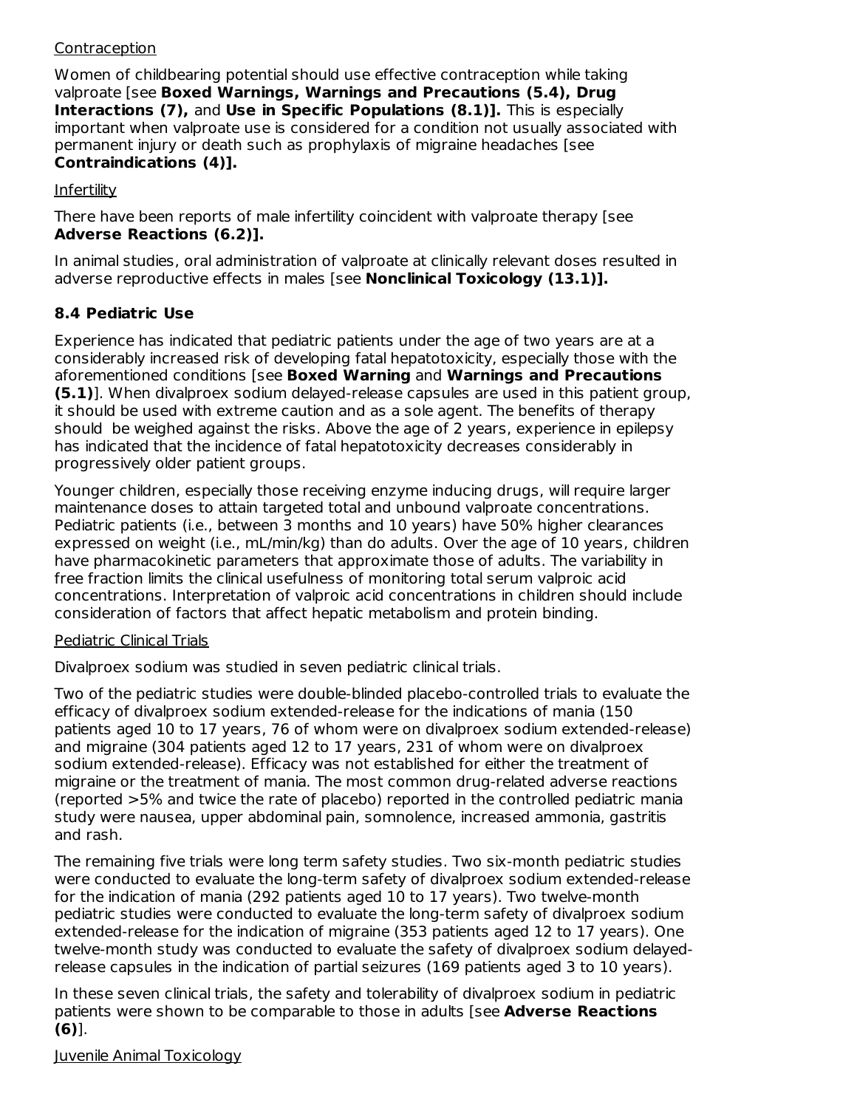### Contraception

Women of childbearing potential should use effective contraception while taking valproate [see **Boxed Warnings, Warnings and Precautions (5.4), Drug Interactions (7),** and **Use in Specific Populations (8.1)].** This is especially important when valproate use is considered for a condition not usually associated with permanent injury or death such as prophylaxis of migraine headaches [see **Contraindications (4)].**

Infertility

There have been reports of male infertility coincident with valproate therapy [see **Adverse Reactions (6.2)].**

In animal studies, oral administration of valproate at clinically relevant doses resulted in adverse reproductive effects in males [see **Nonclinical Toxicology (13.1)].**

### **8.4 Pediatric Use**

Experience has indicated that pediatric patients under the age of two years are at a considerably increased risk of developing fatal hepatotoxicity, especially those with the aforementioned conditions [see **Boxed Warning** and **Warnings and Precautions (5.1)**]. When divalproex sodium delayed-release capsules are used in this patient group, it should be used with extreme caution and as a sole agent. The benefits of therapy should be weighed against the risks. Above the age of 2 years, experience in epilepsy has indicated that the incidence of fatal hepatotoxicity decreases considerably in progressively older patient groups.

Younger children, especially those receiving enzyme inducing drugs, will require larger maintenance doses to attain targeted total and unbound valproate concentrations. Pediatric patients (i.e., between 3 months and 10 years) have 50% higher clearances expressed on weight (i.e., mL/min/kg) than do adults. Over the age of 10 years, children have pharmacokinetic parameters that approximate those of adults. The variability in free fraction limits the clinical usefulness of monitoring total serum valproic acid concentrations. Interpretation of valproic acid concentrations in children should include consideration of factors that affect hepatic metabolism and protein binding.

#### Pediatric Clinical Trials

Divalproex sodium was studied in seven pediatric clinical trials.

Two of the pediatric studies were double-blinded placebo-controlled trials to evaluate the efficacy of divalproex sodium extended-release for the indications of mania (150 patients aged 10 to 17 years, 76 of whom were on divalproex sodium extended-release) and migraine (304 patients aged 12 to 17 years, 231 of whom were on divalproex sodium extended-release). Efficacy was not established for either the treatment of migraine or the treatment of mania. The most common drug-related adverse reactions (reported >5% and twice the rate of placebo) reported in the controlled pediatric mania study were nausea, upper abdominal pain, somnolence, increased ammonia, gastritis and rash.

The remaining five trials were long term safety studies. Two six-month pediatric studies were conducted to evaluate the long-term safety of divalproex sodium extended-release for the indication of mania (292 patients aged 10 to 17 years). Two twelve-month pediatric studies were conducted to evaluate the long-term safety of divalproex sodium extended-release for the indication of migraine (353 patients aged 12 to 17 years). One twelve-month study was conducted to evaluate the safety of divalproex sodium delayedrelease capsules in the indication of partial seizures (169 patients aged 3 to 10 years).

In these seven clinical trials, the safety and tolerability of divalproex sodium in pediatric patients were shown to be comparable to those in adults [see **Adverse Reactions (6)**].

Juvenile Animal Toxicology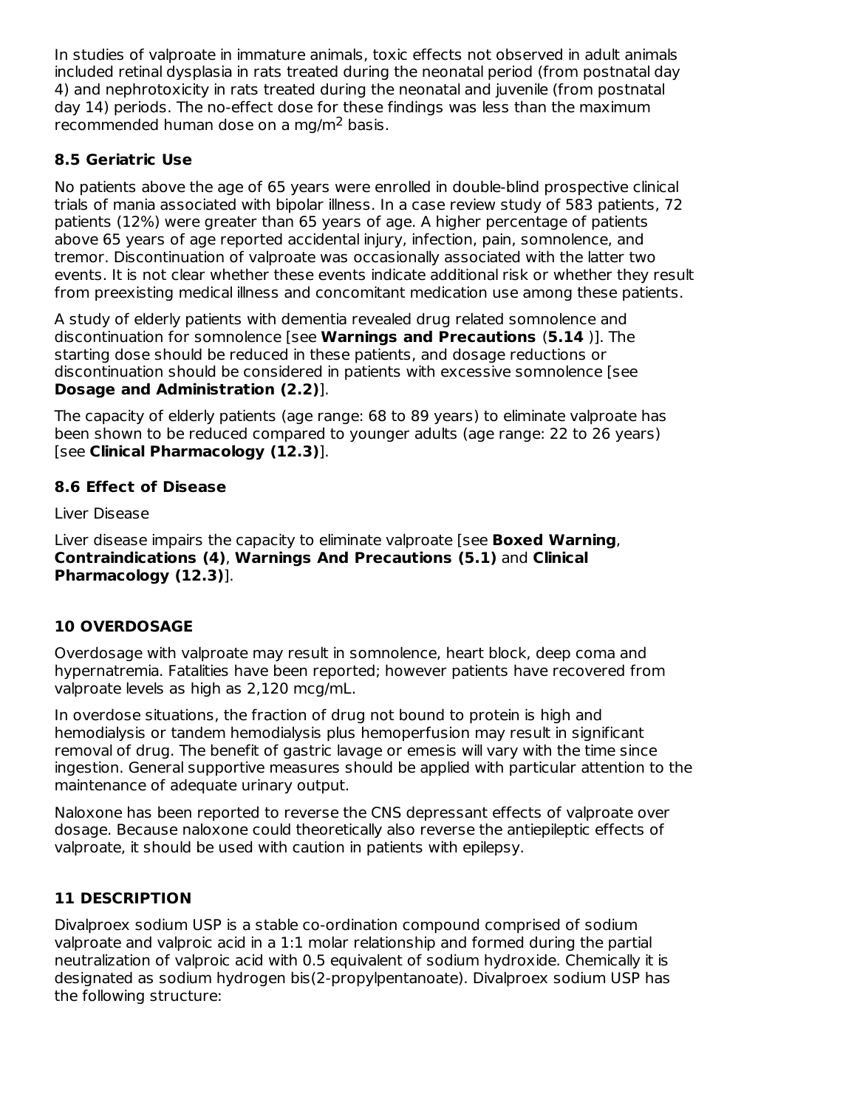In studies of valproate in immature animals, toxic effects not observed in adult animals included retinal dysplasia in rats treated during the neonatal period (from postnatal day 4) and nephrotoxicity in rats treated during the neonatal and juvenile (from postnatal day 14) periods. The no-effect dose for these findings was less than the maximum recommended human dose on a mg/m<sup>2</sup> basis.

# **8.5 Geriatric Use**

No patients above the age of 65 years were enrolled in double-blind prospective clinical trials of mania associated with bipolar illness. In a case review study of 583 patients, 72 patients (12%) were greater than 65 years of age. A higher percentage of patients above 65 years of age reported accidental injury, infection, pain, somnolence, and tremor. Discontinuation of valproate was occasionally associated with the latter two events. It is not clear whether these events indicate additional risk or whether they result from preexisting medical illness and concomitant medication use among these patients.

A study of elderly patients with dementia revealed drug related somnolence and discontinuation for somnolence [see **Warnings and Precautions** (**5.14** )]. The starting dose should be reduced in these patients, and dosage reductions or discontinuation should be considered in patients with excessive somnolence [see **Dosage and Administration (2.2)**].

The capacity of elderly patients (age range: 68 to 89 years) to eliminate valproate has been shown to be reduced compared to younger adults (age range: 22 to 26 years) [see **Clinical Pharmacology (12.3)**].

# **8.6 Effect of Disease**

Liver Disease

Liver disease impairs the capacity to eliminate valproate [see **Boxed Warning**, **Contraindications (4)**, **Warnings And Precautions (5.1)** and **Clinical Pharmacology (12.3)**].

# **10 OVERDOSAGE**

Overdosage with valproate may result in somnolence, heart block, deep coma and hypernatremia. Fatalities have been reported; however patients have recovered from valproate levels as high as 2,120 mcg/mL.

In overdose situations, the fraction of drug not bound to protein is high and hemodialysis or tandem hemodialysis plus hemoperfusion may result in significant removal of drug. The benefit of gastric lavage or emesis will vary with the time since ingestion. General supportive measures should be applied with particular attention to the maintenance of adequate urinary output.

Naloxone has been reported to reverse the CNS depressant effects of valproate over dosage. Because naloxone could theoretically also reverse the antiepileptic effects of valproate, it should be used with caution in patients with epilepsy.

## **11 DESCRIPTION**

Divalproex sodium USP is a stable co-ordination compound comprised of sodium valproate and valproic acid in a 1:1 molar relationship and formed during the partial neutralization of valproic acid with 0.5 equivalent of sodium hydroxide. Chemically it is designated as sodium hydrogen bis(2-propylpentanoate). Divalproex sodium USP has the following structure: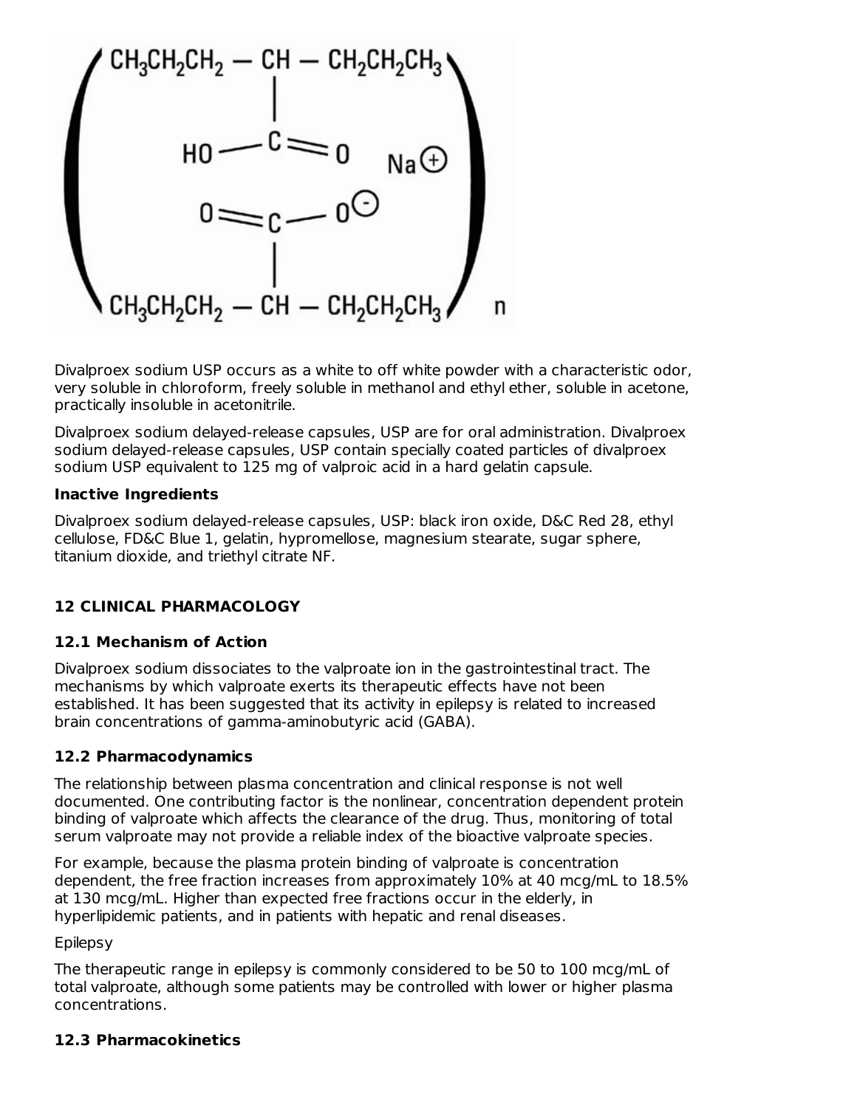

Divalproex sodium USP occurs as a white to off white powder with a characteristic odor, very soluble in chloroform, freely soluble in methanol and ethyl ether, soluble in acetone, practically insoluble in acetonitrile.

Divalproex sodium delayed-release capsules, USP are for oral administration. Divalproex sodium delayed-release capsules, USP contain specially coated particles of divalproex sodium USP equivalent to 125 mg of valproic acid in a hard gelatin capsule.

#### **Inactive Ingredients**

Divalproex sodium delayed-release capsules, USP: black iron oxide, D&C Red 28, ethyl cellulose, FD&C Blue 1, gelatin, hypromellose, magnesium stearate, sugar sphere, titanium dioxide, and triethyl citrate NF.

## **12 CLINICAL PHARMACOLOGY**

## **12.1 Mechanism of Action**

Divalproex sodium dissociates to the valproate ion in the gastrointestinal tract. The mechanisms by which valproate exerts its therapeutic effects have not been established. It has been suggested that its activity in epilepsy is related to increased brain concentrations of gamma-aminobutyric acid (GABA).

## **12.2 Pharmacodynamics**

The relationship between plasma concentration and clinical response is not well documented. One contributing factor is the nonlinear, concentration dependent protein binding of valproate which affects the clearance of the drug. Thus, monitoring of total serum valproate may not provide a reliable index of the bioactive valproate species.

For example, because the plasma protein binding of valproate is concentration dependent, the free fraction increases from approximately 10% at 40 mcg/mL to 18.5% at 130 mcg/mL. Higher than expected free fractions occur in the elderly, in hyperlipidemic patients, and in patients with hepatic and renal diseases.

Epilepsy

The therapeutic range in epilepsy is commonly considered to be 50 to 100 mcg/mL of total valproate, although some patients may be controlled with lower or higher plasma concentrations.

## **12.3 Pharmacokinetics**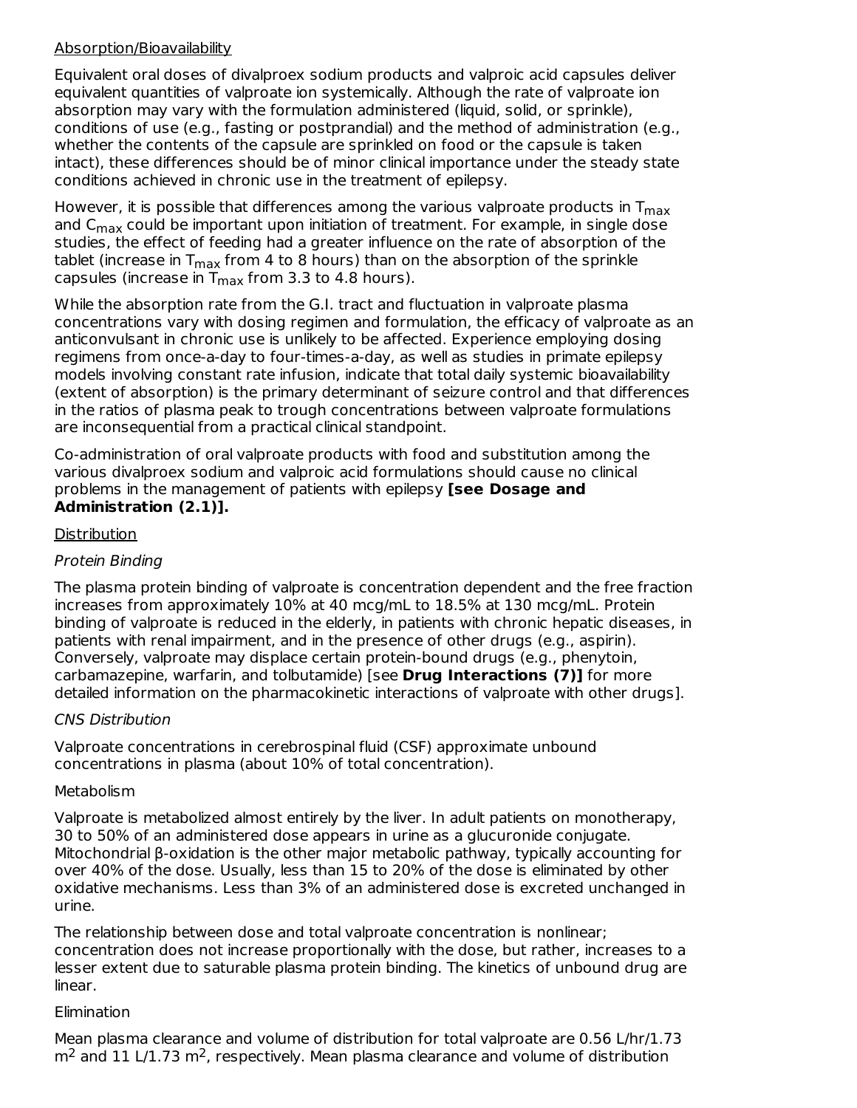### Absorption/Bioavailability

Equivalent oral doses of divalproex sodium products and valproic acid capsules deliver equivalent quantities of valproate ion systemically. Although the rate of valproate ion absorption may vary with the formulation administered (liquid, solid, or sprinkle), conditions of use (e.g., fasting or postprandial) and the method of administration (e.g., whether the contents of the capsule are sprinkled on food or the capsule is taken intact), these differences should be of minor clinical importance under the steady state conditions achieved in chronic use in the treatment of epilepsy.

However, it is possible that differences among the various valproate products in  $\mathsf{T_{max}}$ and  $C_{\sf max}$  could be important upon initiation of treatment. For example, in single dose studies, the effect of feeding had a greater influence on the rate of absorption of the tablet (increase in T $_{\sf max}$  from 4 to 8 hours) than on the absorption of the sprinkle capsules (increase in  $T_{\sf max}$  from 3.3 to 4.8 hours).

While the absorption rate from the G.I. tract and fluctuation in valproate plasma concentrations vary with dosing regimen and formulation, the efficacy of valproate as an anticonvulsant in chronic use is unlikely to be affected. Experience employing dosing regimens from once-a-day to four-times-a-day, as well as studies in primate epilepsy models involving constant rate infusion, indicate that total daily systemic bioavailability (extent of absorption) is the primary determinant of seizure control and that differences in the ratios of plasma peak to trough concentrations between valproate formulations are inconsequential from a practical clinical standpoint.

Co-administration of oral valproate products with food and substitution among the various divalproex sodium and valproic acid formulations should cause no clinical problems in the management of patients with epilepsy **[see Dosage and Administration (2.1)].**

## **Distribution**

## Protein Binding

The plasma protein binding of valproate is concentration dependent and the free fraction increases from approximately 10% at 40 mcg/mL to 18.5% at 130 mcg/mL. Protein binding of valproate is reduced in the elderly, in patients with chronic hepatic diseases, in patients with renal impairment, and in the presence of other drugs (e.g., aspirin). Conversely, valproate may displace certain protein-bound drugs (e.g., phenytoin, carbamazepine, warfarin, and tolbutamide) [see **Drug Interactions (7)]** for more detailed information on the pharmacokinetic interactions of valproate with other drugs].

## CNS Distribution

Valproate concentrations in cerebrospinal fluid (CSF) approximate unbound concentrations in plasma (about 10% of total concentration).

#### Metabolism

Valproate is metabolized almost entirely by the liver. In adult patients on monotherapy, 30 to 50% of an administered dose appears in urine as a glucuronide conjugate. Mitochondrial β-oxidation is the other major metabolic pathway, typically accounting for over 40% of the dose. Usually, less than 15 to 20% of the dose is eliminated by other oxidative mechanisms. Less than 3% of an administered dose is excreted unchanged in urine.

The relationship between dose and total valproate concentration is nonlinear; concentration does not increase proportionally with the dose, but rather, increases to a lesser extent due to saturable plasma protein binding. The kinetics of unbound drug are linear.

#### Elimination

Mean plasma clearance and volume of distribution for total valproate are 0.56 L/hr/1.73  $m<sup>2</sup>$  and 11 L/1.73 m<sup>2</sup>, respectively. Mean plasma clearance and volume of distribution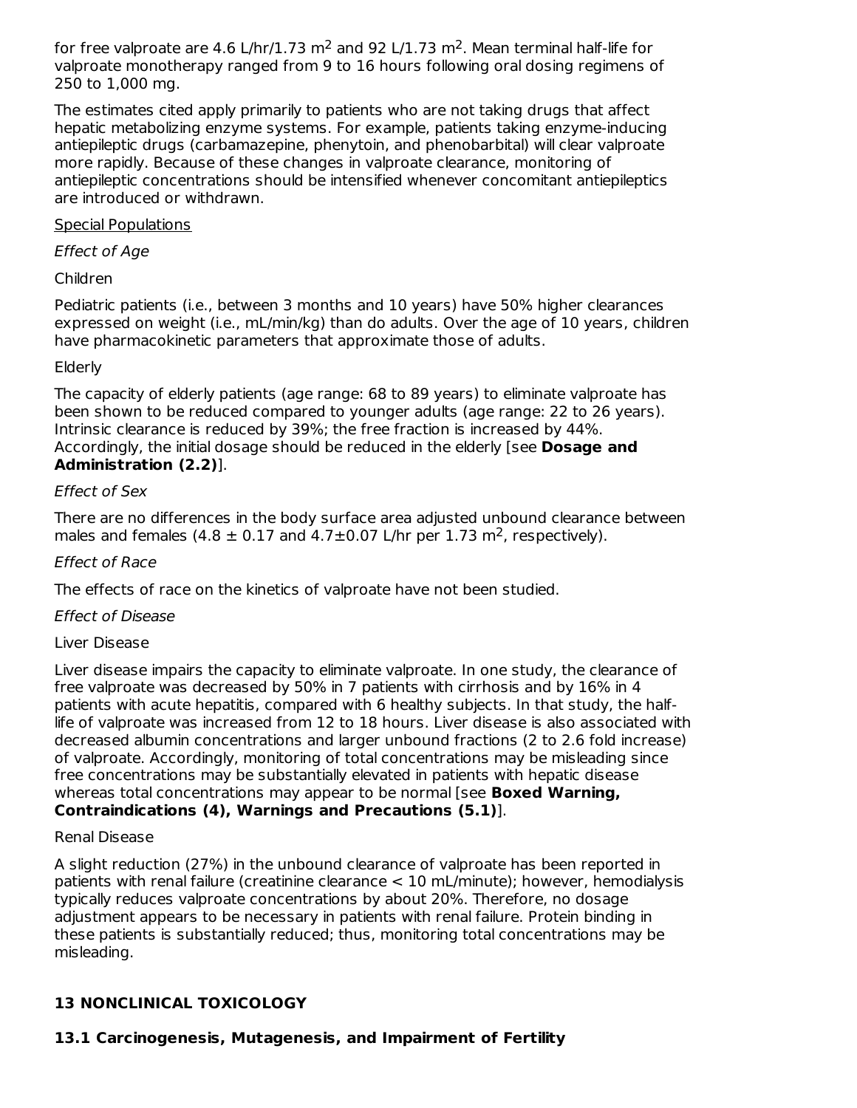for free valproate are 4.6 L/hr/1.73 m<sup>2</sup> and 92 L/1.73 m<sup>2</sup>. Mean terminal half-life for valproate monotherapy ranged from 9 to 16 hours following oral dosing regimens of 250 to 1,000 mg.

The estimates cited apply primarily to patients who are not taking drugs that affect hepatic metabolizing enzyme systems. For example, patients taking enzyme-inducing antiepileptic drugs (carbamazepine, phenytoin, and phenobarbital) will clear valproate more rapidly. Because of these changes in valproate clearance, monitoring of antiepileptic concentrations should be intensified whenever concomitant antiepileptics are introduced or withdrawn.

### Special Populations

### Effect of Age

### Children

Pediatric patients (i.e., between 3 months and 10 years) have 50% higher clearances expressed on weight (i.e., mL/min/kg) than do adults. Over the age of 10 years, children have pharmacokinetic parameters that approximate those of adults.

### Elderly

The capacity of elderly patients (age range: 68 to 89 years) to eliminate valproate has been shown to be reduced compared to younger adults (age range: 22 to 26 years). Intrinsic clearance is reduced by 39%; the free fraction is increased by 44%. Accordingly, the initial dosage should be reduced in the elderly [see **Dosage and Administration (2.2)**].

### Effect of Sex

There are no differences in the body surface area adjusted unbound clearance between males and females  $(4.8 \pm 0.17 \text{ and } 4.7 \pm 0.07 \text{ L/hr} \text{ per } 1.73 \text{ m}^2$ , respectively).

### Effect of Race

The effects of race on the kinetics of valproate have not been studied.

## Effect of Disease

#### Liver Disease

Liver disease impairs the capacity to eliminate valproate. In one study, the clearance of free valproate was decreased by 50% in 7 patients with cirrhosis and by 16% in 4 patients with acute hepatitis, compared with 6 healthy subjects. In that study, the halflife of valproate was increased from 12 to 18 hours. Liver disease is also associated with decreased albumin concentrations and larger unbound fractions (2 to 2.6 fold increase) of valproate. Accordingly, monitoring of total concentrations may be misleading since free concentrations may be substantially elevated in patients with hepatic disease whereas total concentrations may appear to be normal [see **Boxed Warning, Contraindications (4), Warnings and Precautions (5.1)**].

#### Renal Disease

A slight reduction (27%) in the unbound clearance of valproate has been reported in patients with renal failure (creatinine clearance < 10 mL/minute); however, hemodialysis typically reduces valproate concentrations by about 20%. Therefore, no dosage adjustment appears to be necessary in patients with renal failure. Protein binding in these patients is substantially reduced; thus, monitoring total concentrations may be misleading.

## **13 NONCLINICAL TOXICOLOGY**

## **13.1 Carcinogenesis, Mutagenesis, and Impairment of Fertility**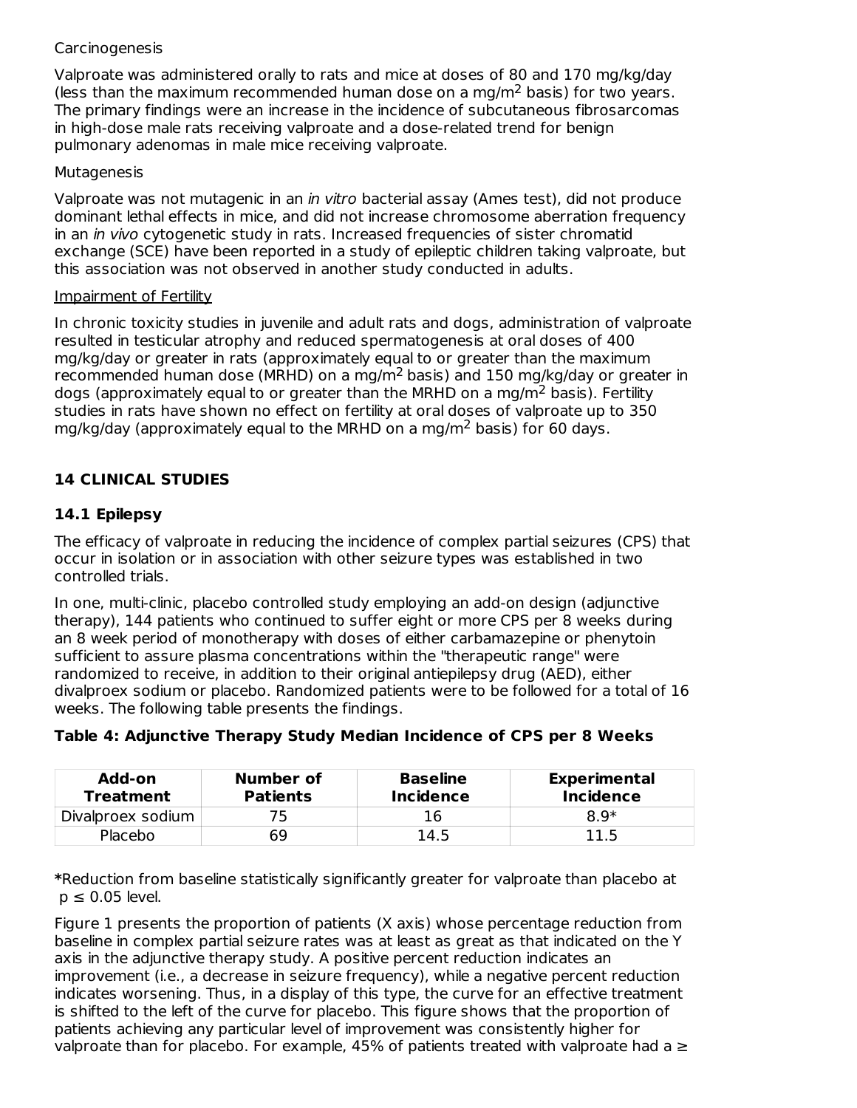### **Carcinogenesis**

Valproate was administered orally to rats and mice at doses of 80 and 170 mg/kg/day (less than the maximum recommended human dose on a mg/m<sup>2</sup> basis) for two years. The primary findings were an increase in the incidence of subcutaneous fibrosarcomas in high-dose male rats receiving valproate and a dose-related trend for benign pulmonary adenomas in male mice receiving valproate.

#### **Mutagenesis**

Valproate was not mutagenic in an in vitro bacterial assay (Ames test), did not produce dominant lethal effects in mice, and did not increase chromosome aberration frequency in an *in vivo* cytogenetic study in rats. Increased frequencies of sister chromatid exchange (SCE) have been reported in a study of epileptic children taking valproate, but this association was not observed in another study conducted in adults.

#### Impairment of Fertility

In chronic toxicity studies in juvenile and adult rats and dogs, administration of valproate resulted in testicular atrophy and reduced spermatogenesis at oral doses of 400 mg/kg/day or greater in rats (approximately equal to or greater than the maximum recommended human dose (MRHD) on a mg/m<sup>2</sup> basis) and 150 mg/kg/day or greater in dogs (approximately equal to or greater than the MRHD on a mg/m<sup>2</sup> basis). Fertility studies in rats have shown no effect on fertility at oral doses of valproate up to 350 mg/kg/day (approximately equal to the MRHD on a mg/m<sup>2</sup> basis) for 60 days.

## **14 CLINICAL STUDIES**

### **14.1 Epilepsy**

The efficacy of valproate in reducing the incidence of complex partial seizures (CPS) that occur in isolation or in association with other seizure types was established in two controlled trials.

In one, multi-clinic, placebo controlled study employing an add-on design (adjunctive therapy), 144 patients who continued to suffer eight or more CPS per 8 weeks during an 8 week period of monotherapy with doses of either carbamazepine or phenytoin sufficient to assure plasma concentrations within the "therapeutic range" were randomized to receive, in addition to their original antiepilepsy drug (AED), either divalproex sodium or placebo. Randomized patients were to be followed for a total of 16 weeks. The following table presents the findings.

|  |  |  |  |  |  | Table 4: Adjunctive Therapy Study Median Incidence of CPS per 8 Weeks |
|--|--|--|--|--|--|-----------------------------------------------------------------------|
|--|--|--|--|--|--|-----------------------------------------------------------------------|

| Add-on<br><b>Treatment</b> | Number of<br><b>Patients</b> | <b>Baseline</b><br>Incidence | <b>Experimental</b><br><b>Incidence</b> |  |  |
|----------------------------|------------------------------|------------------------------|-----------------------------------------|--|--|
| Divalproex sodium          | 75                           |                              | $8.9*$                                  |  |  |
| Placebo                    | 69                           | 14.5                         | 11.5                                    |  |  |

**\***Reduction from baseline statistically significantly greater for valproate than placebo at  $p \leq 0.05$  level.

Figure 1 presents the proportion of patients (X axis) whose percentage reduction from baseline in complex partial seizure rates was at least as great as that indicated on the Y axis in the adjunctive therapy study. A positive percent reduction indicates an improvement (i.e., a decrease in seizure frequency), while a negative percent reduction indicates worsening. Thus, in a display of this type, the curve for an effective treatment is shifted to the left of the curve for placebo. This figure shows that the proportion of patients achieving any particular level of improvement was consistently higher for valproate than for placebo. For example, 45% of patients treated with valproate had a  $\geq$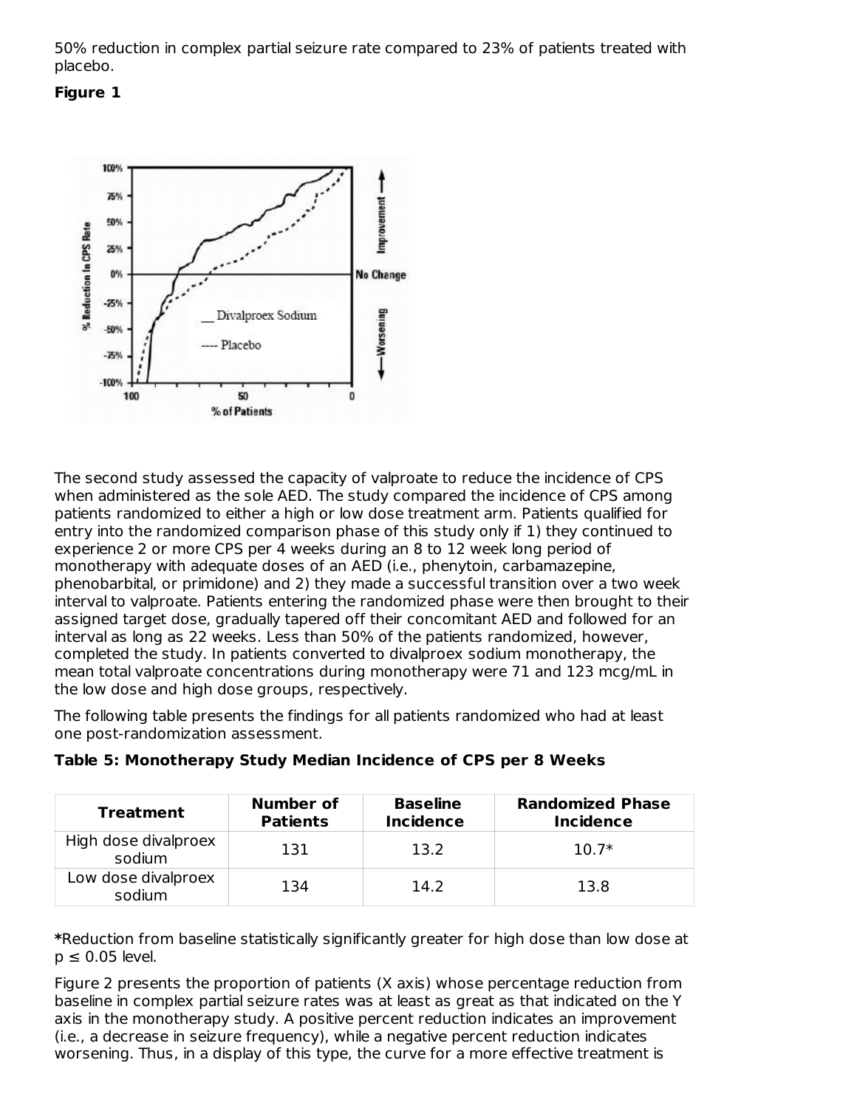50% reduction in complex partial seizure rate compared to 23% of patients treated with placebo.

#### **Figure 1**



The second study assessed the capacity of valproate to reduce the incidence of CPS when administered as the sole AED. The study compared the incidence of CPS among patients randomized to either a high or low dose treatment arm. Patients qualified for entry into the randomized comparison phase of this study only if 1) they continued to experience 2 or more CPS per 4 weeks during an 8 to 12 week long period of monotherapy with adequate doses of an AED (i.e., phenytoin, carbamazepine, phenobarbital, or primidone) and 2) they made a successful transition over a two week interval to valproate. Patients entering the randomized phase were then brought to their assigned target dose, gradually tapered off their concomitant AED and followed for an interval as long as 22 weeks. Less than 50% of the patients randomized, however, completed the study. In patients converted to divalproex sodium monotherapy, the mean total valproate concentrations during monotherapy were 71 and 123 mcg/mL in the low dose and high dose groups, respectively.

The following table presents the findings for all patients randomized who had at least one post-randomization assessment.

| <b>Treatment</b>               | <b>Number of</b><br><b>Patients</b> | <b>Baseline</b><br><b>Incidence</b> | <b>Randomized Phase</b><br><b>Incidence</b> |
|--------------------------------|-------------------------------------|-------------------------------------|---------------------------------------------|
| High dose divalproex<br>sodium | 131                                 | 13.2                                | $10.7*$                                     |
| Low dose divalproex<br>sodium  | 134                                 | 14.2                                | 13.8                                        |

|  |  |  | Table 5: Monotherapy Study Median Incidence of CPS per 8 Weeks |  |  |  |  |  |  |  |  |
|--|--|--|----------------------------------------------------------------|--|--|--|--|--|--|--|--|
|--|--|--|----------------------------------------------------------------|--|--|--|--|--|--|--|--|

**\***Reduction from baseline statistically significantly greater for high dose than low dose at  $p \leq 0.05$  level.

Figure 2 presents the proportion of patients (X axis) whose percentage reduction from baseline in complex partial seizure rates was at least as great as that indicated on the Y axis in the monotherapy study. A positive percent reduction indicates an improvement (i.e., a decrease in seizure frequency), while a negative percent reduction indicates worsening. Thus, in a display of this type, the curve for a more effective treatment is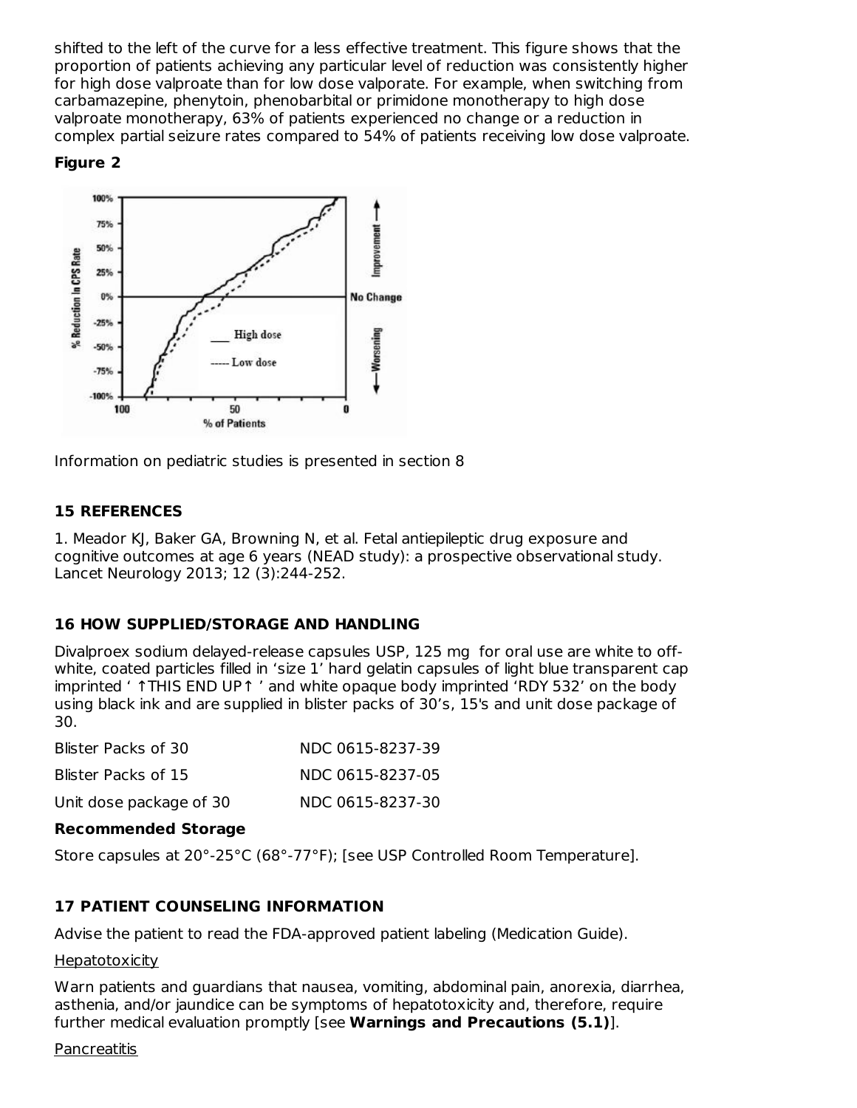shifted to the left of the curve for a less effective treatment. This figure shows that the proportion of patients achieving any particular level of reduction was consistently higher for high dose valproate than for low dose valporate. For example, when switching from carbamazepine, phenytoin, phenobarbital or primidone monotherapy to high dose valproate monotherapy, 63% of patients experienced no change or a reduction in complex partial seizure rates compared to 54% of patients receiving low dose valproate.

### **Figure 2**



Information on pediatric studies is presented in section 8

### **15 REFERENCES**

1. Meador KJ, Baker GA, Browning N, et al. Fetal antiepileptic drug exposure and cognitive outcomes at age 6 years (NEAD study): a prospective observational study. Lancet Neurology 2013; 12 (3):244-252.

## **16 HOW SUPPLIED/STORAGE AND HANDLING**

Divalproex sodium delayed-release capsules USP, 125 mg for oral use are white to offwhite, coated particles filled in 'size 1' hard gelatin capsules of light blue transparent cap imprinted ' ↑THIS END UP↑ ' and white opaque body imprinted 'RDY 532' on the body using black ink and are supplied in blister packs of 30's, 15's and unit dose package of 30.

| Blister Packs of 30     | NDC 0615-8237-39 |
|-------------------------|------------------|
| Blister Packs of 15     | NDC 0615-8237-05 |
| Unit dose package of 30 | NDC 0615-8237-30 |

#### **Recommended Storage**

Store capsules at 20°-25°C (68°-77°F); [see USP Controlled Room Temperature].

## **17 PATIENT COUNSELING INFORMATION**

Advise the patient to read the FDA-approved patient labeling (Medication Guide).

#### **Hepatotoxicity**

Warn patients and guardians that nausea, vomiting, abdominal pain, anorexia, diarrhea, asthenia, and/or jaundice can be symptoms of hepatotoxicity and, therefore, require further medical evaluation promptly [see **Warnings and Precautions (5.1)**].

#### **Pancreatitis**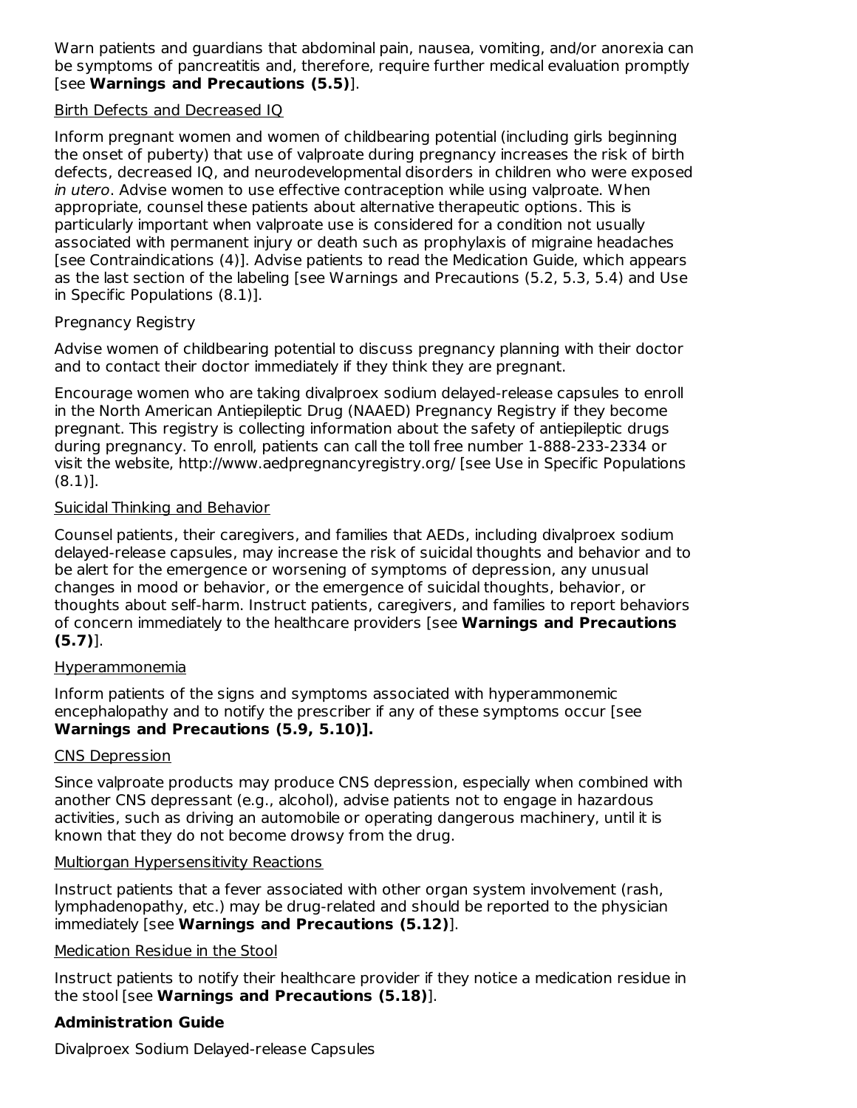Warn patients and guardians that abdominal pain, nausea, vomiting, and/or anorexia can be symptoms of pancreatitis and, therefore, require further medical evaluation promptly [see **Warnings and Precautions (5.5)**].

### Birth Defects and Decreased IQ

Inform pregnant women and women of childbearing potential (including girls beginning the onset of puberty) that use of valproate during pregnancy increases the risk of birth defects, decreased IQ, and neurodevelopmental disorders in children who were exposed in utero. Advise women to use effective contraception while using valproate. When appropriate, counsel these patients about alternative therapeutic options. This is particularly important when valproate use is considered for a condition not usually associated with permanent injury or death such as prophylaxis of migraine headaches [see Contraindications (4)]. Advise patients to read the Medication Guide, which appears as the last section of the labeling [see Warnings and Precautions (5.2, 5.3, 5.4) and Use in Specific Populations (8.1)].

### Pregnancy Registry

Advise women of childbearing potential to discuss pregnancy planning with their doctor and to contact their doctor immediately if they think they are pregnant.

Encourage women who are taking divalproex sodium delayed-release capsules to enroll in the North American Antiepileptic Drug (NAAED) Pregnancy Registry if they become pregnant. This registry is collecting information about the safety of antiepileptic drugs during pregnancy. To enroll, patients can call the toll free number 1-888-233-2334 or visit the website, http://www.aedpregnancyregistry.org/ [see Use in Specific Populations (8.1)].

### Suicidal Thinking and Behavior

Counsel patients, their caregivers, and families that AEDs, including divalproex sodium delayed-release capsules, may increase the risk of suicidal thoughts and behavior and to be alert for the emergence or worsening of symptoms of depression, any unusual changes in mood or behavior, or the emergence of suicidal thoughts, behavior, or thoughts about self-harm. Instruct patients, caregivers, and families to report behaviors of concern immediately to the healthcare providers [see **Warnings and Precautions (5.7)**].

#### Hyperammonemia

Inform patients of the signs and symptoms associated with hyperammonemic encephalopathy and to notify the prescriber if any of these symptoms occur [see **Warnings and Precautions (5.9, 5.10)].**

#### CNS Depression

Since valproate products may produce CNS depression, especially when combined with another CNS depressant (e.g., alcohol), advise patients not to engage in hazardous activities, such as driving an automobile or operating dangerous machinery, until it is known that they do not become drowsy from the drug.

#### Multiorgan Hypersensitivity Reactions

Instruct patients that a fever associated with other organ system involvement (rash, lymphadenopathy, etc.) may be drug-related and should be reported to the physician immediately [see **Warnings and Precautions (5.12)**].

## Medication Residue in the Stool

Instruct patients to notify their healthcare provider if they notice a medication residue in the stool [see **Warnings and Precautions (5.18)**].

## **Administration Guide**

Divalproex Sodium Delayed-release Capsules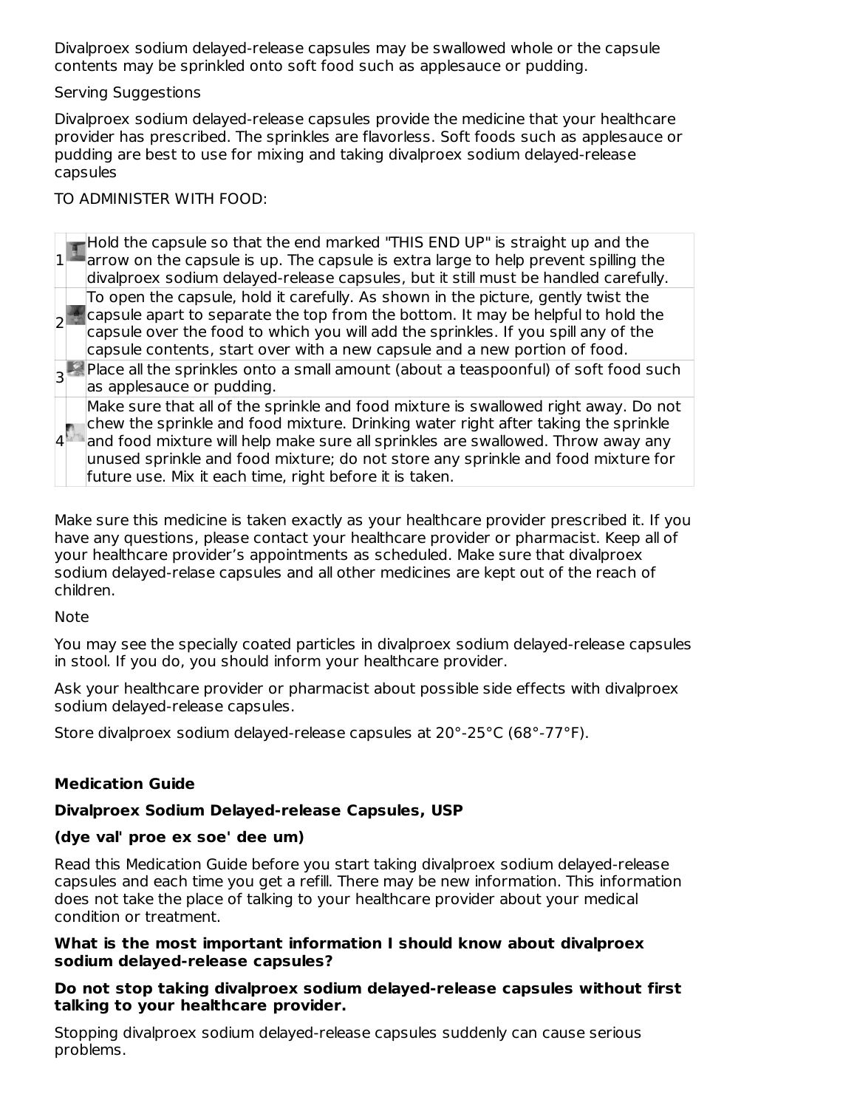Divalproex sodium delayed-release capsules may be swallowed whole or the capsule contents may be sprinkled onto soft food such as applesauce or pudding.

Serving Suggestions

Divalproex sodium delayed-release capsules provide the medicine that your healthcare provider has prescribed. The sprinkles are flavorless. Soft foods such as applesauce or pudding are best to use for mixing and taking divalproex sodium delayed-release capsules

TO ADMINISTER WITH FOOD:

1 Hold the capsule so that the end marked "THIS END UP" is straight up and the arrow on the capsule is up. The capsule is extra large to help prevent spilling the divalproex sodium delayed-release capsules, but it still must be handled carefully. 2 To open the capsule, hold it carefully. As shown in the picture, gently twist the capsule apart to separate the top from the bottom. It may be helpful to hold the capsule over the food to which you will add the sprinkles. If you spill any of the capsule contents, start over with a new capsule and a new portion of food. 3|' Place all the sprinkles onto a small amount (about a teaspoonful) of soft food such as applesauce or pudding. 4 Make sure that all of the sprinkle and food mixture is swallowed right away. Do not chew the sprinkle and food mixture. Drinking water right after taking the sprinkle and food mixture will help make sure all sprinkles are swallowed. Throw away any unused sprinkle and food mixture; do not store any sprinkle and food mixture for future use. Mix it each time, right before it is taken.

Make sure this medicine is taken exactly as your healthcare provider prescribed it. If you have any questions, please contact your healthcare provider or pharmacist. Keep all of your healthcare provider's appointments as scheduled. Make sure that divalproex sodium delayed-relase capsules and all other medicines are kept out of the reach of children.

Note

You may see the specially coated particles in divalproex sodium delayed-release capsules in stool. If you do, you should inform your healthcare provider.

Ask your healthcare provider or pharmacist about possible side effects with divalproex sodium delayed-release capsules.

Store divalproex sodium delayed-release capsules at 20°-25°C (68°-77°F).

## **Medication Guide**

## **Divalproex Sodium Delayed-release Capsules, USP**

## **(dye val' proe ex soe' dee um)**

Read this Medication Guide before you start taking divalproex sodium delayed-release capsules and each time you get a refill. There may be new information. This information does not take the place of talking to your healthcare provider about your medical condition or treatment.

#### **What is the most important information I should know about divalproex sodium delayed-release capsules?**

### **Do not stop taking divalproex sodium delayed-release capsules without first talking to your healthcare provider.**

Stopping divalproex sodium delayed-release capsules suddenly can cause serious problems.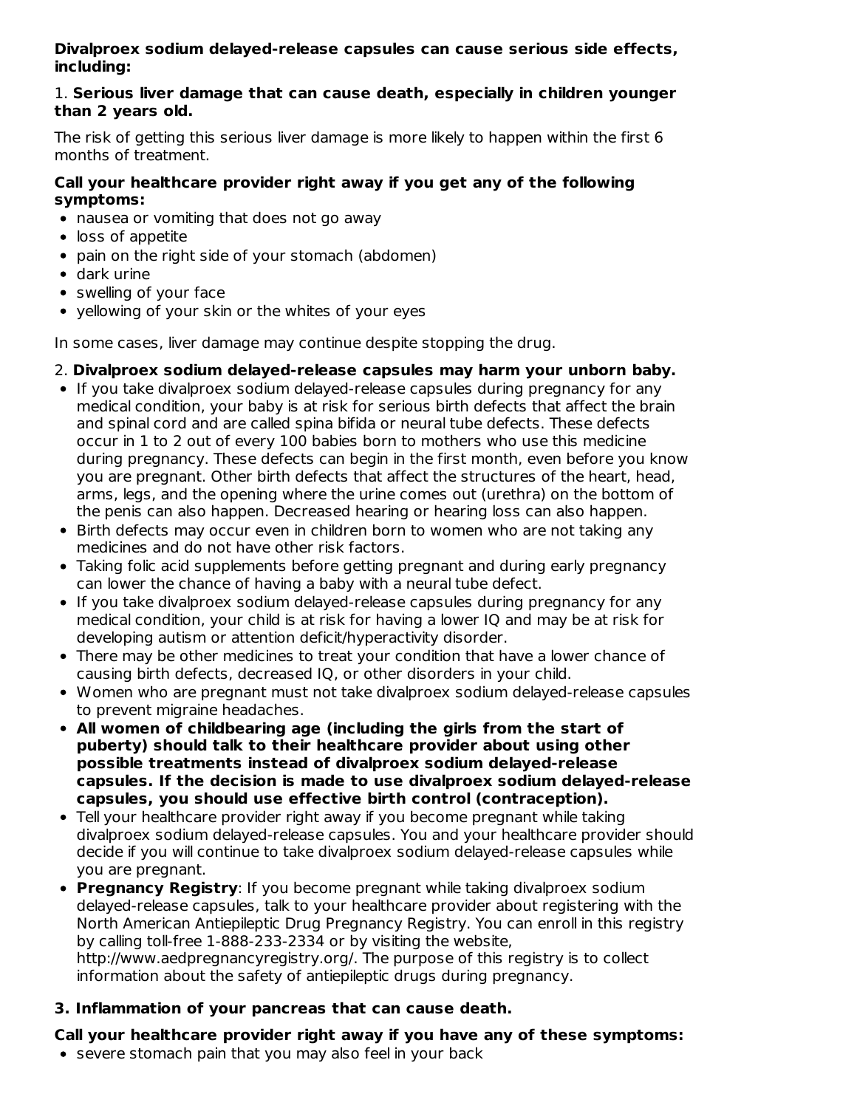### **Divalproex sodium delayed-release capsules can cause serious side effects, including:**

#### 1. **Serious liver damage that can cause death, especially in children younger than 2 years old.**

The risk of getting this serious liver damage is more likely to happen within the first 6 months of treatment.

### **Call your healthcare provider right away if you get any of the following symptoms:**

- nausea or vomiting that does not go away
- loss of appetite
- pain on the right side of your stomach (abdomen)
- dark urine
- swelling of your face
- yellowing of your skin or the whites of your eyes

In some cases, liver damage may continue despite stopping the drug.

#### 2. **Divalproex sodium delayed-release capsules may harm your unborn baby.**

- If you take divalproex sodium delayed-release capsules during pregnancy for any medical condition, your baby is at risk for serious birth defects that affect the brain and spinal cord and are called spina bifida or neural tube defects. These defects occur in 1 to 2 out of every 100 babies born to mothers who use this medicine during pregnancy. These defects can begin in the first month, even before you know you are pregnant. Other birth defects that affect the structures of the heart, head, arms, legs, and the opening where the urine comes out (urethra) on the bottom of the penis can also happen. Decreased hearing or hearing loss can also happen.
- Birth defects may occur even in children born to women who are not taking any medicines and do not have other risk factors.
- Taking folic acid supplements before getting pregnant and during early pregnancy can lower the chance of having a baby with a neural tube defect.
- If you take divalproex sodium delayed-release capsules during pregnancy for any medical condition, your child is at risk for having a lower IQ and may be at risk for developing autism or attention deficit/hyperactivity disorder.
- There may be other medicines to treat your condition that have a lower chance of causing birth defects, decreased IQ, or other disorders in your child.
- Women who are pregnant must not take divalproex sodium delayed-release capsules to prevent migraine headaches.
- **All women of childbearing age (including the girls from the start of puberty) should talk to their healthcare provider about using other possible treatments instead of divalproex sodium delayed-release capsules. If the decision is made to use divalproex sodium delayed-release capsules, you should use effective birth control (contraception).**
- Tell your healthcare provider right away if you become pregnant while taking divalproex sodium delayed-release capsules. You and your healthcare provider should decide if you will continue to take divalproex sodium delayed-release capsules while you are pregnant.
- **Pregnancy Registry**: If you become pregnant while taking divalproex sodium delayed-release capsules, talk to your healthcare provider about registering with the North American Antiepileptic Drug Pregnancy Registry. You can enroll in this registry by calling toll-free 1-888-233-2334 or by visiting the website, http://www.aedpregnancyregistry.org/. The purpose of this registry is to collect information about the safety of antiepileptic drugs during pregnancy.

## **3. Inflammation of your pancreas that can cause death.**

## **Call your healthcare provider right away if you have any of these symptoms:**

• severe stomach pain that you may also feel in your back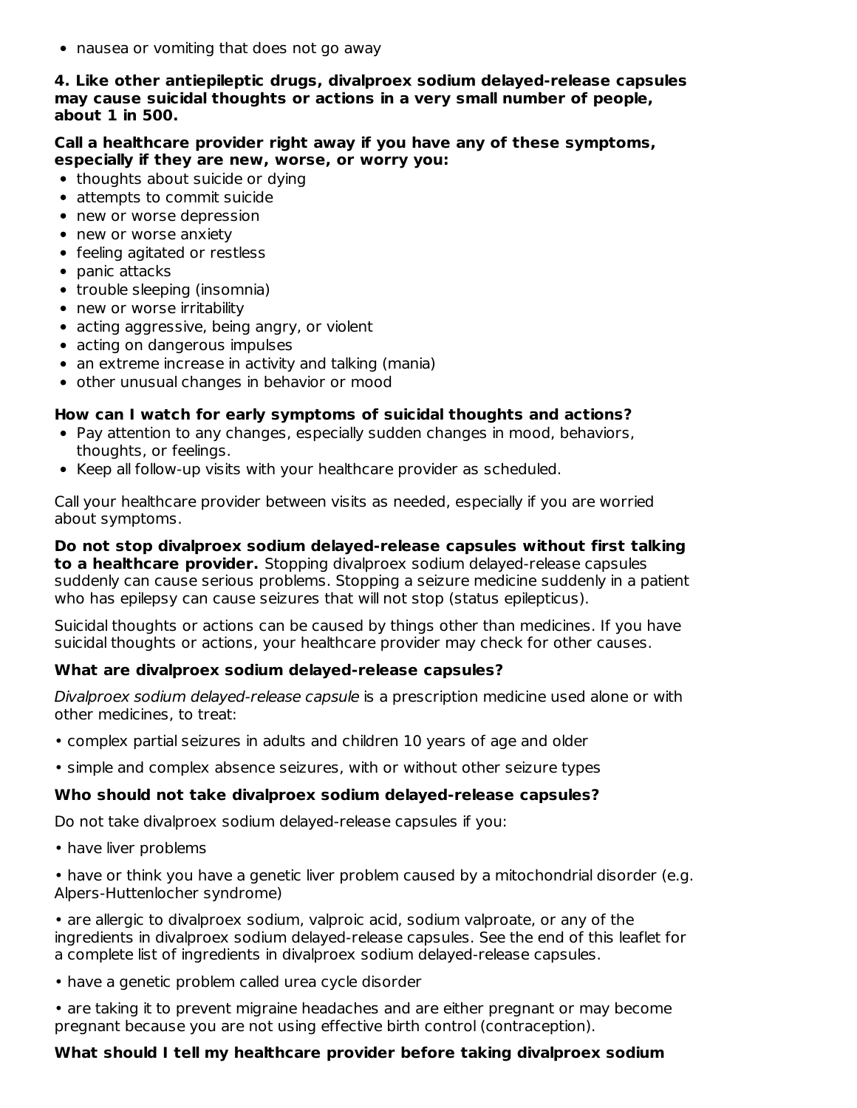• nausea or vomiting that does not go away

#### **4. Like other antiepileptic drugs, divalproex sodium delayed-release capsules may cause suicidal thoughts or actions in a very small number of people, about 1 in 500.**

#### **Call a healthcare provider right away if you have any of these symptoms, especially if they are new, worse, or worry you:**

- thoughts about suicide or dying
- attempts to commit suicide
- new or worse depression
- new or worse anxiety
- feeling agitated or restless
- panic attacks
- trouble sleeping (insomnia)
- new or worse irritability
- acting aggressive, being angry, or violent
- acting on dangerous impulses
- an extreme increase in activity and talking (mania)
- other unusual changes in behavior or mood

#### **How can I watch for early symptoms of suicidal thoughts and actions?**

- Pay attention to any changes, especially sudden changes in mood, behaviors, thoughts, or feelings.
- Keep all follow-up visits with your healthcare provider as scheduled.

Call your healthcare provider between visits as needed, especially if you are worried about symptoms.

**Do not stop divalproex sodium delayed-release capsules without first talking to a healthcare provider.** Stopping divalproex sodium delayed-release capsules suddenly can cause serious problems. Stopping a seizure medicine suddenly in a patient who has epilepsy can cause seizures that will not stop (status epilepticus).

Suicidal thoughts or actions can be caused by things other than medicines. If you have suicidal thoughts or actions, your healthcare provider may check for other causes.

#### **What are divalproex sodium delayed-release capsules?**

Divalproex sodium delayed-release capsule is a prescription medicine used alone or with other medicines, to treat:

- complex partial seizures in adults and children 10 years of age and older
- simple and complex absence seizures, with or without other seizure types

#### **Who should not take divalproex sodium delayed-release capsules?**

Do not take divalproex sodium delayed-release capsules if you:

• have liver problems

• have or think you have a genetic liver problem caused by a mitochondrial disorder (e.g. Alpers-Huttenlocher syndrome)

• are allergic to divalproex sodium, valproic acid, sodium valproate, or any of the ingredients in divalproex sodium delayed-release capsules. See the end of this leaflet for a complete list of ingredients in divalproex sodium delayed-release capsules.

• have a genetic problem called urea cycle disorder

• are taking it to prevent migraine headaches and are either pregnant or may become pregnant because you are not using effective birth control (contraception).

#### **What should I tell my healthcare provider before taking divalproex sodium**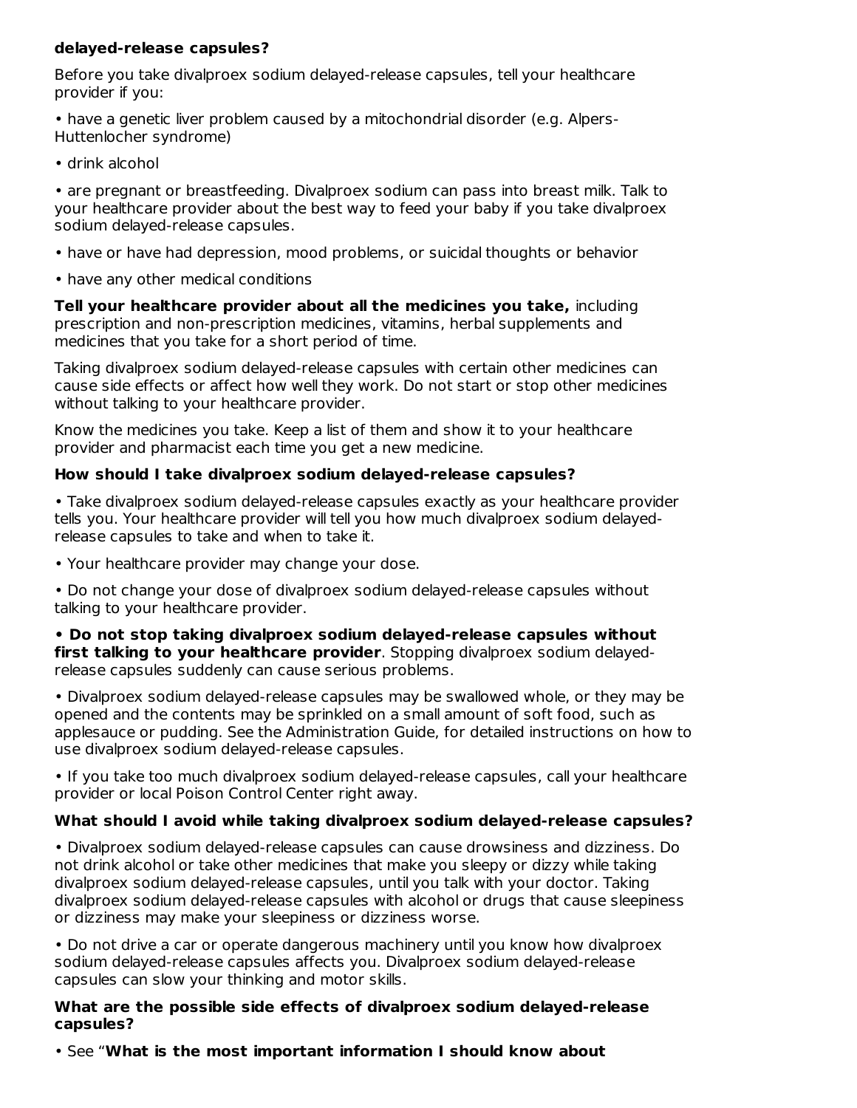#### **delayed-release capsules?**

Before you take divalproex sodium delayed-release capsules, tell your healthcare provider if you:

• have a genetic liver problem caused by a mitochondrial disorder (e.g. Alpers-Huttenlocher syndrome)

• drink alcohol

• are pregnant or breastfeeding. Divalproex sodium can pass into breast milk. Talk to your healthcare provider about the best way to feed your baby if you take divalproex sodium delayed-release capsules.

- have or have had depression, mood problems, or suicidal thoughts or behavior
- have any other medical conditions

**Tell your healthcare provider about all the medicines you take,** including prescription and non-prescription medicines, vitamins, herbal supplements and medicines that you take for a short period of time.

Taking divalproex sodium delayed-release capsules with certain other medicines can cause side effects or affect how well they work. Do not start or stop other medicines without talking to your healthcare provider.

Know the medicines you take. Keep a list of them and show it to your healthcare provider and pharmacist each time you get a new medicine.

### **How should I take divalproex sodium delayed-release capsules?**

• Take divalproex sodium delayed-release capsules exactly as your healthcare provider tells you. Your healthcare provider will tell you how much divalproex sodium delayedrelease capsules to take and when to take it.

• Your healthcare provider may change your dose.

• Do not change your dose of divalproex sodium delayed-release capsules without talking to your healthcare provider.

**• Do not stop taking divalproex sodium delayed-release capsules without first talking to your healthcare provider**. Stopping divalproex sodium delayedrelease capsules suddenly can cause serious problems.

• Divalproex sodium delayed-release capsules may be swallowed whole, or they may be opened and the contents may be sprinkled on a small amount of soft food, such as applesauce or pudding. See the Administration Guide, for detailed instructions on how to use divalproex sodium delayed-release capsules.

• If you take too much divalproex sodium delayed-release capsules, call your healthcare provider or local Poison Control Center right away.

## **What should I avoid while taking divalproex sodium delayed-release capsules?**

• Divalproex sodium delayed-release capsules can cause drowsiness and dizziness. Do not drink alcohol or take other medicines that make you sleepy or dizzy while taking divalproex sodium delayed-release capsules, until you talk with your doctor. Taking divalproex sodium delayed-release capsules with alcohol or drugs that cause sleepiness or dizziness may make your sleepiness or dizziness worse.

• Do not drive a car or operate dangerous machinery until you know how divalproex sodium delayed-release capsules affects you. Divalproex sodium delayed-release capsules can slow your thinking and motor skills.

**What are the possible side effects of divalproex sodium delayed-release capsules?**

• See "**What is the most important information I should know about**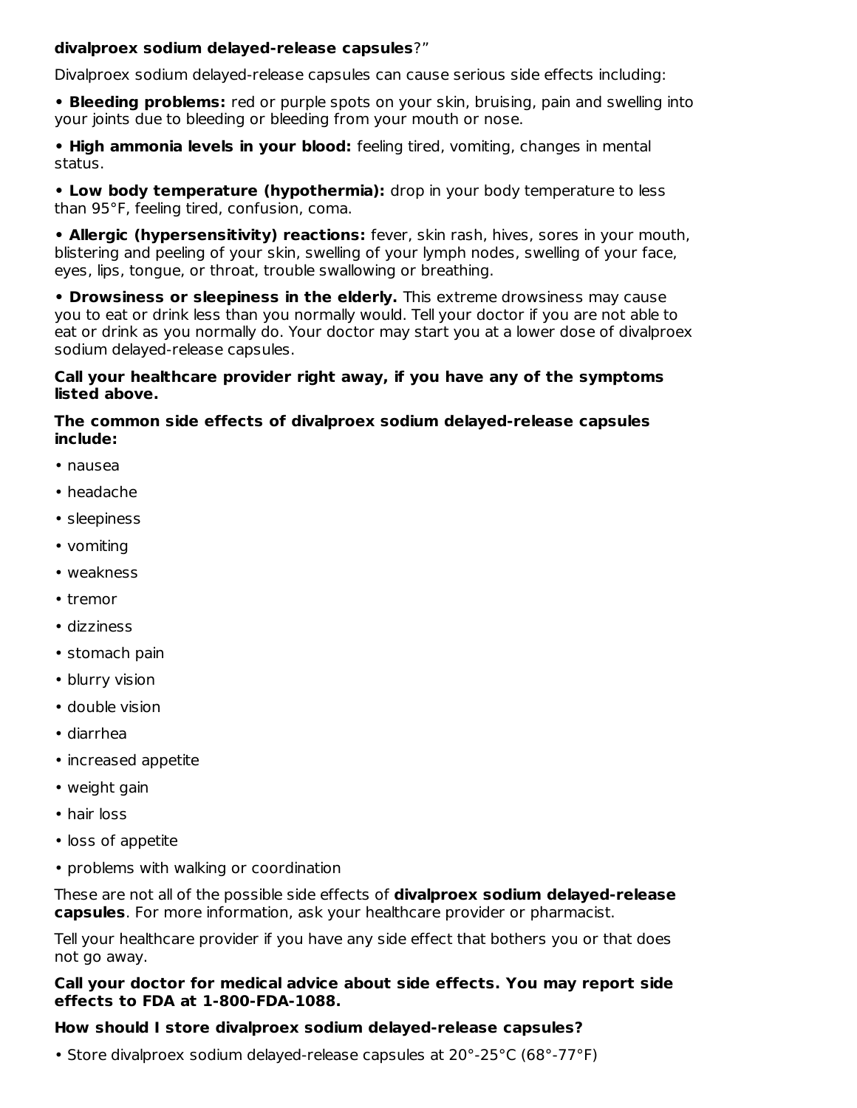#### **divalproex sodium delayed-release capsules**?"

Divalproex sodium delayed-release capsules can cause serious side effects including:

**• Bleeding problems:** red or purple spots on your skin, bruising, pain and swelling into your joints due to bleeding or bleeding from your mouth or nose.

**• High ammonia levels in your blood:** feeling tired, vomiting, changes in mental status.

**• Low body temperature (hypothermia):** drop in your body temperature to less than 95°F, feeling tired, confusion, coma.

**• Allergic (hypersensitivity) reactions:** fever, skin rash, hives, sores in your mouth, blistering and peeling of your skin, swelling of your lymph nodes, swelling of your face, eyes, lips, tongue, or throat, trouble swallowing or breathing.

**• Drowsiness or sleepiness in the elderly.** This extreme drowsiness may cause you to eat or drink less than you normally would. Tell your doctor if you are not able to eat or drink as you normally do. Your doctor may start you at a lower dose of divalproex sodium delayed-release capsules.

#### **Call your healthcare provider right away, if you have any of the symptoms listed above.**

#### **The common side effects of divalproex sodium delayed-release capsules include:**

- nausea
- headache
- sleepiness
- vomiting
- weakness
- tremor
- dizziness
- stomach pain
- blurry vision
- double vision
- diarrhea
- increased appetite
- weight gain
- hair loss
- loss of appetite
- problems with walking or coordination

These are not all of the possible side effects of **divalproex sodium delayed-release capsules**. For more information, ask your healthcare provider or pharmacist.

Tell your healthcare provider if you have any side effect that bothers you or that does not go away.

#### **Call your doctor for medical advice about side effects. You may report side effects to FDA at 1-800-FDA-1088.**

#### **How should I store divalproex sodium delayed-release capsules?**

• Store divalproex sodium delayed-release capsules at 20°-25°C (68°-77°F)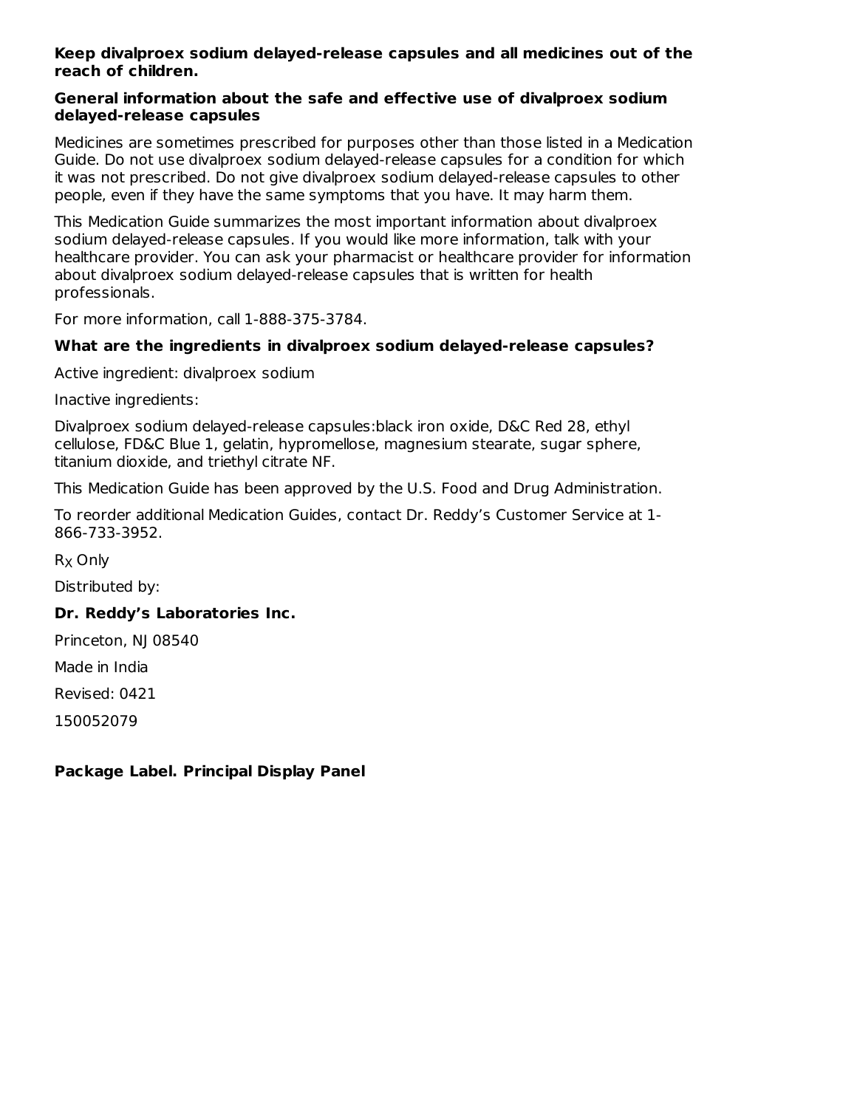#### **Keep divalproex sodium delayed-release capsules and all medicines out of the reach of children.**

#### **General information about the safe and effective use of divalproex sodium delayed-release capsules**

Medicines are sometimes prescribed for purposes other than those listed in a Medication Guide. Do not use divalproex sodium delayed-release capsules for a condition for which it was not prescribed. Do not give divalproex sodium delayed-release capsules to other people, even if they have the same symptoms that you have. It may harm them.

This Medication Guide summarizes the most important information about divalproex sodium delayed-release capsules. If you would like more information, talk with your healthcare provider. You can ask your pharmacist or healthcare provider for information about divalproex sodium delayed-release capsules that is written for health professionals.

For more information, call 1-888-375-3784.

#### **What are the ingredients in divalproex sodium delayed-release capsules?**

Active ingredient: divalproex sodium

Inactive ingredients:

Divalproex sodium delayed-release capsules:black iron oxide, D&C Red 28, ethyl cellulose, FD&C Blue 1, gelatin, hypromellose, magnesium stearate, sugar sphere, titanium dioxide, and triethyl citrate NF.

This Medication Guide has been approved by the U.S. Food and Drug Administration.

To reorder additional Medication Guides, contact Dr. Reddy's Customer Service at 1- 866-733-3952.

R<sub>X</sub> Only

Distributed by:

#### **Dr. Reddy's Laboratories Inc.**

Princeton, NJ 08540

Made in India

Revised: 0421

150052079

#### **Package Label. Principal Display Panel**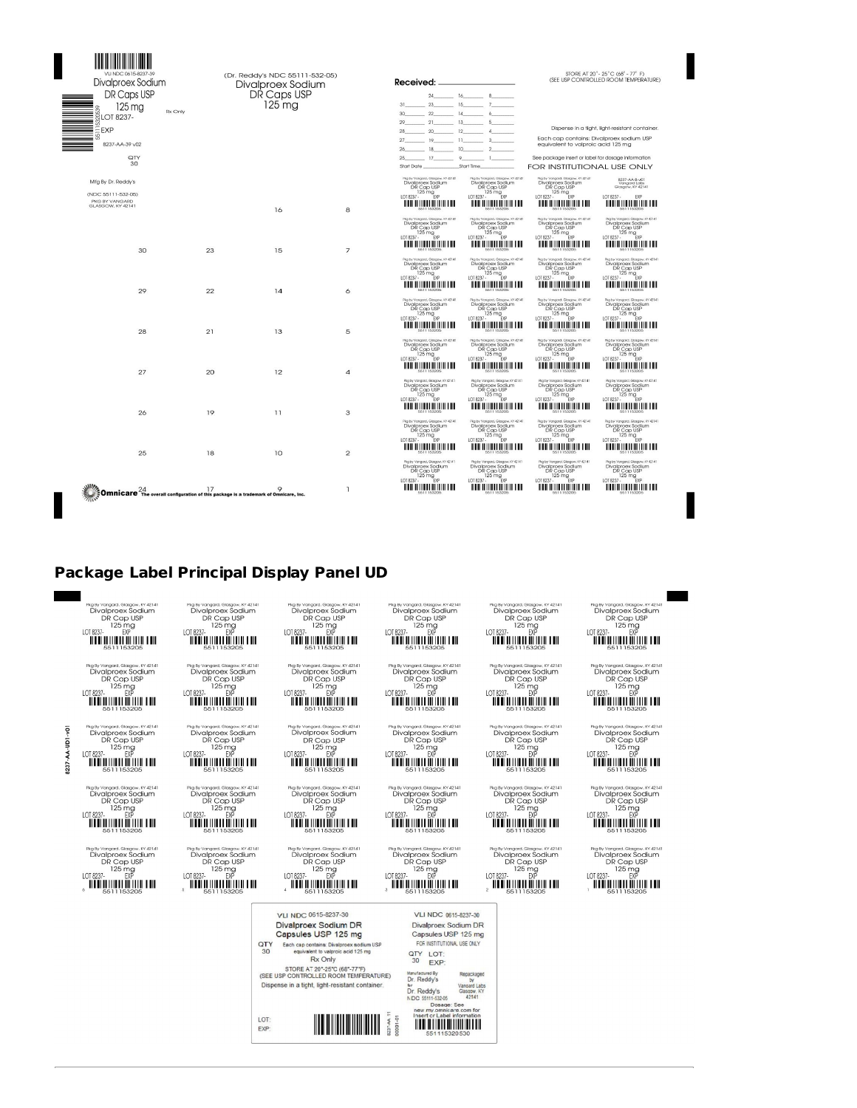| Divalproex Sodium<br>DR Caps USP                                                                   |    | (Dr. Reddy's NDC 55111-532-05)<br>Divalproex Sodium<br>DR Caps USP |                | Received:                                                                                                                                                                                          |                                                                                                                                                                        |                                                                                                                                                                                                    | STORE AT 20° - 25°C (68° - 77° F)<br>(SEE USP CONTROLLED ROOM TEMPERATURE)                                                                                                      |
|----------------------------------------------------------------------------------------------------|----|--------------------------------------------------------------------|----------------|----------------------------------------------------------------------------------------------------------------------------------------------------------------------------------------------------|------------------------------------------------------------------------------------------------------------------------------------------------------------------------|----------------------------------------------------------------------------------------------------------------------------------------------------------------------------------------------------|---------------------------------------------------------------------------------------------------------------------------------------------------------------------------------|
| $125 \text{ ma}$<br>Rx Only<br><b>GLOT 8237-</b><br>EEXP<br>ĸ<br>8237-AA-39 v02<br>QTY<br>30       |    | $125 \text{ ma}$                                                   |                | 31<br>22<br>$-14$<br>30 <sup>°</sup><br>$-21$<br>$-13$<br>29<br>20<br>28<br>$-19$<br>$27 -$<br>11<br>18<br>26<br>$-17$<br>$\circ$<br>25<br>Start Date                                              | $24 \t\t 16 \t\t 8$<br>$23 \hspace{2.5cm} 15 \hspace{2.5cm} 7 \hspace{2.5cm}$<br>5<br>12<br>A<br>3<br>10<br>$\mathbf{1}$<br>Start Time                                 | equivalent to valproic acid 125 mg<br>See package insert or label for dosage information<br>FOR INSTITUTIONAL USE ONLY                                                                             | Dispense in a tight, light-resistant container.<br>Each cap contains: Divalproex sodium USP                                                                                     |
| Mfg By Dr. Reddy's<br>(NDC 55111-532-05)<br>PKG BY VANGARD<br>GLASGOW, KY 42141                    |    | 16                                                                 | 8              | Pkg by Vongord, Glosgow, KY 42141<br>Divalproex Sodium<br>DR Cap USP<br>125 mg<br>EXP<br>LOT 8237 -<br><u> A BERTALIA DE LA BILITA DE LA BILI</u>                                                  | Pkg by Vongold. Glosgow, KY 42141<br>Divalproex Sodium<br>DR Cap USP<br>$125 \text{ mg}$<br>$7 - \text{exp}$<br>LOT 8237 -                                             | Rigiby Vangard, Glasgow, KY 42141<br>Divalproex Sodium<br>DR Cap USP<br>125 mg<br>LOT 8237 -<br>EXP                                                                                                | 8237-AA-B-v01<br>Vangard Labs<br>Glasgow, KY 42141<br>LOT 8237 -<br><b>EXP</b><br><u> A BEN DE LITEL DE LITEL DE L</u>                                                          |
| 30                                                                                                 | 23 | 15                                                                 | $\overline{7}$ | Rig by Vongord, Glasgow, KY 42141<br>Divalproex Sodium<br>DR Cap USP<br>$\frac{125 \text{ mg}}{125 \text{ mg}}$<br>LOT 8237 -<br><b>TELEVISION IN THE LIN</b><br>Pkg by Vangard, Glasgow, KY 42141 | Pkg by Vongord, Glosgow, KY 42141<br>Divalproex Sodium<br>DR Cap USP<br>125 mg<br>LOT 8237 -<br>EXP<br><u> A TANAH ANAH IN</u><br>Pkg by Vangard, Glasgow, KY 42141    | Rig by Vongord, Glosgow, KY 42141<br>Divalproex Sodium<br>DR Cap USP<br>$125 \text{ mg}$<br>1018237-<br><b>FXP</b><br><u>minimumini ni</u><br>Rigiby Vangard, Glosgow, KY 42141                    | Rig by Vangard, Glasgow, KY 42141<br>Divalproex Sodium<br>DR Cap USP<br>$125 \text{ mg}$<br>$50$<br>LOT 8237 -<br><b>THE REPORT OF LAW</b><br>Pkg by Vongord, Glasgow, KY 42141 |
| 29                                                                                                 | 22 | 14                                                                 | 6              | Divalproex Sodium<br>DR Cap USP<br>$^{2}$ Cap<br>$^{125}$ mg<br>LOT 8237 -<br><b>THE RESIDENT OF THE LINE</b><br>Pkg by Vongord, Glasgow, KY 42141<br>Divalproex Sodium                            | Divalproex Sodium<br>DR Cap USP<br>$\frac{125 \text{ mg}}{2}$<br>LOT 8237 -<br><u> A TERRITORIA DE LA BI</u><br>Pkg by Vongord, Glosgow, KY 42141<br>Divalproex Sodium | Divalproex Sodium<br>DR Cap USP<br>$125 \text{ mg}$<br>$7 - \text{EVP}$<br>LOT 8237 -<br><u> HELLIN HELLIN HELLIN</u><br>Rig by Vangard, Glosgow, KY 42141<br>Divalproex Sodium                    | Divalproex Sodium<br>DR Cap USP<br>$^{125}$ mg<br>LOT 8237 -<br><b><i>HOLD HOLD HOLD LOD</i></b><br>Pkg by Vangard, Glasgow, KY 42141<br>Divalproex Sodium                      |
| 28                                                                                                 | 21 | 13                                                                 | 5              | DR Cap USP<br>$125 \text{ mg}$<br>LOT 8237 -<br><b><i>HOLD HOLD HOLD LOD</i></b><br>Pkg by Vongord, Glosgow, KY 42141<br>Divalproex Sodium                                                         | DR Cap USP<br>$125 \text{ mg}$<br>$25 \text{ mg}$<br>LOT 8237 -<br><u> Holland Holland III et al.</u><br>Pike by Vengerd, Glesgow, KY 42141<br>Divalproex Sodium       | DR Cap USP<br>$\frac{125}{125}$ mg<br>EXP<br>LOT 8237 -<br><b>HOLD HOLD HOLD FOR</b><br>Rigiby Vangard, Glasgow, KY 42141<br>Divalproex Sodium                                                     | DR Cap USP<br>$rac{125}{125}$ mg<br>$rac{125}{5}$<br>LOT 8237 -<br><b>TITULIAN DE LA BI</b><br>Pkg by Vangard, Glasgow, KY 42141<br>Divalproex Sodium                           |
| 27                                                                                                 | 20 | 12                                                                 | $\overline{a}$ | DR Cap USP<br>$\frac{125}{125}$ mg<br>$\frac{5}{5}$<br>LOT 8237 -<br><u> 1111 1111 1111 1111 1111 1111 </u><br>Pkg by Vangard, Glasgow, KY 42141                                                   | DR Cap USP<br>$\frac{125 \text{ mg}}{125 \text{ mg}}$<br>LOT 8237 -<br><u> HELLIN HELLIN HELLIN</u><br>Plyg by Vangard, Glasgow, KY 42141                              | DR Cap USP<br>$^{7}C$ G <sub>P</sub><br>LOT 8237 -<br><u> HELLIN HELLIN HELLIN</u><br>Rig by Vangard, Glasgow, KY 42141                                                                            | DR Cap USP<br>$^{7}$ Cap $^{125}$ mg<br>LOT 8237 -<br><b>THE RESIDENT OF THE LAW</b><br>Rigiby Vangard, Glasgow, KY 42141                                                       |
| 26                                                                                                 | 19 | 11                                                                 | 3              | Divalproex Sodium<br>DR Cap USP<br>$125 \text{ mg}$<br>$7. \text{ p/p}$<br>LOT 8237 -<br><u> A BERTALIA DE LA BILITA DE LA BILI</u><br>Pkg by Vongord, Glasgow, KY 42141                           | Divalproex Sodium<br>DR Cap USP<br>$125 \text{ mg}$<br>$7. \text{ FYP}$<br>LOT 8237 -<br><u> HELLININ HIILII III</u><br>Pike by Vengerd, Glasgow, KY 42141             | Divalproex Sodium<br>DR Cap USP<br>$125 \text{ mg}$<br>$7 - \text{EVP}$<br>LOT 8237 -<br><b>THE REPORT OF THE LINE</b><br>Plea by Vangard, Glorgow, KY 42141                                       | Divalproex Sodium<br>DR Cap USP<br>$125 \text{ mg}$<br>$7. \text{ EVP}$<br>LOT 8237 -<br><b>THE REPORT OF LIFE AND</b><br>Pika by Vangard, Glasgow, KY 42141                    |
| 25                                                                                                 | 18 | 10                                                                 | $\overline{2}$ | Divalproex Sodium<br>DR Cap USP<br>$^{7}$ Cap<br>LOT 8237 -<br><b>THE RESIDENT OF THE LINE</b>                                                                                                     | Divaloroex Sodium<br>DR Cap USP<br>$7 - \frac{125 \text{ mg}}{\text{EYP}}$<br>LOT 8237 -<br><u> A BERTALIA DE LA BILITARIA DE L</u>                                    | Divalproex Sodium<br>DR Cap USP<br>$125 \text{ mg}$<br>LOT 8237 -<br>EXP<br><u> A BEN DI LIBERTI DI LIBERTI DI LIBERTI DI LIBERTI DI LIBERTI DI LIBERTI DI LIBERTI DI LIBERTI DI LIBERTI DI LI</u> | <b>Divalproex Sodium</b><br>DR Cap USP<br>7.75mg<br>LOT 8237 -<br><b>THE RESIDENCE OF A REAL</b>                                                                                |
| <b>Omnicare</b> $^{24}$ The overall configuration of this package is a trademark of Omnicare, Inc. |    |                                                                    | $\mathbf{I}$   | Plig by Vangord, Glosgow, KY 42141<br>Divalproex Sodium<br>DR Cap USP<br>$125 \text{ mg}$<br>$\frac{D}{D}$<br>LOT 8237 -<br><u> III II III III III III II III III II</u>                           | Rig by Vangard, Glasgow, KY 42141<br><b>Divalproex Sodium</b><br>DR Cap USP<br>$125 \text{ mg}$<br>$\frac{125 \text{ mg}}{\text{exp}}$<br>LOT 8237 -                   | Rigiby Vangard, Glasgow, KY 42141<br>Divalproex Sodium<br>DR Cap USP<br>$^{7}$ Cap – 125 mg<br>EXP<br>LOT 8237 -<br>III III III III III III III III                                                | Rigiby Vangard, Glasgow, KY 42141<br>Divalproex Sodium<br>DR Cap USP<br>$\frac{125 \text{ mg}}{E}$<br>LOT 8237 -<br><b>THE RESIDENT OF THE LAW</b>                              |

#### **Package Label Principal Display Panel UD**

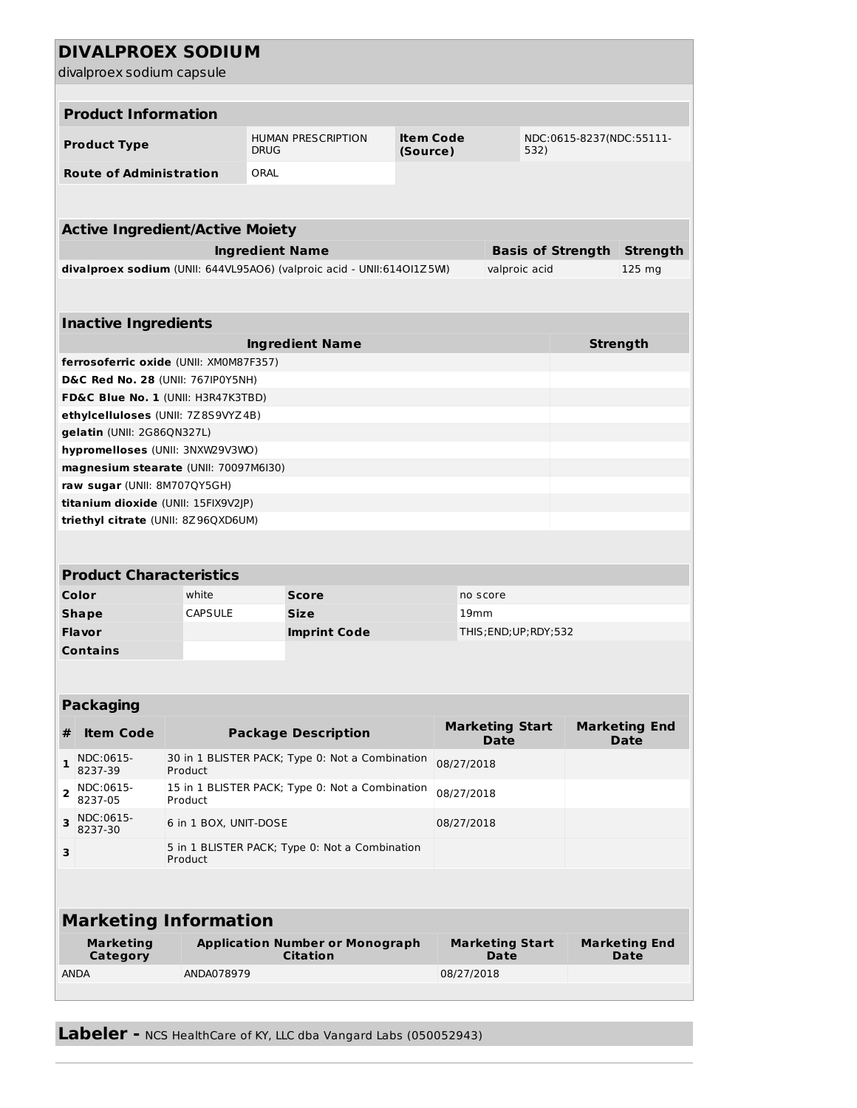|                                     | <b>DIVALPROEX SODIUM</b><br>divalproex sodium capsule                 |                                                                          |             |                                                                       |                                  |                  |                                |  |                                     |  |  |  |
|-------------------------------------|-----------------------------------------------------------------------|--------------------------------------------------------------------------|-------------|-----------------------------------------------------------------------|----------------------------------|------------------|--------------------------------|--|-------------------------------------|--|--|--|
|                                     |                                                                       |                                                                          |             |                                                                       |                                  |                  |                                |  |                                     |  |  |  |
|                                     | <b>Product Information</b>                                            |                                                                          |             |                                                                       |                                  |                  |                                |  |                                     |  |  |  |
|                                     | <b>Product Type</b>                                                   |                                                                          | <b>DRUG</b> | <b>HUMAN PRESCRIPTION</b>                                             | NDC:0615-8237(NDC:55111-<br>532) |                  |                                |  |                                     |  |  |  |
|                                     | <b>Route of Administration</b>                                        |                                                                          | ORAL        |                                                                       |                                  |                  |                                |  |                                     |  |  |  |
|                                     |                                                                       |                                                                          |             |                                                                       |                                  |                  |                                |  |                                     |  |  |  |
|                                     | <b>Active Ingredient/Active Moiety</b>                                |                                                                          |             |                                                                       |                                  |                  |                                |  |                                     |  |  |  |
|                                     | <b>Ingredient Name</b><br><b>Basis of Strength</b><br><b>Strength</b> |                                                                          |             |                                                                       |                                  |                  |                                |  |                                     |  |  |  |
|                                     |                                                                       |                                                                          |             | divalproex sodium (UNII: 644VL95AO6) (valproic acid - UNII:614OI1Z5M) |                                  |                  | valproic acid                  |  | $125$ mg                            |  |  |  |
|                                     |                                                                       |                                                                          |             |                                                                       |                                  |                  |                                |  |                                     |  |  |  |
|                                     |                                                                       |                                                                          |             |                                                                       |                                  |                  |                                |  |                                     |  |  |  |
|                                     | <b>Inactive Ingredients</b>                                           |                                                                          |             |                                                                       |                                  |                  |                                |  |                                     |  |  |  |
|                                     |                                                                       |                                                                          |             | <b>Ingredient Name</b>                                                |                                  |                  |                                |  | <b>Strength</b>                     |  |  |  |
|                                     | ferrosoferric oxide (UNII: XM0M87F357)                                |                                                                          |             |                                                                       |                                  |                  |                                |  |                                     |  |  |  |
|                                     | D&C Red No. 28 (UNII: 767IP0Y5NH)                                     |                                                                          |             |                                                                       |                                  |                  |                                |  |                                     |  |  |  |
|                                     | <b>FD&amp;C Blue No. 1 (UNII: H3R47K3TBD)</b>                         |                                                                          |             |                                                                       |                                  |                  |                                |  |                                     |  |  |  |
|                                     | ethylcelluloses (UNII: 7Z8S9VYZ4B)                                    |                                                                          |             |                                                                       |                                  |                  |                                |  |                                     |  |  |  |
|                                     | gelatin (UNII: 2G86QN327L)                                            |                                                                          |             |                                                                       |                                  |                  |                                |  |                                     |  |  |  |
|                                     | hypromelloses (UNII: 3NXW29V3WO)                                      |                                                                          |             |                                                                       |                                  |                  |                                |  |                                     |  |  |  |
|                                     | magnesium stearate (UNII: 70097M6I30)                                 |                                                                          |             |                                                                       |                                  |                  |                                |  |                                     |  |  |  |
|                                     | raw sugar (UNII: 8M707QY5GH)                                          |                                                                          |             |                                                                       |                                  |                  |                                |  |                                     |  |  |  |
| titanium dioxide (UNII: 15FIX9V2JP) |                                                                       |                                                                          |             |                                                                       |                                  |                  |                                |  |                                     |  |  |  |
|                                     | triethyl citrate (UNII: 8Z96QXD6UM)                                   |                                                                          |             |                                                                       |                                  |                  |                                |  |                                     |  |  |  |
|                                     |                                                                       |                                                                          |             |                                                                       |                                  |                  |                                |  |                                     |  |  |  |
|                                     | <b>Product Characteristics</b>                                        |                                                                          |             |                                                                       |                                  |                  |                                |  |                                     |  |  |  |
|                                     | Color                                                                 | white                                                                    |             | Score                                                                 |                                  | no score         |                                |  |                                     |  |  |  |
|                                     | <b>Shape</b>                                                          | <b>CAPSULE</b>                                                           |             | <b>Size</b>                                                           |                                  | 19 <sub>mm</sub> |                                |  |                                     |  |  |  |
|                                     | <b>Flavor</b>                                                         |                                                                          |             | <b>Imprint Code</b>                                                   |                                  |                  | THIS; END; UP; RDY; 532        |  |                                     |  |  |  |
|                                     | <b>Contains</b>                                                       |                                                                          |             |                                                                       |                                  |                  |                                |  |                                     |  |  |  |
|                                     |                                                                       |                                                                          |             |                                                                       |                                  |                  |                                |  |                                     |  |  |  |
|                                     |                                                                       |                                                                          |             |                                                                       |                                  |                  |                                |  |                                     |  |  |  |
|                                     | <b>Packaging</b>                                                      |                                                                          |             |                                                                       |                                  |                  |                                |  |                                     |  |  |  |
| #                                   | <b>Item Code</b>                                                      |                                                                          |             | <b>Package Description</b>                                            |                                  |                  | <b>Marketing Start</b><br>Date |  | <b>Marketing End</b><br><b>Date</b> |  |  |  |
| $\mathbf{1}$                        | NDC:0615-<br>8237-39                                                  | Product                                                                  |             | 30 in 1 BLISTER PACK; Type 0: Not a Combination                       |                                  | 08/27/2018       |                                |  |                                     |  |  |  |
| 2                                   | NDC:0615-<br>8237-05                                                  | 15 in 1 BLISTER PACK; Type 0: Not a Combination<br>08/27/2018<br>Product |             |                                                                       |                                  |                  |                                |  |                                     |  |  |  |
| 3                                   | NDC:0615-<br>8237-30                                                  | 6 in 1 BOX, UNIT-DOSE<br>08/27/2018                                      |             |                                                                       |                                  |                  |                                |  |                                     |  |  |  |
| 3                                   | 5 in 1 BLISTER PACK; Type 0: Not a Combination<br>Product             |                                                                          |             |                                                                       |                                  |                  |                                |  |                                     |  |  |  |
|                                     |                                                                       |                                                                          |             |                                                                       |                                  |                  |                                |  |                                     |  |  |  |
| <b>Marketing Information</b>        |                                                                       |                                                                          |             |                                                                       |                                  |                  |                                |  |                                     |  |  |  |
|                                     | <b>Marketing</b><br>Category                                          |                                                                          |             | <b>Application Number or Monograph</b><br><b>Citation</b>             |                                  |                  | <b>Marketing Start</b><br>Date |  | <b>Marketing End</b><br>Date        |  |  |  |
|                                     | ANDA                                                                  | ANDA078979                                                               |             |                                                                       |                                  | 08/27/2018       |                                |  |                                     |  |  |  |
|                                     |                                                                       |                                                                          |             |                                                                       |                                  |                  |                                |  |                                     |  |  |  |
|                                     |                                                                       |                                                                          |             |                                                                       |                                  |                  |                                |  |                                     |  |  |  |

**Labeler -** NCS HealthCare of KY, LLC dba Vangard Labs (050052943)